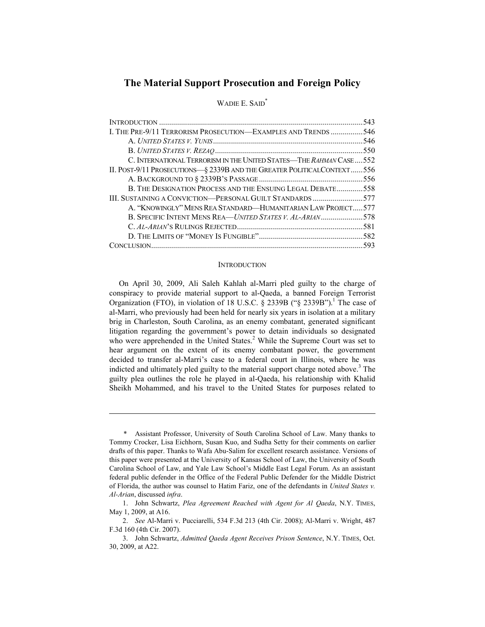# **The Material Support Prosecution and Foreign Policy**

## WADIE E. SAID<sup>\*</sup>

|                                                                        | .543 |
|------------------------------------------------------------------------|------|
| I. THE PRE-9/11 TERRORISM PROSECUTION—EXAMPLES AND TRENDS 546          |      |
|                                                                        |      |
|                                                                        |      |
| C. INTERNATIONAL TERRORISM IN THE UNITED STATES—THE RAHMAN CASE552     |      |
| II. POST-9/11 PROSECUTIONS-§ 2339B AND THE GREATER POLITICALCONTEXT556 |      |
|                                                                        |      |
| B. THE DESIGNATION PROCESS AND THE ENSUING LEGAL DEBATE558             |      |
| III. SUSTAINING A CONVICTION—PERSONAL GUILT STANDARDS 577              |      |
| A. "KNOWINGLY" MENS REA STANDARD—HUMANITARIAN LAW PROJECT 577          |      |
| B. SPECIFIC INTENT MENS REA—UNITED STATES V. AL-ARIAN578               |      |
|                                                                        |      |
|                                                                        |      |
|                                                                        |      |

### **INTRODUCTION**

On April 30, 2009, Ali Saleh Kahlah al-Marri pled guilty to the charge of conspiracy to provide material support to al-Qaeda, a banned Foreign Terrorist Organization (FTO), in violation of 18 U.S.C.  $\S$  2339B (" $\S$  2339B").<sup>1</sup> The case of al-Marri, who previously had been held for nearly six years in isolation at a military brig in Charleston, South Carolina, as an enemy combatant, generated significant litigation regarding the government's power to detain individuals so designated who were apprehended in the United States.<sup>2</sup> While the Supreme Court was set to hear argument on the extent of its enemy combatant power, the government decided to transfer al-Marri's case to a federal court in Illinois, where he was indicted and ultimately pled guilty to the material support charge noted above.<sup>3</sup> The guilty plea outlines the role he played in al-Qaeda, his relationship with Khalid Sheikh Mohammed, and his travel to the United States for purposes related to

 <sup>\*</sup> Assistant Professor, University of South Carolina School of Law. Many thanks to Tommy Crocker, Lisa Eichhorn, Susan Kuo, and Sudha Setty for their comments on earlier drafts of this paper. Thanks to Wafa Abu-Salim for excellent research assistance. Versions of this paper were presented at the University of Kansas School of Law, the University of South Carolina School of Law, and Yale Law School's Middle East Legal Forum. As an assistant federal public defender in the Office of the Federal Public Defender for the Middle District of Florida, the author was counsel to Hatim Fariz, one of the defendants in *United States v. Al-Arian*, discussed *infra*.

 <sup>1.</sup> John Schwartz, *Plea Agreement Reached with Agent for Al Qaeda*, N.Y. TIMES, May 1, 2009, at A16.

 <sup>2.</sup> *See* Al-Marri v. Pucciarelli, 534 F.3d 213 (4th Cir. 2008); Al-Marri v. Wright, 487 F.3d 160 (4th Cir. 2007).

 <sup>3.</sup> John Schwartz, *Admitted Qaeda Agent Receives Prison Sentence*, N.Y. TIMES, Oct. 30, 2009, at A22.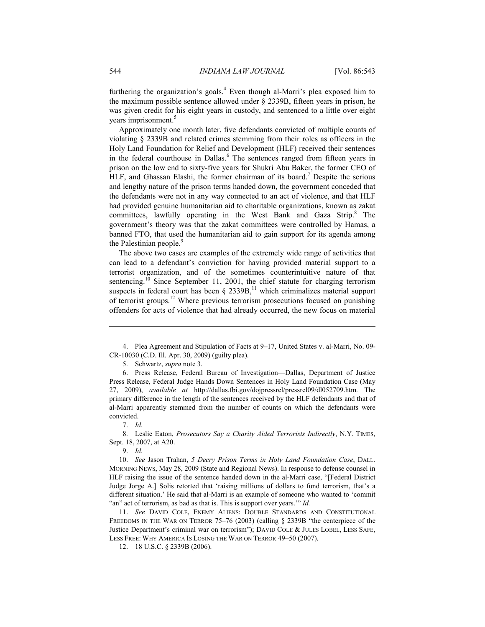furthering the organization's goals.<sup>4</sup> Even though al-Marri's plea exposed him to the maximum possible sentence allowed under § 2339B, fifteen years in prison, he was given credit for his eight years in custody, and sentenced to a little over eight years imprisonment.<sup>5</sup>

Approximately one month later, five defendants convicted of multiple counts of violating § 2339B and related crimes stemming from their roles as officers in the Holy Land Foundation for Relief and Development (HLF) received their sentences in the federal courthouse in Dallas.<sup>6</sup> The sentences ranged from fifteen years in prison on the low end to sixty-five years for Shukri Abu Baker, the former CEO of HLF, and Ghassan Elashi, the former chairman of its board.<sup>7</sup> Despite the serious and lengthy nature of the prison terms handed down, the government conceded that the defendants were not in any way connected to an act of violence, and that HLF had provided genuine humanitarian aid to charitable organizations, known as zakat committees, lawfully operating in the West Bank and Gaza Strip.<sup>8</sup> The government's theory was that the zakat committees were controlled by Hamas, a banned FTO, that used the humanitarian aid to gain support for its agenda among the Palestinian people.<sup>9</sup>

The above two cases are examples of the extremely wide range of activities that can lead to a defendant's conviction for having provided material support to a terrorist organization, and of the sometimes counterintuitive nature of that sentencing.<sup>10</sup> Since September 11, 2001, the chief statute for charging terrorism suspects in federal court has been  $\S$  2339B,<sup>11</sup> which criminalizes material support of terrorist groups.12 Where previous terrorism prosecutions focused on punishing offenders for acts of violence that had already occurred, the new focus on material

5. Schwartz, *supra* note 3.

 6. Press Release, Federal Bureau of Investigation—Dallas, Department of Justice Press Release, Federal Judge Hands Down Sentences in Holy Land Foundation Case (May 27, 2009), *available at* http://dallas.fbi.gov/dojpressrel/pressrel09/dl052709.htm. The primary difference in the length of the sentences received by the HLF defendants and that of al-Marri apparently stemmed from the number of counts on which the defendants were convicted.

7. *Id.*

1

 8. Leslie Eaton, *Prosecutors Say a Charity Aided Terrorists Indirectly*, N.Y. TIMES, Sept. 18, 2007, at A20.

9. *Id.*

 10. *See* Jason Trahan, *5 Decry Prison Terms in Holy Land Foundation Case*, DALL. MORNING NEWS, May 28, 2009 (State and Regional News). In response to defense counsel in HLF raising the issue of the sentence handed down in the al-Marri case, "[Federal District Judge Jorge A.] Solis retorted that 'raising millions of dollars to fund terrorism, that's a different situation.' He said that al-Marri is an example of someone who wanted to 'commit "an" act of terrorism, as bad as that is. This is support over years.'" *Id.*

 11. *See* DAVID COLE, ENEMY ALIENS: DOUBLE STANDARDS AND CONSTITUTIONAL FREEDOMS IN THE WAR ON TERROR 75–76 (2003) (calling § 2339B "the centerpiece of the Justice Department's criminal war on terrorism"); DAVID COLE & JULES LOBEL, LESS SAFE, LESS FREE: WHY AMERICA IS LOSING THE WAR ON TERROR 49–50 (2007).

12. 18 U.S.C. § 2339B (2006).

 <sup>4.</sup> Plea Agreement and Stipulation of Facts at 9–17, United States v. al-Marri, No. 09- CR-10030 (C.D. Ill. Apr. 30, 2009) (guilty plea).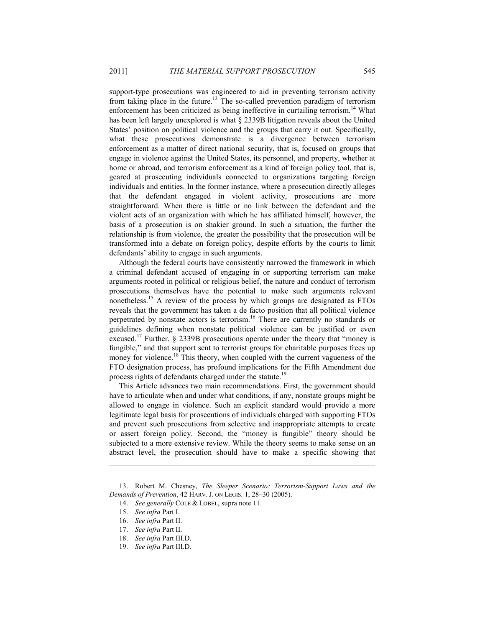support-type prosecutions was engineered to aid in preventing terrorism activity from taking place in the future.<sup>13</sup> The so-called prevention paradigm of terrorism enforcement has been criticized as being ineffective in curtailing terrorism.<sup>14</sup> What has been left largely unexplored is what § 2339B litigation reveals about the United States' position on political violence and the groups that carry it out. Specifically, what these prosecutions demonstrate is a divergence between terrorism enforcement as a matter of direct national security, that is, focused on groups that engage in violence against the United States, its personnel, and property, whether at home or abroad, and terrorism enforcement as a kind of foreign policy tool, that is, geared at prosecuting individuals connected to organizations targeting foreign individuals and entities. In the former instance, where a prosecution directly alleges that the defendant engaged in violent activity, prosecutions are more straightforward. When there is little or no link between the defendant and the violent acts of an organization with which he has affiliated himself, however, the basis of a prosecution is on shakier ground. In such a situation, the further the relationship is from violence, the greater the possibility that the prosecution will be transformed into a debate on foreign policy, despite efforts by the courts to limit defendants' ability to engage in such arguments.

Although the federal courts have consistently narrowed the framework in which a criminal defendant accused of engaging in or supporting terrorism can make arguments rooted in political or religious belief, the nature and conduct of terrorism prosecutions themselves have the potential to make such arguments relevant nonetheless.15 A review of the process by which groups are designated as FTOs reveals that the government has taken a de facto position that all political violence perpetrated by nonstate actors is terrorism.16 There are currently no standards or guidelines defining when nonstate political violence can be justified or even excused.<sup>17</sup> Further, § 2339B prosecutions operate under the theory that "money is fungible," and that support sent to terrorist groups for charitable purposes frees up money for violence.<sup>18</sup> This theory, when coupled with the current vagueness of the FTO designation process, has profound implications for the Fifth Amendment due process rights of defendants charged under the statute.<sup>19</sup>

This Article advances two main recommendations. First, the government should have to articulate when and under what conditions, if any, nonstate groups might be allowed to engage in violence. Such an explicit standard would provide a more legitimate legal basis for prosecutions of individuals charged with supporting FTOs and prevent such prosecutions from selective and inappropriate attempts to create or assert foreign policy. Second, the "money is fungible" theory should be subjected to a more extensive review. While the theory seems to make sense on an abstract level, the prosecution should have to make a specific showing that

 <sup>13.</sup> Robert M. Chesney, *The Sleeper Scenario: Terrorism-Support Laws and the Demands of Prevention*, 42 HARV. J. ON LEGIS. 1, 28–30 (2005).

 <sup>14.</sup> *See generally* COLE & LOBEL, supra note 11.

 <sup>15.</sup> *See infra* Part I.

 <sup>16.</sup> *See infra* Part II.

 <sup>17.</sup> *See infra* Part II.

 <sup>18.</sup> *See infra* Part III.D.

 <sup>19.</sup> *See infra* Part III.D.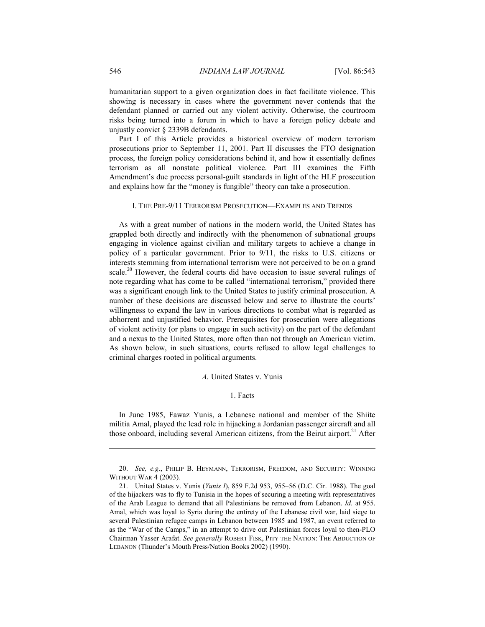humanitarian support to a given organization does in fact facilitate violence. This showing is necessary in cases where the government never contends that the defendant planned or carried out any violent activity. Otherwise, the courtroom risks being turned into a forum in which to have a foreign policy debate and unjustly convict § 2339B defendants.

Part I of this Article provides a historical overview of modern terrorism prosecutions prior to September 11, 2001. Part II discusses the FTO designation process, the foreign policy considerations behind it, and how it essentially defines terrorism as all nonstate political violence. Part III examines the Fifth Amendment's due process personal-guilt standards in light of the HLF prosecution and explains how far the "money is fungible" theory can take a prosecution.

### I. THE PRE-9/11 TERRORISM PROSECUTION—EXAMPLES AND TRENDS

As with a great number of nations in the modern world, the United States has grappled both directly and indirectly with the phenomenon of subnational groups engaging in violence against civilian and military targets to achieve a change in policy of a particular government. Prior to 9/11, the risks to U.S. citizens or interests stemming from international terrorism were not perceived to be on a grand scale.<sup>20</sup> However, the federal courts did have occasion to issue several rulings of note regarding what has come to be called "international terrorism," provided there was a significant enough link to the United States to justify criminal prosecution. A number of these decisions are discussed below and serve to illustrate the courts' willingness to expand the law in various directions to combat what is regarded as abhorrent and unjustified behavior. Prerequisites for prosecution were allegations of violent activity (or plans to engage in such activity) on the part of the defendant and a nexus to the United States, more often than not through an American victim. As shown below, in such situations, courts refused to allow legal challenges to criminal charges rooted in political arguments.

### *A.* United States v. Yunis

# 1. Facts

In June 1985, Fawaz Yunis, a Lebanese national and member of the Shiite militia Amal, played the lead role in hijacking a Jordanian passenger aircraft and all those onboard, including several American citizens, from the Beirut airport.<sup>21</sup> After

<u>.</u>

 <sup>20.</sup> *See, e.g.*, PHILIP B. HEYMANN, TERRORISM, FREEDOM, AND SECURITY: WINNING WITHOUT WAR 4 (2003)*.*

 <sup>21.</sup> United States v. Yunis (*Yunis I*), 859 F.2d 953, 955–56 (D.C. Cir. 1988). The goal of the hijackers was to fly to Tunisia in the hopes of securing a meeting with representatives of the Arab League to demand that all Palestinians be removed from Lebanon. *Id.* at 955. Amal, which was loyal to Syria during the entirety of the Lebanese civil war, laid siege to several Palestinian refugee camps in Lebanon between 1985 and 1987, an event referred to as the "War of the Camps," in an attempt to drive out Palestinian forces loyal to then-PLO Chairman Yasser Arafat. *See generally* ROBERT FISK, PITY THE NATION: THE ABDUCTION OF LEBANON (Thunder's Mouth Press/Nation Books 2002) (1990).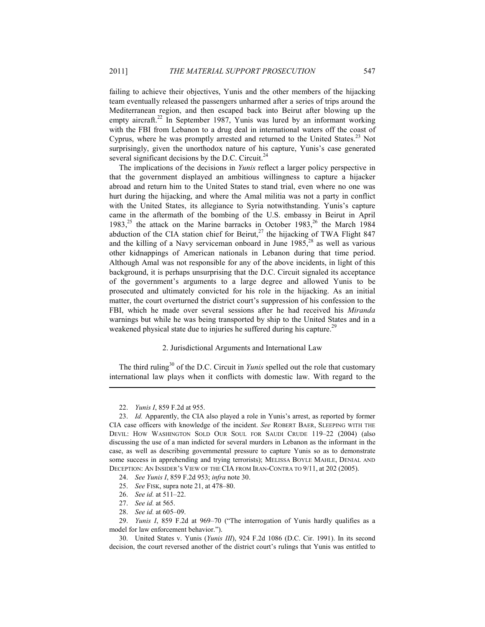failing to achieve their objectives, Yunis and the other members of the hijacking team eventually released the passengers unharmed after a series of trips around the Mediterranean region, and then escaped back into Beirut after blowing up the empty aircraft.<sup>22</sup> In September 1987, Yunis was lured by an informant working with the FBI from Lebanon to a drug deal in international waters off the coast of Cyprus, where he was promptly arrested and returned to the United States.<sup>23</sup> Not surprisingly, given the unorthodox nature of his capture, Yunis's case generated several significant decisions by the D.C. Circuit. $^{24}$ 

The implications of the decisions in *Yunis* reflect a larger policy perspective in that the government displayed an ambitious willingness to capture a hijacker abroad and return him to the United States to stand trial, even where no one was hurt during the hijacking, and where the Amal militia was not a party in conflict with the United States, its allegiance to Syria notwithstanding. Yunis's capture came in the aftermath of the bombing of the U.S. embassy in Beirut in April 1983,<sup>25</sup> the attack on the Marine barracks in October 1983,<sup>26</sup> the March 1984 abduction of the CIA station chief for Beirut, $^{27}$  the hijacking of TWA Flight 847 and the killing of a Navy serviceman onboard in June  $1985$ ,<sup>28</sup> as well as various other kidnappings of American nationals in Lebanon during that time period. Although Amal was not responsible for any of the above incidents, in light of this background, it is perhaps unsurprising that the D.C. Circuit signaled its acceptance of the government's arguments to a large degree and allowed Yunis to be prosecuted and ultimately convicted for his role in the hijacking. As an initial matter, the court overturned the district court's suppression of his confession to the FBI, which he made over several sessions after he had received his *Miranda* warnings but while he was being transported by ship to the United States and in a weakened physical state due to injuries he suffered during his capture.<sup>29</sup>

# 2. Jurisdictional Arguments and International Law

The third ruling<sup>30</sup> of the D.C. Circuit in *Yunis* spelled out the role that customary international law plays when it conflicts with domestic law. With regard to the

 <sup>22.</sup> *Yunis I*, 859 F.2d at 955.

 <sup>23.</sup> *Id.* Apparently, the CIA also played a role in Yunis's arrest, as reported by former CIA case officers with knowledge of the incident. *See* ROBERT BAER, SLEEPING WITH THE DEVIL: HOW WASHINGTON SOLD OUR SOUL FOR SAUDI CRUDE 119–22 (2004) (also discussing the use of a man indicted for several murders in Lebanon as the informant in the case, as well as describing governmental pressure to capture Yunis so as to demonstrate some success in apprehending and trying terrorists); MELISSA BOYLE MAHLE, DENIAL AND DECEPTION: AN INSIDER'S VIEW OF THE CIA FROM IRAN-CONTRA TO 9/11, at 202 (2005).

 <sup>24.</sup> *See Yunis I*, 859 F.2d 953; *infra* note 30.

 <sup>25.</sup> *See* FISK, supra note 21, at 478–80.

 <sup>26.</sup> *See id.* at 511–22.

 <sup>27.</sup> *See id.* at 565.

 <sup>28.</sup> *See id.* at 605–09.

 <sup>29.</sup> *Yunis I*, 859 F.2d at 969–70 ("The interrogation of Yunis hardly qualifies as a model for law enforcement behavior.").

 <sup>30.</sup> United States v. Yunis (*Yunis III*), 924 F.2d 1086 (D.C. Cir. 1991). In its second decision, the court reversed another of the district court's rulings that Yunis was entitled to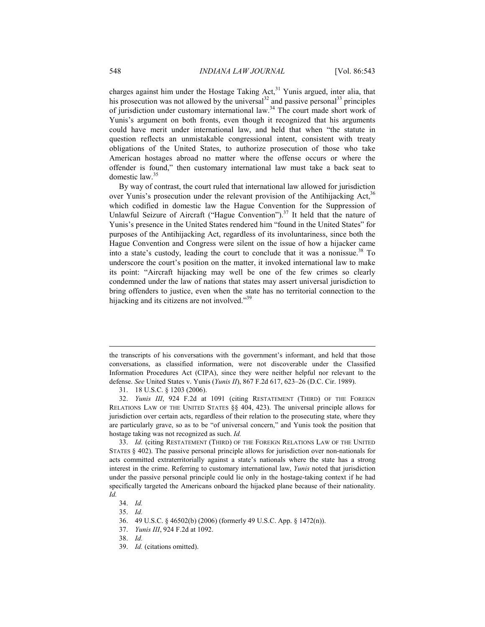charges against him under the Hostage Taking Act,<sup>31</sup> Yunis argued, inter alia, that his prosecution was not allowed by the universal $32$  and passive personal $33$  principles of jurisdiction under customary international law.<sup>34</sup> The court made short work of Yunis's argument on both fronts, even though it recognized that his arguments could have merit under international law, and held that when "the statute in question reflects an unmistakable congressional intent, consistent with treaty obligations of the United States, to authorize prosecution of those who take American hostages abroad no matter where the offense occurs or where the offender is found," then customary international law must take a back seat to domestic law.<sup>35</sup>

By way of contrast, the court ruled that international law allowed for jurisdiction over Yunis's prosecution under the relevant provision of the Antihijacking Act,  $36$ which codified in domestic law the Hague Convention for the Suppression of Unlawful Seizure of Aircraft ("Hague Convention").<sup>37</sup> It held that the nature of Yunis's presence in the United States rendered him "found in the United States" for purposes of the Antihijacking Act, regardless of its involuntariness, since both the Hague Convention and Congress were silent on the issue of how a hijacker came into a state's custody, leading the court to conclude that it was a nonissue.<sup>38</sup> To underscore the court's position on the matter, it invoked international law to make its point: "Aircraft hijacking may well be one of the few crimes so clearly condemned under the law of nations that states may assert universal jurisdiction to bring offenders to justice, even when the state has no territorial connection to the hijacking and its citizens are not involved."<sup>39</sup>

the transcripts of his conversations with the government's informant, and held that those conversations, as classified information, were not discoverable under the Classified Information Procedures Act (CIPA), since they were neither helpful nor relevant to the defense. *See* United States v. Yunis (*Yunis II*), 867 F.2d 617, 623–26 (D.C. Cir. 1989).

 <sup>31. 18</sup> U.S.C. § 1203 (2006).

 <sup>32.</sup> *Yunis III*, 924 F.2d at 1091 (citing RESTATEMENT (THIRD) OF THE FOREIGN RELATIONS LAW OF THE UNITED STATES §§ 404, 423). The universal principle allows for jurisdiction over certain acts, regardless of their relation to the prosecuting state, where they are particularly grave, so as to be "of universal concern," and Yunis took the position that hostage taking was not recognized as such. *Id.*

 <sup>33.</sup> *Id.* (citing RESTATEMENT (THIRD) OF THE FOREIGN RELATIONS LAW OF THE UNITED STATES § 402). The passive personal principle allows for jurisdiction over non-nationals for acts committed extraterritorially against a state's nationals where the state has a strong interest in the crime. Referring to customary international law, *Yunis* noted that jurisdiction under the passive personal principle could lie only in the hostage-taking context if he had specifically targeted the Americans onboard the hijacked plane because of their nationality. *Id.*

 <sup>34.</sup> *Id.*

 <sup>35.</sup> *Id.*

 <sup>36. 49</sup> U.S.C. § 46502(b) (2006) (formerly 49 U.S.C. App. § 1472(n)).

 <sup>37.</sup> *Yunis III*, 924 F.2d at 1092.

 <sup>38.</sup> *Id.*

 <sup>39.</sup> *Id.* (citations omitted).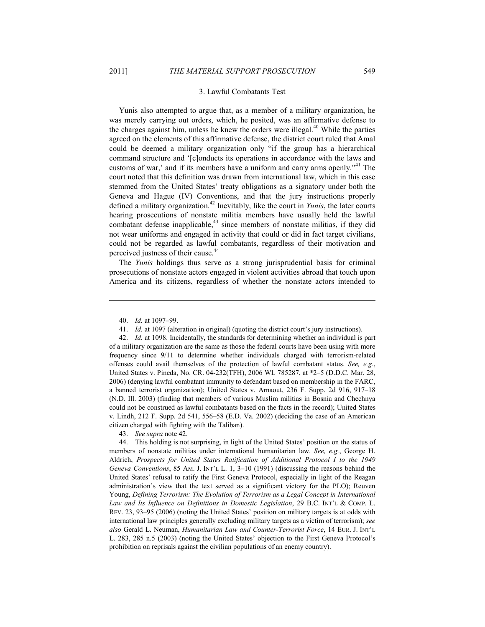#### 3. Lawful Combatants Test

Yunis also attempted to argue that, as a member of a military organization, he was merely carrying out orders, which, he posited, was an affirmative defense to the charges against him, unless he knew the orders were illegal. $40$  While the parties agreed on the elements of this affirmative defense, the district court ruled that Amal could be deemed a military organization only "if the group has a hierarchical command structure and '[c]onducts its operations in accordance with the laws and customs of war,' and if its members have a uniform and carry arms openly."<sup>41</sup> The court noted that this definition was drawn from international law, which in this case stemmed from the United States' treaty obligations as a signatory under both the Geneva and Hague (IV) Conventions, and that the jury instructions properly defined a military organization.42 Inevitably, like the court in *Yunis*, the later courts hearing prosecutions of nonstate militia members have usually held the lawful combatant defense inapplicable, $43$  since members of nonstate militias, if they did not wear uniforms and engaged in activity that could or did in fact target civilians, could not be regarded as lawful combatants, regardless of their motivation and perceived justness of their cause.<sup>44</sup>

The *Yunis* holdings thus serve as a strong jurisprudential basis for criminal prosecutions of nonstate actors engaged in violent activities abroad that touch upon America and its citizens, regardless of whether the nonstate actors intended to

1

43. *See supra* note 42.

 <sup>40.</sup> *Id.* at 1097–99.

 <sup>41.</sup> *Id.* at 1097 (alteration in original) (quoting the district court's jury instructions).

 <sup>42.</sup> *Id.* at 1098. Incidentally, the standards for determining whether an individual is part of a military organization are the same as those the federal courts have been using with more frequency since 9/11 to determine whether individuals charged with terrorism-related offenses could avail themselves of the protection of lawful combatant status. *See, e.g.*, United States v. Pineda, No. CR. 04-232(TFH), 2006 WL 785287, at \*2–5 (D.D.C. Mar. 28, 2006) (denying lawful combatant immunity to defendant based on membership in the FARC, a banned terrorist organization); United States v. Arnaout, 236 F. Supp. 2d 916, 917–18 (N.D. Ill. 2003) (finding that members of various Muslim militias in Bosnia and Chechnya could not be construed as lawful combatants based on the facts in the record); United States v. Lindh, 212 F. Supp. 2d 541, 556–58 (E.D. Va. 2002) (deciding the case of an American citizen charged with fighting with the Taliban).

 <sup>44.</sup> This holding is not surprising, in light of the United States' position on the status of members of nonstate militias under international humanitarian law. *See, e.g.*, George H. Aldrich, *Prospects for United States Ratification of Additional Protocol I to the 1949 Geneva Conventions*, 85 AM. J. INT'L L. 1, 3–10 (1991) (discussing the reasons behind the United States' refusal to ratify the First Geneva Protocol, especially in light of the Reagan administration's view that the text served as a significant victory for the PLO); Reuven Young, *Defining Terrorism: The Evolution of Terrorism as a Legal Concept in International Law and Its Influence on Definitions in Domestic Legislation*, 29 B.C. INT'L & COMP. L. REV. 23, 93–95 (2006) (noting the United States' position on military targets is at odds with international law principles generally excluding military targets as a victim of terrorism); *see also* Gerald L. Neuman, *Humanitarian Law and Counter-Terrorist Force*, 14 EUR. J. INT'L L. 283, 285 n.5 (2003) (noting the United States' objection to the First Geneva Protocol's prohibition on reprisals against the civilian populations of an enemy country).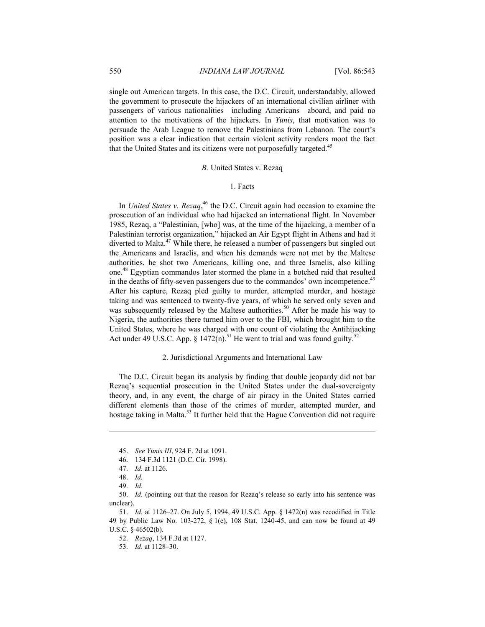single out American targets. In this case, the D.C. Circuit, understandably, allowed the government to prosecute the hijackers of an international civilian airliner with passengers of various nationalities—including Americans—aboard, and paid no attention to the motivations of the hijackers. In *Yunis*, that motivation was to persuade the Arab League to remove the Palestinians from Lebanon. The court's position was a clear indication that certain violent activity renders moot the fact that the United States and its citizens were not purposefully targeted.<sup>45</sup>

## *B.* United States v. Rezaq

### 1. Facts

In *United States v. Rezaq*, 46 the D.C. Circuit again had occasion to examine the prosecution of an individual who had hijacked an international flight. In November 1985, Rezaq, a "Palestinian, [who] was, at the time of the hijacking, a member of a Palestinian terrorist organization," hijacked an Air Egypt flight in Athens and had it diverted to Malta.<sup>47</sup> While there, he released a number of passengers but singled out the Americans and Israelis, and when his demands were not met by the Maltese authorities, he shot two Americans, killing one, and three Israelis, also killing one.48 Egyptian commandos later stormed the plane in a botched raid that resulted in the deaths of fifty-seven passengers due to the commandos' own incompetence.<sup>49</sup> After his capture, Rezaq pled guilty to murder, attempted murder, and hostage taking and was sentenced to twenty-five years, of which he served only seven and was subsequently released by the Maltese authorities.<sup>50</sup> After he made his way to Nigeria, the authorities there turned him over to the FBI, which brought him to the United States, where he was charged with one count of violating the Antihijacking Act under 49 U.S.C. App. § 1472(n).<sup>51</sup> He went to trial and was found guilty.<sup>52</sup>

### 2. Jurisdictional Arguments and International Law

The D.C. Circuit began its analysis by finding that double jeopardy did not bar Rezaq's sequential prosecution in the United States under the dual-sovereignty theory, and, in any event, the charge of air piracy in the United States carried different elements than those of the crimes of murder, attempted murder, and hostage taking in Malta.<sup>53</sup> It further held that the Hague Convention did not require

1

 50. *Id.* (pointing out that the reason for Rezaq's release so early into his sentence was unclear).

 51. *Id.* at 1126–27. On July 5, 1994, 49 U.S.C. App. § 1472(n) was recodified in Title 49 by Public Law No. 103-272, § 1(e), 108 Stat. 1240-45, and can now be found at 49 U.S.C. § 46502(b).

52. *Rezaq*, 134 F.3d at 1127.

53. *Id.* at 1128–30.

 <sup>45.</sup> *See Yunis III*, 924 F. 2d at 1091.

 <sup>46. 134</sup> F.3d 1121 (D.C. Cir. 1998).

 <sup>47.</sup> *Id.* at 1126.

 <sup>48.</sup> *Id.*

 <sup>49.</sup> *Id.*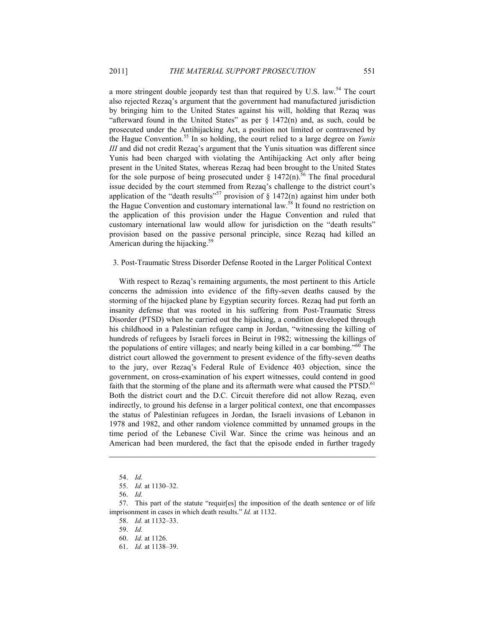a more stringent double jeopardy test than that required by U.S. law.<sup>54</sup> The court also rejected Rezaq's argument that the government had manufactured jurisdiction by bringing him to the United States against his will, holding that Rezaq was "afterward found in the United States" as per  $\S$  1472(n) and, as such, could be prosecuted under the Antihijacking Act, a position not limited or contravened by the Hague Convention.55 In so holding, the court relied to a large degree on *Yunis III* and did not credit Rezaq's argument that the Yunis situation was different since Yunis had been charged with violating the Antihijacking Act only after being present in the United States, whereas Rezaq had been brought to the United States for the sole purpose of being prosecuted under  $\S$  1472(n).<sup>56</sup> The final procedural issue decided by the court stemmed from Rezaq's challenge to the district court's application of the "death results"<sup>57</sup> provision of  $\S$  1472(n) against him under both the Hague Convention and customary international law.<sup>58</sup> It found no restriction on the application of this provision under the Hague Convention and ruled that customary international law would allow for jurisdiction on the "death results" provision based on the passive personal principle, since Rezaq had killed an American during the hijacking.<sup>59</sup>

#### 3. Post-Traumatic Stress Disorder Defense Rooted in the Larger Political Context

With respect to Rezaq's remaining arguments, the most pertinent to this Article concerns the admission into evidence of the fifty-seven deaths caused by the storming of the hijacked plane by Egyptian security forces. Rezaq had put forth an insanity defense that was rooted in his suffering from Post-Traumatic Stress Disorder (PTSD) when he carried out the hijacking, a condition developed through his childhood in a Palestinian refugee camp in Jordan, "witnessing the killing of hundreds of refugees by Israeli forces in Beirut in 1982; witnessing the killings of the populations of entire villages; and nearly being killed in a car bombing."60 The district court allowed the government to present evidence of the fifty-seven deaths to the jury, over Rezaq's Federal Rule of Evidence 403 objection, since the government, on cross-examination of his expert witnesses, could contend in good faith that the storming of the plane and its aftermath were what caused the PTSD.<sup>61</sup> Both the district court and the D.C. Circuit therefore did not allow Rezaq, even indirectly, to ground his defense in a larger political context, one that encompasses the status of Palestinian refugees in Jordan, the Israeli invasions of Lebanon in 1978 and 1982, and other random violence committed by unnamed groups in the time period of the Lebanese Civil War. Since the crime was heinous and an American had been murdered, the fact that the episode ended in further tragedy

 <sup>54.</sup> *Id.*

 <sup>55.</sup> *Id.* at 1130–32.

 <sup>56.</sup> *Id.*

 <sup>57.</sup> This part of the statute "requir[es] the imposition of the death sentence or of life imprisonment in cases in which death results." *Id.* at 1132.

 <sup>58.</sup> *Id.* at 1132–33.

 <sup>59.</sup> *Id.*

 <sup>60.</sup> *Id.* at 1126.

 <sup>61.</sup> *Id.* at 1138–39.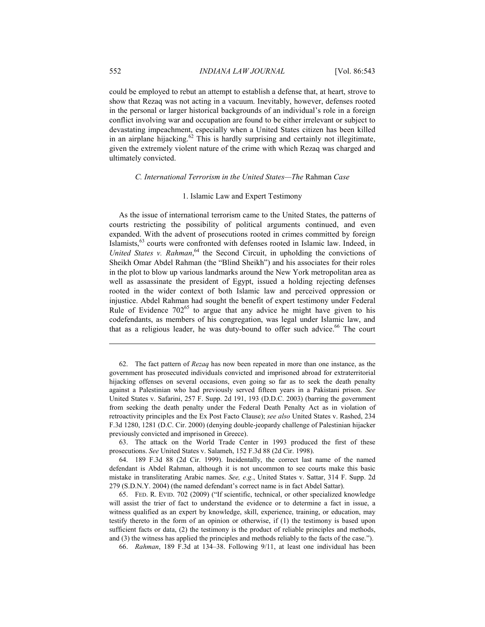could be employed to rebut an attempt to establish a defense that, at heart, strove to show that Rezaq was not acting in a vacuum. Inevitably, however, defenses rooted in the personal or larger historical backgrounds of an individual's role in a foreign conflict involving war and occupation are found to be either irrelevant or subject to devastating impeachment, especially when a United States citizen has been killed in an airplane hijacking. $62$  This is hardly surprising and certainly not illegitimate, given the extremely violent nature of the crime with which Rezaq was charged and ultimately convicted.

# *C. International Terrorism in the United States—The* Rahman *Case*

### 1. Islamic Law and Expert Testimony

As the issue of international terrorism came to the United States, the patterns of courts restricting the possibility of political arguments continued, and even expanded. With the advent of prosecutions rooted in crimes committed by foreign Islamists,63 courts were confronted with defenses rooted in Islamic law. Indeed, in United States v. Rahman,<sup>64</sup> the Second Circuit, in upholding the convictions of Sheikh Omar Abdel Rahman (the "Blind Sheikh") and his associates for their roles in the plot to blow up various landmarks around the New York metropolitan area as well as assassinate the president of Egypt, issued a holding rejecting defenses rooted in the wider context of both Islamic law and perceived oppression or injustice. Abdel Rahman had sought the benefit of expert testimony under Federal Rule of Evidence  $702^{65}$  to argue that any advice he might have given to his codefendants, as members of his congregation, was legal under Islamic law, and that as a religious leader, he was duty-bound to offer such advice.<sup>66</sup> The court

 63. The attack on the World Trade Center in 1993 produced the first of these prosecutions. *See* United States v. Salameh, 152 F.3d 88 (2d Cir. 1998).

66. *Rahman*, 189 F.3d at 134–38. Following 9/11, at least one individual has been

<u>.</u>

 <sup>62.</sup> The fact pattern of *Rezaq* has now been repeated in more than one instance, as the government has prosecuted individuals convicted and imprisoned abroad for extraterritorial hijacking offenses on several occasions, even going so far as to seek the death penalty against a Palestinian who had previously served fifteen years in a Pakistani prison. *See*  United States v. Safarini, 257 F. Supp. 2d 191, 193 (D.D.C. 2003) (barring the government from seeking the death penalty under the Federal Death Penalty Act as in violation of retroactivity principles and the Ex Post Facto Clause); *see also* United States v. Rashed, 234 F.3d 1280, 1281 (D.C. Cir. 2000) (denying double-jeopardy challenge of Palestinian hijacker previously convicted and imprisoned in Greece).

 <sup>64. 189</sup> F.3d 88 (2d Cir. 1999). Incidentally, the correct last name of the named defendant is Abdel Rahman, although it is not uncommon to see courts make this basic mistake in transliterating Arabic names. *See, e.g.*, United States v. Sattar, 314 F. Supp. 2d 279 (S.D.N.Y. 2004) (the named defendant's correct name is in fact Abdel Sattar).

 <sup>65.</sup> FED. R. EVID. 702 (2009) ("If scientific, technical, or other specialized knowledge will assist the trier of fact to understand the evidence or to determine a fact in issue, a witness qualified as an expert by knowledge, skill, experience, training, or education, may testify thereto in the form of an opinion or otherwise, if (1) the testimony is based upon sufficient facts or data, (2) the testimony is the product of reliable principles and methods, and (3) the witness has applied the principles and methods reliably to the facts of the case.").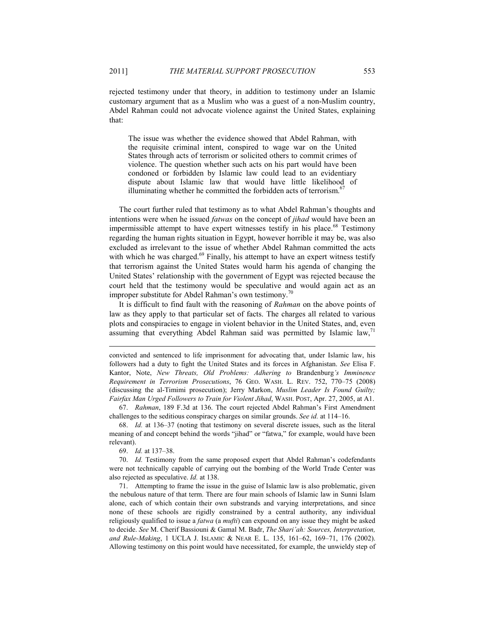rejected testimony under that theory, in addition to testimony under an Islamic customary argument that as a Muslim who was a guest of a non-Muslim country, Abdel Rahman could not advocate violence against the United States, explaining that:

 The issue was whether the evidence showed that Abdel Rahman, with the requisite criminal intent, conspired to wage war on the United States through acts of terrorism or solicited others to commit crimes of violence. The question whether such acts on his part would have been condoned or forbidden by Islamic law could lead to an evidentiary dispute about Islamic law that would have little likelihood of illuminating whether he committed the forbidden acts of terrorism.<sup>6</sup>

The court further ruled that testimony as to what Abdel Rahman's thoughts and intentions were when he issued *fatwas* on the concept of *jihad* would have been an impermissible attempt to have expert witnesses testify in his place.<sup>68</sup> Testimony regarding the human rights situation in Egypt, however horrible it may be, was also excluded as irrelevant to the issue of whether Abdel Rahman committed the acts with which he was charged. $69$  Finally, his attempt to have an expert witness testify that terrorism against the United States would harm his agenda of changing the United States' relationship with the government of Egypt was rejected because the court held that the testimony would be speculative and would again act as an improper substitute for Abdel Rahman's own testimony.<sup>70</sup>

It is difficult to find fault with the reasoning of *Rahman* on the above points of law as they apply to that particular set of facts. The charges all related to various plots and conspiracies to engage in violent behavior in the United States, and, even assuming that everything Abdel Rahman said was permitted by Islamic law, $\frac{1}{1}$ 

convicted and sentenced to life imprisonment for advocating that, under Islamic law, his followers had a duty to fight the United States and its forces in Afghanistan. *See* Elisa F. Kantor, Note, *New Threats, Old Problems: Adhering to* Brandenburg*'s Imminence Requirement in Terrorism Prosecutions*, 76 GEO. WASH. L. REV. 752, 770–75 (2008) (discussing the al-Timimi prosecution); Jerry Markon, *Muslim Leader Is Found Guilty; Fairfax Man Urged Followers to Train for Violent Jihad*, WASH. POST, Apr. 27, 2005, at A1.

 67. *Rahman*, 189 F.3d at 136. The court rejected Abdel Rahman's First Amendment challenges to the seditious conspiracy charges on similar grounds. *See id.* at 114–16.

 68. *Id.* at 136–37 (noting that testimony on several discrete issues, such as the literal meaning of and concept behind the words "jihad" or "fatwa," for example, would have been relevant).

69. *Id.* at 137–38.

1

 70. *Id.* Testimony from the same proposed expert that Abdel Rahman's codefendants were not technically capable of carrying out the bombing of the World Trade Center was also rejected as speculative. *Id.* at 138.

 71. Attempting to frame the issue in the guise of Islamic law is also problematic, given the nebulous nature of that term. There are four main schools of Islamic law in Sunni Islam alone, each of which contain their own substrands and varying interpretations, and since none of these schools are rigidly constrained by a central authority, any individual religiously qualified to issue a *fatwa* (a *mufti*) can expound on any issue they might be asked to decide. *See* M. Cherif Bassiouni & Gamal M. Badr, *The Shari'ah: Sources, Interpretation, and Rule-Making*, 1 UCLA J. ISLAMIC & NEAR E. L. 135, 161–62, 169–71, 176 (2002). Allowing testimony on this point would have necessitated, for example, the unwieldy step of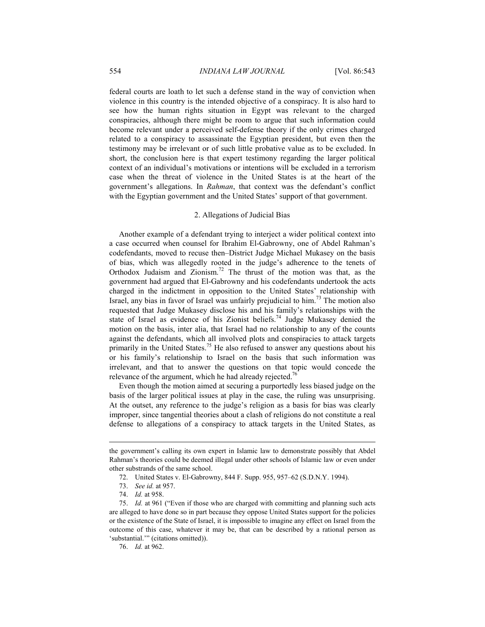federal courts are loath to let such a defense stand in the way of conviction when violence in this country is the intended objective of a conspiracy. It is also hard to see how the human rights situation in Egypt was relevant to the charged conspiracies, although there might be room to argue that such information could become relevant under a perceived self-defense theory if the only crimes charged related to a conspiracy to assassinate the Egyptian president, but even then the testimony may be irrelevant or of such little probative value as to be excluded. In short, the conclusion here is that expert testimony regarding the larger political context of an individual's motivations or intentions will be excluded in a terrorism case when the threat of violence in the United States is at the heart of the government's allegations. In *Rahman*, that context was the defendant's conflict with the Egyptian government and the United States' support of that government.

### 2. Allegations of Judicial Bias

Another example of a defendant trying to interject a wider political context into a case occurred when counsel for Ibrahim El-Gabrowny, one of Abdel Rahman's codefendants, moved to recuse then–District Judge Michael Mukasey on the basis of bias, which was allegedly rooted in the judge's adherence to the tenets of Orthodox Judaism and Zionism.72 The thrust of the motion was that, as the government had argued that El-Gabrowny and his codefendants undertook the acts charged in the indictment in opposition to the United States' relationship with Israel, any bias in favor of Israel was unfairly prejudicial to him.73 The motion also requested that Judge Mukasey disclose his and his family's relationships with the state of Israel as evidence of his Zionist beliefs.74 Judge Mukasey denied the motion on the basis, inter alia, that Israel had no relationship to any of the counts against the defendants, which all involved plots and conspiracies to attack targets primarily in the United States.<sup>75</sup> He also refused to answer any questions about his or his family's relationship to Israel on the basis that such information was irrelevant, and that to answer the questions on that topic would concede the relevance of the argument, which he had already rejected.<sup>76</sup>

Even though the motion aimed at securing a purportedly less biased judge on the basis of the larger political issues at play in the case, the ruling was unsurprising. At the outset, any reference to the judge's religion as a basis for bias was clearly improper, since tangential theories about a clash of religions do not constitute a real defense to allegations of a conspiracy to attack targets in the United States, as

the government's calling its own expert in Islamic law to demonstrate possibly that Abdel Rahman's theories could be deemed illegal under other schools of Islamic law or even under other substrands of the same school.

 <sup>72.</sup> United States v. El-Gabrowny, 844 F. Supp. 955, 957–62 (S.D.N.Y. 1994).

 <sup>73.</sup> *See id.* at 957.

 <sup>74.</sup> *Id.* at 958.

 <sup>75.</sup> *Id.* at 961 ("Even if those who are charged with committing and planning such acts are alleged to have done so in part because they oppose United States support for the policies or the existence of the State of Israel, it is impossible to imagine any effect on Israel from the outcome of this case, whatever it may be, that can be described by a rational person as 'substantial.'" (citations omitted)).

 <sup>76.</sup> *Id.* at 962.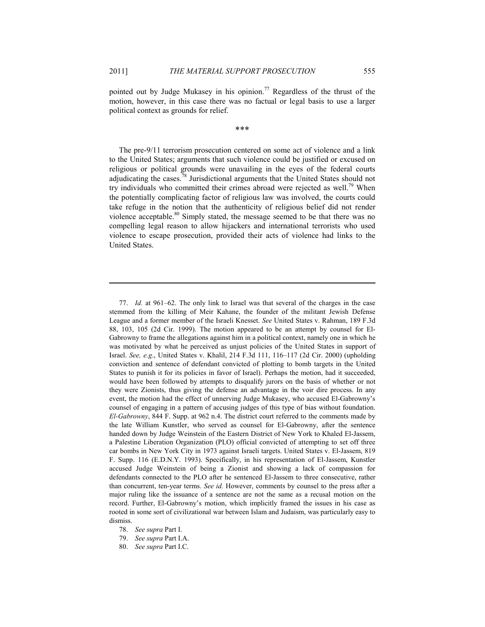1

pointed out by Judge Mukasey in his opinion.<sup>77</sup> Regardless of the thrust of the motion, however, in this case there was no factual or legal basis to use a larger political context as grounds for relief.

\*\*\*

The pre-9/11 terrorism prosecution centered on some act of violence and a link to the United States; arguments that such violence could be justified or excused on religious or political grounds were unavailing in the eyes of the federal courts adjudicating the cases.78 Jurisdictional arguments that the United States should not try individuals who committed their crimes abroad were rejected as well.<sup>79</sup> When the potentially complicating factor of religious law was involved, the courts could take refuge in the notion that the authenticity of religious belief did not render violence acceptable.<sup>80</sup> Simply stated, the message seemed to be that there was no compelling legal reason to allow hijackers and international terrorists who used violence to escape prosecution, provided their acts of violence had links to the United States.

 <sup>77.</sup> *Id.* at 961–62. The only link to Israel was that several of the charges in the case stemmed from the killing of Meir Kahane, the founder of the militant Jewish Defense League and a former member of the Israeli Knesset. *See* United States v. Rahman, 189 F.3d 88, 103, 105 (2d Cir. 1999). The motion appeared to be an attempt by counsel for El-Gabrowny to frame the allegations against him in a political context, namely one in which he was motivated by what he perceived as unjust policies of the United States in support of Israel. *See, e.g*., United States v. Khalil, 214 F.3d 111, 116–117 (2d Cir. 2000) (upholding conviction and sentence of defendant convicted of plotting to bomb targets in the United States to punish it for its policies in favor of Israel). Perhaps the motion, had it succeeded, would have been followed by attempts to disqualify jurors on the basis of whether or not they were Zionists, thus giving the defense an advantage in the voir dire process. In any event, the motion had the effect of unnerving Judge Mukasey, who accused El-Gabrowny's counsel of engaging in a pattern of accusing judges of this type of bias without foundation. *El-Gabrowny*, 844 F. Supp. at 962 n.4. The district court referred to the comments made by the late William Kunstler, who served as counsel for El-Gabrowny, after the sentence handed down by Judge Weinstein of the Eastern District of New York to Khaled El-Jassem, a Palestine Liberation Organization (PLO) official convicted of attempting to set off three car bombs in New York City in 1973 against Israeli targets. United States v. El-Jassem, 819 F. Supp. 116 (E.D.N.Y. 1993). Specifically, in his representation of El-Jassem, Kunstler accused Judge Weinstein of being a Zionist and showing a lack of compassion for defendants connected to the PLO after he sentenced El-Jassem to three consecutive, rather than concurrent, ten-year terms. *See id.* However, comments by counsel to the press after a major ruling like the issuance of a sentence are not the same as a recusal motion on the record. Further, El-Gabrowny's motion, which implicitly framed the issues in his case as rooted in some sort of civilizational war between Islam and Judaism, was particularly easy to dismiss.

 <sup>78.</sup> *See supra* Part I.

 <sup>79.</sup> *See supra* Part I.A.

 <sup>80.</sup> *See supra* Part I.C.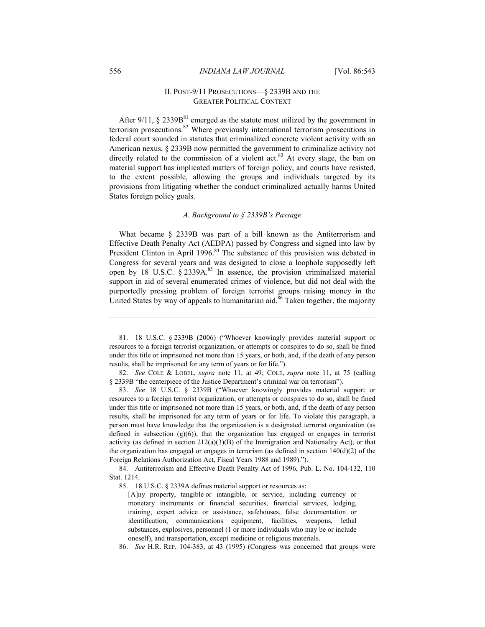# II. POST-9/11 PROSECUTIONS—§ 2339B AND THE GREATER POLITICAL CONTEXT

After 9/11,  $\S$  2339B<sup>81</sup> emerged as the statute most utilized by the government in terrorism prosecutions.<sup>82</sup> Where previously international terrorism prosecutions in federal court sounded in statutes that criminalized concrete violent activity with an American nexus, § 2339B now permitted the government to criminalize activity not directly related to the commission of a violent act.<sup>83</sup> At every stage, the ban on material support has implicated matters of foreign policy, and courts have resisted, to the extent possible, allowing the groups and individuals targeted by its provisions from litigating whether the conduct criminalized actually harms United States foreign policy goals.

### *A. Background to § 2339B's Passage*

What became § 2339B was part of a bill known as the Antiterrorism and Effective Death Penalty Act (AEDPA) passed by Congress and signed into law by President Clinton in April 1996.<sup>84</sup> The substance of this provision was debated in Congress for several years and was designed to close a loophole supposedly left open by 18 U.S.C.  $\hat{\S}$  2339A.<sup>85</sup> In essence, the provision criminalized material support in aid of several enumerated crimes of violence, but did not deal with the purportedly pressing problem of foreign terrorist groups raising money in the United States by way of appeals to humanitarian aid.<sup>86</sup> Taken together, the majority

 82. *See* COLE & LOBEL, *supra* note 11, at 49; COLE, *supra* note 11, at 75 (calling § 2339B "the centerpiece of the Justice Department's criminal war on terrorism").

 83. *See* 18 U.S.C. § 2339B ("Whoever knowingly provides material support or resources to a foreign terrorist organization, or attempts or conspires to do so, shall be fined under this title or imprisoned not more than 15 years, or both, and, if the death of any person results, shall be imprisoned for any term of years or for life. To violate this paragraph, a person must have knowledge that the organization is a designated terrorist organization (as defined in subsection  $(g)(6)$ , that the organization has engaged or engages in terrorist activity (as defined in section  $212(a)(3)(B)$  of the Immigration and Nationality Act), or that the organization has engaged or engages in terrorism (as defined in section  $140(d)(2)$  of the Foreign Relations Authorization Act, Fiscal Years 1988 and 1989).").

85. 18 U.S.C. § 2339A defines material support or resources as:

<u>.</u>

 <sup>81. 18</sup> U.S.C. § 2339B (2006) ("Whoever knowingly provides material support or resources to a foreign terrorist organization, or attempts or conspires to do so, shall be fined under this title or imprisoned not more than 15 years, or both, and, if the death of any person results, shall be imprisoned for any term of years or for life.").

 <sup>84.</sup> Antiterrorism and Effective Death Penalty Act of 1996, Pub. L. No. 104-132, 110 Stat. 1214.

<sup>[</sup>A]ny property, tangible or intangible, or service, including currency or monetary instruments or financial securities, financial services, lodging, training, expert advice or assistance, safehouses, false documentation or identification, communications equipment, facilities, weapons, lethal substances, explosives, personnel (1 or more individuals who may be or include oneself), and transportation, except medicine or religious materials.

 <sup>86.</sup> *See* H.R. REP. 104-383, at 43 (1995) (Congress was concerned that groups were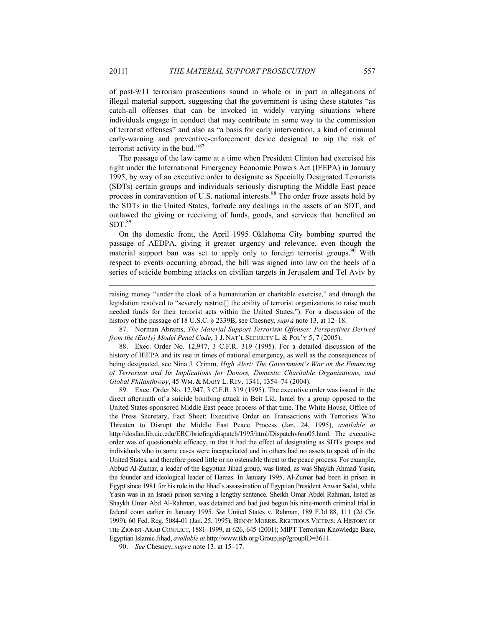of post-9/11 terrorism prosecutions sound in whole or in part in allegations of illegal material support, suggesting that the government is using these statutes "as catch-all offenses that can be invoked in widely varying situations where individuals engage in conduct that may contribute in some way to the commission of terrorist offenses" and also as "a basis for early intervention, a kind of criminal early-warning and preventive-enforcement device designed to nip the risk of terrorist activity in the bud."<sup>87</sup>

The passage of the law came at a time when President Clinton had exercised his right under the International Emergency Economic Powers Act (IEEPA) in January 1995, by way of an executive order to designate as Specially Designated Terrorists (SDTs) certain groups and individuals seriously disrupting the Middle East peace process in contravention of U.S. national interests.<sup>88</sup> The order froze assets held by the SDTs in the United States, forbade any dealings in the assets of an SDT, and outlawed the giving or receiving of funds, goods, and services that benefited an  $SDT<sup>89</sup>$ 

On the domestic front, the April 1995 Oklahoma City bombing spurred the passage of AEDPA, giving it greater urgency and relevance, even though the material support ban was set to apply only to foreign terrorist groups.<sup>90</sup> With respect to events occurring abroad, the bill was signed into law on the heels of a series of suicide bombing attacks on civilian targets in Jerusalem and Tel Aviv by

 87. Norman Abrams, *The Material Support Terrorism Offenses: Perspectives Derived from the (Early) Model Penal Code*, 1 J. NAT'L SECURITY L. & POL'Y 5, 7 (2005).

 88. Exec. Order No. 12,947, 3 C.F.R. 319 (1995). For a detailed discussion of the history of IEEPA and its use in times of national emergency, as well as the consequences of being designated, see Nina J. Crimm, *High Alert: The Government's War on the Financing of Terrorism and Its Implications for Donors, Domestic Charitable Organizations, and Global Philanthropy*, 45 WM. & MARY L. REV. 1341, 1354–74 (2004).

 89. Exec. Order No. 12,947, 3 C.F.R. 319 (1995). The executive order was issued in the direct aftermath of a suicide bombing attack in Beit Lid, Israel by a group opposed to the United States-sponsored Middle East peace process of that time. The White House, Office of the Press Secretary, Fact Sheet: Executive Order on Transactions with Terrorists Who Threaten to Disrupt the Middle East Peace Process (Jan. 24, 1995), *available at*  http://dosfan.lib.uic.edu/ERC/briefing/dispatch/1995/html/Dispatchv6no05.html. The executive order was of questionable efficacy, in that it had the effect of designating as SDTs groups and individuals who in some cases were incapacitated and in others had no assets to speak of in the United States, and therefore posed little or no ostensible threat to the peace process. For example, Abbud Al-Zumar, a leader of the Egyptian Jihad group, was listed, as was Shaykh Ahmad Yasin, the founder and ideological leader of Hamas. In January 1995, Al-Zumar had been in prison in Egypt since 1981 for his role in the Jihad's assassination of Egyptian President Anwar Sadat, while Yasin was in an Israeli prison serving a lengthy sentence. Sheikh Omar Abdel Rahman, listed as Shaykh Umar Abd Al-Rahman, was detained and had just begun his nine-month criminal trial in federal court earlier in January 1995. *See* United States v. Rahman, 189 F.3d 88, 111 (2d Cir. 1999); 60 Fed. Reg. 5084-01 (Jan. 25, 1995); BENNY MORRIS, RIGHTEOUS VICTIMS: A HISTORY OF THE ZIONIST-ARAB CONFLICT, 1881–1999, at 626, 645 (2001); MIPT Terrorism Knowledge Base, Egyptian Islamic Jihad, *available at* http://www.tkb.org/Group.jsp?groupID=3611.

90. *See* Chesney, *supra* note 13, at 15–17.

raising money "under the cloak of a humanitarian or charitable exercise," and through the legislation resolved to "severely restrict[] the ability of terrorist organizations to raise much needed funds for their terrorist acts within the United States."). For a discussion of the history of the passage of 18 U.S.C. § 2339B, see Chesney, *supra* note 13, at 12–18.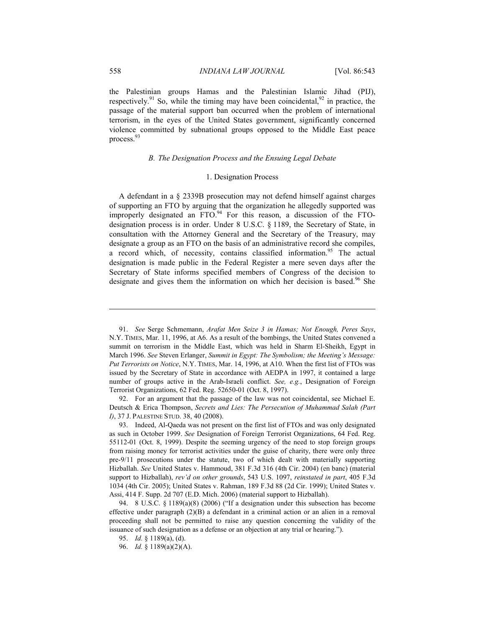the Palestinian groups Hamas and the Palestinian Islamic Jihad (PIJ), respectively.<sup>91</sup> So, while the timing may have been coincidental,<sup>92</sup> in practice, the passage of the material support ban occurred when the problem of international terrorism, in the eyes of the United States government, significantly concerned violence committed by subnational groups opposed to the Middle East peace process.<sup>93</sup>

#### *B. The Designation Process and the Ensuing Legal Debate*

# 1. Designation Process

A defendant in a § 2339B prosecution may not defend himself against charges of supporting an FTO by arguing that the organization he allegedly supported was improperly designated an  $FTO<sup>94</sup>$  For this reason, a discussion of the FTOdesignation process is in order. Under 8 U.S.C. § 1189, the Secretary of State, in consultation with the Attorney General and the Secretary of the Treasury, may designate a group as an FTO on the basis of an administrative record she compiles, a record which, of necessity, contains classified information.<sup>95</sup> The actual designation is made public in the Federal Register a mere seven days after the Secretary of State informs specified members of Congress of the decision to designate and gives them the information on which her decision is based.<sup>96</sup> She

 92. For an argument that the passage of the law was not coincidental, see Michael E. Deutsch & Erica Thompson, *Secrets and Lies: The Persecution of Muhammad Salah (Part I)*, 37 J. PALESTINE STUD. 38, 40 (2008).

 <sup>91.</sup> *See* Serge Schmemann, *Arafat Men Seize 3 in Hamas; Not Enough, Peres Says*, N.Y. TIMES, Mar. 11, 1996, at A6. As a result of the bombings, the United States convened a summit on terrorism in the Middle East, which was held in Sharm El-Sheikh, Egypt in March 1996. *See* Steven Erlanger, *Summit in Egypt: The Symbolism; the Meeting's Message: Put Terrorists on Notice*, N.Y. TIMES, Mar. 14, 1996, at A10. When the first list of FTOs was issued by the Secretary of State in accordance with AEDPA in 1997, it contained a large number of groups active in the Arab-Israeli conflict. *See, e.g.*, Designation of Foreign Terrorist Organizations, 62 Fed. Reg. 52650-01 (Oct. 8, 1997).

 <sup>93.</sup> Indeed, Al-Qaeda was not present on the first list of FTOs and was only designated as such in October 1999. *See* Designation of Foreign Terrorist Organizations, 64 Fed. Reg. 55112-01 (Oct. 8, 1999). Despite the seeming urgency of the need to stop foreign groups from raising money for terrorist activities under the guise of charity, there were only three pre-9/11 prosecutions under the statute, two of which dealt with materially supporting Hizballah. *See* United States v. Hammoud, 381 F.3d 316 (4th Cir. 2004) (en banc) (material support to Hizballah), *rev'd on other grounds*, 543 U.S. 1097, *reinstated in part*, 405 F.3d 1034 (4th Cir. 2005); United States v. Rahman, 189 F.3d 88 (2d Cir. 1999); United States v. Assi, 414 F. Supp. 2d 707 (E.D. Mich. 2006) (material support to Hizballah).

 <sup>94. 8</sup> U.S.C. § 1189(a)(8) (2006) ("If a designation under this subsection has become effective under paragraph  $(2)(B)$  a defendant in a criminal action or an alien in a removal proceeding shall not be permitted to raise any question concerning the validity of the issuance of such designation as a defense or an objection at any trial or hearing.").

 <sup>95.</sup> *Id.* § 1189(a), (d).

 <sup>96.</sup> *Id.* § 1189(a)(2)(A).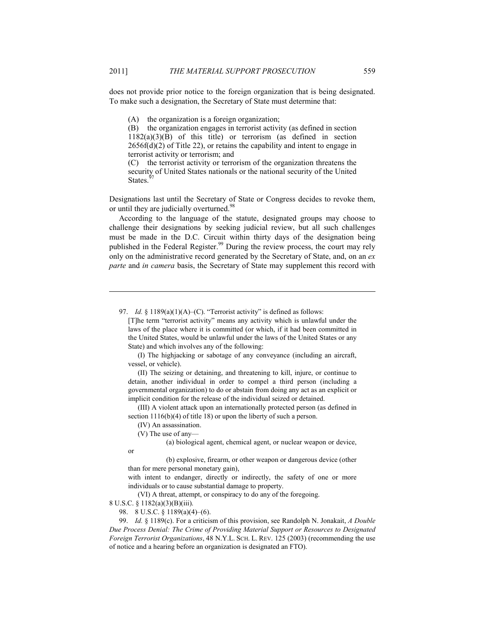does not provide prior notice to the foreign organization that is being designated. To make such a designation, the Secretary of State must determine that:

(A) the organization is a foreign organization;

(B) the organization engages in terrorist activity (as defined in section  $1182(a)(3)(B)$  of this title) or terrorism (as defined in section  $2656f(d)(2)$  of Title 22), or retains the capability and intent to engage in terrorist activity or terrorism; and

(C) the terrorist activity or terrorism of the organization threatens the security of United States nationals or the national security of the United States.

Designations last until the Secretary of State or Congress decides to revoke them, or until they are judicially overturned.<sup>98</sup>

According to the language of the statute, designated groups may choose to challenge their designations by seeking judicial review, but all such challenges must be made in the D.C. Circuit within thirty days of the designation being published in the Federal Register.<sup>99</sup> During the review process, the court may rely only on the administrative record generated by the Secretary of State, and, on an *ex parte* and *in camera* basis, the Secretary of State may supplement this record with

97. *Id.* § 1189(a)(1)(A)–(C). "Terrorist activity" is defined as follows:

 (I) The highjacking or sabotage of any conveyance (including an aircraft, vessel, or vehicle).

 (II) The seizing or detaining, and threatening to kill, injure, or continue to detain, another individual in order to compel a third person (including a governmental organization) to do or abstain from doing any act as an explicit or implicit condition for the release of the individual seized or detained.

 (III) A violent attack upon an internationally protected person (as defined in section  $1116(b)(4)$  of title 18) or upon the liberty of such a person.

(IV) An assassination.

(V) The use of any—

(a) biological agent, chemical agent, or nuclear weapon or device,

or

<u>.</u>

 (b) explosive, firearm, or other weapon or dangerous device (other than for mere personal monetary gain),

with intent to endanger, directly or indirectly, the safety of one or more individuals or to cause substantial damage to property.

(VI) A threat, attempt, or conspiracy to do any of the foregoing.

8 U.S.C. § 1182(a)(3)(B)(iii).

98. 8 U.S.C. § 1189(a)(4)–(6).

 99. *Id.* § 1189(c). For a criticism of this provision, see Randolph N. Jonakait, *A Double Due Process Denial: The Crime of Providing Material Support or Resources to Designated Foreign Terrorist Organizations*, 48 N.Y.L. SCH. L. REV. 125 (2003) (recommending the use of notice and a hearing before an organization is designated an FTO).

<sup>[</sup>T]he term "terrorist activity" means any activity which is unlawful under the laws of the place where it is committed (or which, if it had been committed in the United States, would be unlawful under the laws of the United States or any State) and which involves any of the following: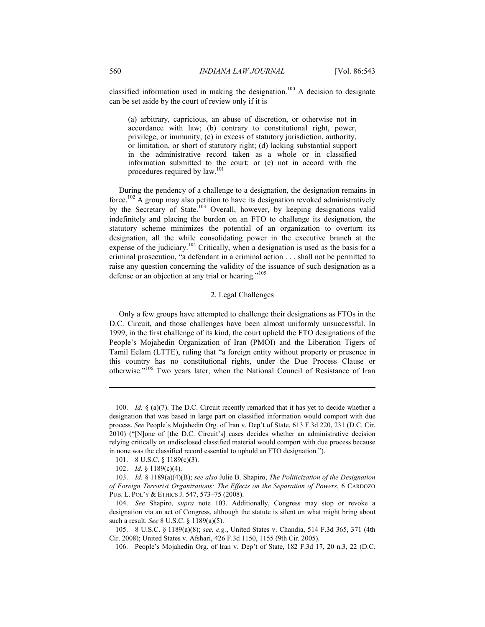classified information used in making the designation.<sup>100</sup> A decision to designate can be set aside by the court of review only if it is

(a) arbitrary, capricious, an abuse of discretion, or otherwise not in accordance with law; (b) contrary to constitutional right, power, privilege, or immunity; (c) in excess of statutory jurisdiction, authority, or limitation, or short of statutory right; (d) lacking substantial support in the administrative record taken as a whole or in classified information submitted to the court; or (e) not in accord with the procedures required by law.<sup>101</sup>

During the pendency of a challenge to a designation, the designation remains in force.<sup>102</sup> A group may also petition to have its designation revoked administratively by the Secretary of State.<sup>103</sup> Overall, however, by keeping designations valid indefinitely and placing the burden on an FTO to challenge its designation, the statutory scheme minimizes the potential of an organization to overturn its designation, all the while consolidating power in the executive branch at the expense of the judiciary.<sup>104</sup> Critically, when a designation is used as the basis for a criminal prosecution, "a defendant in a criminal action . . . shall not be permitted to raise any question concerning the validity of the issuance of such designation as a defense or an objection at any trial or hearing."<sup>105</sup>

# 2. Legal Challenges

Only a few groups have attempted to challenge their designations as FTOs in the D.C. Circuit, and those challenges have been almost uniformly unsuccessful. In 1999, in the first challenge of its kind, the court upheld the FTO designations of the People's Mojahedin Organization of Iran (PMOI) and the Liberation Tigers of Tamil Eelam (LTTE), ruling that "a foreign entity without property or presence in this country has no constitutional rights, under the Due Process Clause or otherwise."<sup>106</sup> Two years later, when the National Council of Resistance of Iran

 <sup>100.</sup> *Id.* § (a)(7). The D.C. Circuit recently remarked that it has yet to decide whether a designation that was based in large part on classified information would comport with due process. *See* People's Mojahedin Org. of Iran v. Dep't of State, 613 F.3d 220, 231 (D.C. Cir. 2010) ("[N]one of [the D.C. Circuit's] cases decides whether an administrative decision relying critically on undisclosed classified material would comport with due process because in none was the classified record essential to uphold an FTO designation.").

 <sup>101. 8</sup> U.S.C. § 1189(c)(3).

 <sup>102.</sup> *Id.* § 1189(c)(4).

 <sup>103.</sup> *Id.* § 1189(a)(4)(B); *see also* Julie B. Shapiro, *The Politicization of the Designation of Foreign Terrorist Organizations: The Effects on the Separation of Powers*, 6 CARDOZO PUB. L. POL'Y & ETHICS J. 547, 573–75 (2008).

 <sup>104.</sup> *See* Shapiro, *supra* note 103. Additionally, Congress may stop or revoke a designation via an act of Congress, although the statute is silent on what might bring about such a result. *See* 8 U.S.C. § 1189(a)(5).

 <sup>105. 8</sup> U.S.C. § 1189(a)(8); *see, e.g.*, United States v. Chandia, 514 F.3d 365, 371 (4th Cir. 2008); United States v. Afshari, 426 F.3d 1150, 1155 (9th Cir. 2005).

 <sup>106.</sup> People's Mojahedin Org. of Iran v. Dep't of State, 182 F.3d 17, 20 n.3, 22 (D.C.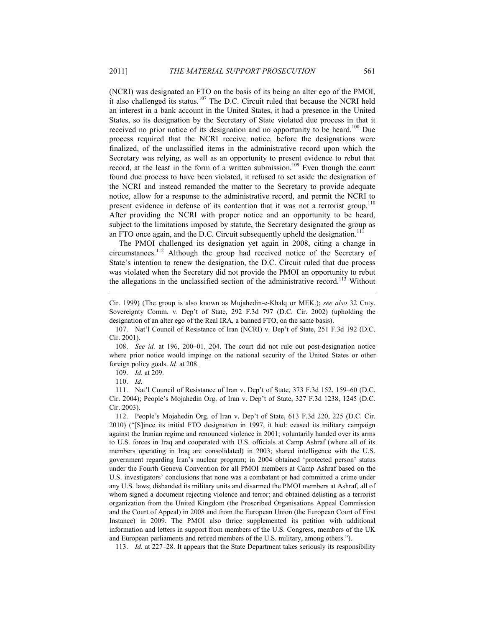(NCRI) was designated an FTO on the basis of its being an alter ego of the PMOI, it also challenged its status. $107$  The D.C. Circuit ruled that because the NCRI held an interest in a bank account in the United States, it had a presence in the United States, so its designation by the Secretary of State violated due process in that it received no prior notice of its designation and no opportunity to be heard.<sup>108</sup> Due process required that the NCRI receive notice, before the designations were finalized, of the unclassified items in the administrative record upon which the Secretary was relying, as well as an opportunity to present evidence to rebut that record, at the least in the form of a written submission.<sup>109</sup> Even though the court found due process to have been violated, it refused to set aside the designation of the NCRI and instead remanded the matter to the Secretary to provide adequate notice, allow for a response to the administrative record, and permit the NCRI to present evidence in defense of its contention that it was not a terrorist group.<sup>110</sup> After providing the NCRI with proper notice and an opportunity to be heard, subject to the limitations imposed by statute, the Secretary designated the group as an FTO once again, and the D.C. Circuit subsequently upheld the designation.<sup>111</sup>

The PMOI challenged its designation yet again in 2008, citing a change in circumstances.112 Although the group had received notice of the Secretary of State's intention to renew the designation, the D.C. Circuit ruled that due process was violated when the Secretary did not provide the PMOI an opportunity to rebut the allegations in the unclassified section of the administrative record.<sup>113</sup> Without

 108. *See id.* at 196, 200–01, 204. The court did not rule out post-designation notice where prior notice would impinge on the national security of the United States or other foreign policy goals. *Id.* at 208.

109. *Id.* at 209.

110. *Id.*

1

 111. Nat'l Council of Resistance of Iran v. Dep't of State, 373 F.3d 152, 159–60 (D.C. Cir. 2004); People's Mojahedin Org. of Iran v. Dep't of State, 327 F.3d 1238, 1245 (D.C. Cir. 2003).

 112. People's Mojahedin Org. of Iran v. Dep't of State, 613 F.3d 220, 225 (D.C. Cir. 2010) ("[S]ince its initial FTO designation in 1997, it had: ceased its military campaign against the Iranian regime and renounced violence in 2001; voluntarily handed over its arms to U.S. forces in Iraq and cooperated with U.S. officials at Camp Ashraf (where all of its members operating in Iraq are consolidated) in 2003; shared intelligence with the U.S. government regarding Iran's nuclear program; in 2004 obtained 'protected person' status under the Fourth Geneva Convention for all PMOI members at Camp Ashraf based on the U.S. investigators' conclusions that none was a combatant or had committed a crime under any U.S. laws; disbanded its military units and disarmed the PMOI members at Ashraf, all of whom signed a document rejecting violence and terror; and obtained delisting as a terrorist organization from the United Kingdom (the Proscribed Organisations Appeal Commission and the Court of Appeal) in 2008 and from the European Union (the European Court of First Instance) in 2009. The PMOI also thrice supplemented its petition with additional information and letters in support from members of the U.S. Congress, members of the UK and European parliaments and retired members of the U.S. military, among others.").

113. *Id.* at 227–28. It appears that the State Department takes seriously its responsibility

Cir. 1999) (The group is also known as Mujahedin-e-Khalq or MEK.); *see also* 32 Cnty. Sovereignty Comm. v. Dep't of State, 292 F.3d 797 (D.C. Cir. 2002) (upholding the designation of an alter ego of the Real IRA, a banned FTO, on the same basis).

 <sup>107.</sup> Nat'l Council of Resistance of Iran (NCRI) v. Dep't of State, 251 F.3d 192 (D.C. Cir. 2001).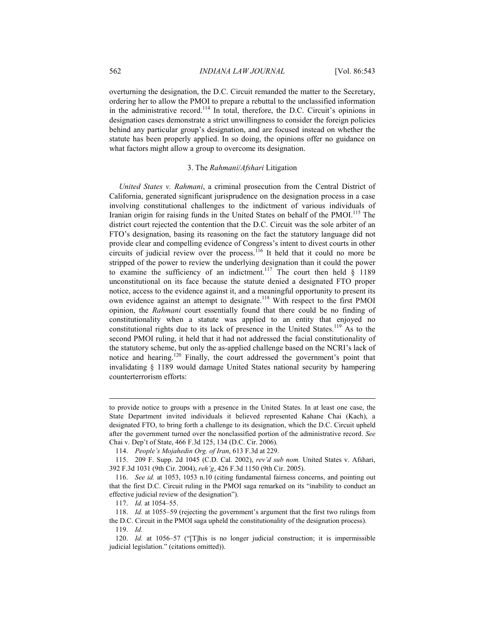overturning the designation, the D.C. Circuit remanded the matter to the Secretary, ordering her to allow the PMOI to prepare a rebuttal to the unclassified information in the administrative record.114 In total, therefore, the D.C. Circuit's opinions in designation cases demonstrate a strict unwillingness to consider the foreign policies behind any particular group's designation, and are focused instead on whether the statute has been properly applied. In so doing, the opinions offer no guidance on what factors might allow a group to overcome its designation.

### 3. The *Rahmani*/*Afshari* Litigation

*United States v. Rahmani*, a criminal prosecution from the Central District of California, generated significant jurisprudence on the designation process in a case involving constitutional challenges to the indictment of various individuals of Iranian origin for raising funds in the United States on behalf of the PMOI.<sup>115</sup> The district court rejected the contention that the D.C. Circuit was the sole arbiter of an FTO's designation, basing its reasoning on the fact the statutory language did not provide clear and compelling evidence of Congress's intent to divest courts in other circuits of judicial review over the process.<sup>116</sup> It held that it could no more be stripped of the power to review the underlying designation than it could the power to examine the sufficiency of an indictment.<sup>117</sup> The court then held  $\frac{1}{8}$  1189 unconstitutional on its face because the statute denied a designated FTO proper notice, access to the evidence against it, and a meaningful opportunity to present its own evidence against an attempt to designate.<sup>118</sup> With respect to the first PMOI opinion, the *Rahmani* court essentially found that there could be no finding of constitutionality when a statute was applied to an entity that enjoyed no constitutional rights due to its lack of presence in the United States.<sup>119</sup> As to the second PMOI ruling, it held that it had not addressed the facial constitutionality of the statutory scheme, but only the as-applied challenge based on the NCRI's lack of notice and hearing.120 Finally, the court addressed the government's point that invalidating § 1189 would damage United States national security by hampering counterterrorism efforts:

to provide notice to groups with a presence in the United States. In at least one case, the State Department invited individuals it believed represented Kahane Chai (Kach), a designated FTO, to bring forth a challenge to its designation, which the D.C. Circuit upheld after the government turned over the nonclassified portion of the administrative record. *See*  Chai v. Dep't of State, 466 F.3d 125, 134 (D.C. Cir. 2006).

 <sup>114.</sup> *People's Mojahedin Org. of Iran*, 613 F.3d at 229.

 <sup>115. 209</sup> F. Supp. 2d 1045 (C.D. Cal. 2002), *rev'd sub nom.* United States v. Afshari, 392 F.3d 1031 (9th Cir. 2004), *reh'g*, 426 F.3d 1150 (9th Cir. 2005).

 <sup>116.</sup> *See id.* at 1053, 1053 n.10 (citing fundamental fairness concerns, and pointing out that the first D.C. Circuit ruling in the PMOI saga remarked on its "inability to conduct an effective judicial review of the designation").

 <sup>117.</sup> *Id.* at 1054–55.

 <sup>118.</sup> *Id.* at 1055–59 (rejecting the government's argument that the first two rulings from the D.C. Circuit in the PMOI saga upheld the constitutionality of the designation process).

 <sup>119.</sup> *Id.*

 <sup>120.</sup> *Id.* at 1056–57 ("[T]his is no longer judicial construction; it is impermissible judicial legislation." (citations omitted)).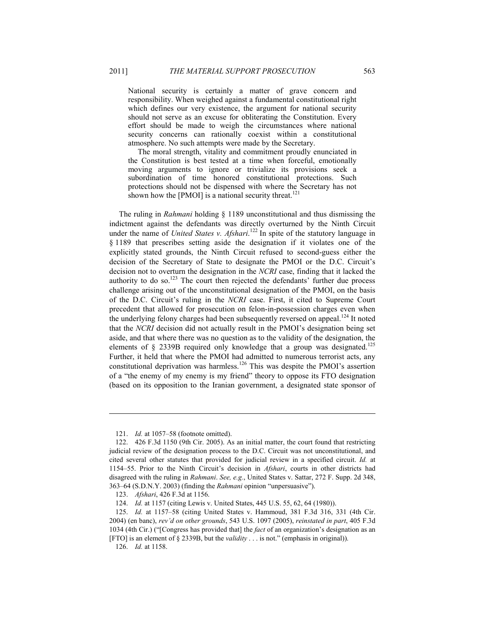National security is certainly a matter of grave concern and responsibility. When weighed against a fundamental constitutional right which defines our very existence, the argument for national security should not serve as an excuse for obliterating the Constitution. Every effort should be made to weigh the circumstances where national security concerns can rationally coexist within a constitutional atmosphere. No such attempts were made by the Secretary.

 The moral strength, vitality and commitment proudly enunciated in the Constitution is best tested at a time when forceful, emotionally moving arguments to ignore or trivialize its provisions seek a subordination of time honored constitutional protections. Such protections should not be dispensed with where the Secretary has not shown how the [PMOI] is a national security threat.<sup>121</sup>

The ruling in *Rahmani* holding § 1189 unconstitutional and thus dismissing the indictment against the defendants was directly overturned by the Ninth Circuit under the name of *United States v. Afshari*. 122 In spite of the statutory language in § 1189 that prescribes setting aside the designation if it violates one of the explicitly stated grounds, the Ninth Circuit refused to second-guess either the decision of the Secretary of State to designate the PMOI or the D.C. Circuit's decision not to overturn the designation in the *NCRI* case, finding that it lacked the authority to do so.<sup>123</sup> The court then rejected the defendants' further due process challenge arising out of the unconstitutional designation of the PMOI, on the basis of the D.C. Circuit's ruling in the *NCRI* case. First, it cited to Supreme Court precedent that allowed for prosecution on felon-in-possession charges even when the underlying felony charges had been subsequently reversed on appeal.<sup>124</sup> It noted that the *NCRI* decision did not actually result in the PMOI's designation being set aside, and that where there was no question as to the validity of the designation, the elements of § 2339B required only knowledge that a group was designated.<sup>125</sup> Further, it held that where the PMOI had admitted to numerous terrorist acts, any constitutional deprivation was harmless.<sup>126</sup> This was despite the PMOI's assertion of a "the enemy of my enemy is my friend" theory to oppose its FTO designation (based on its opposition to the Iranian government, a designated state sponsor of

 <sup>121.</sup> *Id.* at 1057–58 (footnote omitted).

 <sup>122. 426</sup> F.3d 1150 (9th Cir. 2005). As an initial matter, the court found that restricting judicial review of the designation process to the D.C. Circuit was not unconstitutional, and cited several other statutes that provided for judicial review in a specified circuit. *Id.* at 1154–55. Prior to the Ninth Circuit's decision in *Afshari*, courts in other districts had disagreed with the ruling in *Rahmani*. *See, e.g.*, United States v. Sattar, 272 F. Supp. 2d 348, 363–64 (S.D.N.Y. 2003) (finding the *Rahmani* opinion "unpersuasive").

 <sup>123.</sup> *Afshari*, 426 F.3d at 1156.

 <sup>124.</sup> *Id.* at 1157 (citing Lewis v. United States, 445 U.S. 55, 62, 64 (1980)).

 <sup>125.</sup> *Id.* at 1157–58 (citing United States v. Hammoud, 381 F.3d 316, 331 (4th Cir. 2004) (en banc), *rev'd on other grounds*, 543 U.S. 1097 (2005), *reinstated in part*, 405 F.3d 1034 (4th Cir.) ("[Congress has provided that] the *fact* of an organization's designation as an [FTO] is an element of § 2339B, but the *validity* . . . is not." (emphasis in original)).

 <sup>126.</sup> *Id.* at 1158.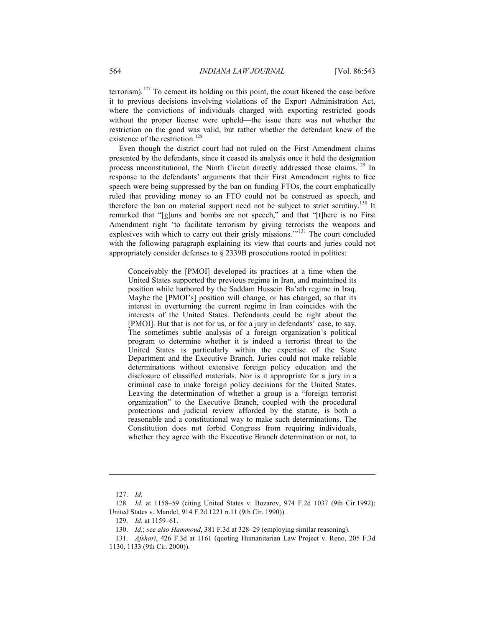terrorism).<sup>127</sup> To cement its holding on this point, the court likened the case before it to previous decisions involving violations of the Export Administration Act, where the convictions of individuals charged with exporting restricted goods without the proper license were upheld—the issue there was not whether the restriction on the good was valid, but rather whether the defendant knew of the existence of the restriction.<sup>128</sup>

Even though the district court had not ruled on the First Amendment claims presented by the defendants, since it ceased its analysis once it held the designation process unconstitutional, the Ninth Circuit directly addressed those claims.<sup>129</sup> In response to the defendants' arguments that their First Amendment rights to free speech were being suppressed by the ban on funding FTOs, the court emphatically ruled that providing money to an FTO could not be construed as speech, and therefore the ban on material support need not be subject to strict scrutiny.<sup>130</sup> It remarked that "[g]uns and bombs are not speech," and that "[t]here is no First Amendment right 'to facilitate terrorism by giving terrorists the weapons and explosives with which to carry out their grisly missions.'"131 The court concluded with the following paragraph explaining its view that courts and juries could not appropriately consider defenses to § 2339B prosecutions rooted in politics:

Conceivably the [PMOI] developed its practices at a time when the United States supported the previous regime in Iran, and maintained its position while harbored by the Saddam Hussein Ba'ath regime in Iraq. Maybe the [PMOI's] position will change, or has changed, so that its interest in overturning the current regime in Iran coincides with the interests of the United States. Defendants could be right about the [PMOI]. But that is not for us, or for a jury in defendants' case, to say. The sometimes subtle analysis of a foreign organization's political program to determine whether it is indeed a terrorist threat to the United States is particularly within the expertise of the State Department and the Executive Branch. Juries could not make reliable determinations without extensive foreign policy education and the disclosure of classified materials. Nor is it appropriate for a jury in a criminal case to make foreign policy decisions for the United States. Leaving the determination of whether a group is a "foreign terrorist organization" to the Executive Branch, coupled with the procedural protections and judicial review afforded by the statute, is both a reasonable and a constitutional way to make such determinations. The Constitution does not forbid Congress from requiring individuals, whether they agree with the Executive Branch determination or not, to

<u>.</u>

 <sup>127.</sup> *Id.* 

<sup>128</sup>*. Id.* at 1158–59 (citing United States v. Bozarov, 974 F.2d 1037 (9th Cir.1992); United States v. Mandel, 914 F.2d 1221 n.11 (9th Cir. 1990)).

 <sup>129.</sup> *Id.* at 1159–61.

 <sup>130.</sup> *Id.*; *see also Hammoud*, 381 F.3d at 328–29 (employing similar reasoning).

 <sup>131.</sup> *Afshari*, 426 F.3d at 1161 (quoting Humanitarian Law Project v. Reno, 205 F.3d 1130, 1133 (9th Cir. 2000)).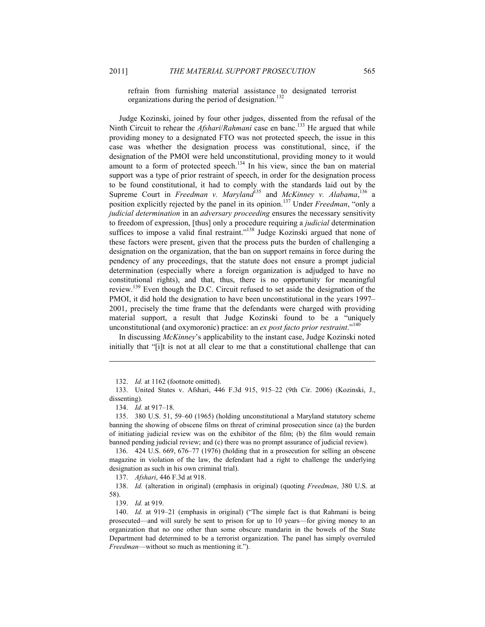refrain from furnishing material assistance to designated terrorist organizations during the period of designation.<sup>132</sup>

Judge Kozinski, joined by four other judges, dissented from the refusal of the Ninth Circuit to rehear the *Afshari*/*Rahmani* case en banc.<sup>133</sup> He argued that while providing money to a designated FTO was not protected speech, the issue in this case was whether the designation process was constitutional, since, if the designation of the PMOI were held unconstitutional, providing money to it would amount to a form of protected speech.<sup>134</sup> In his view, since the ban on material support was a type of prior restraint of speech, in order for the designation process to be found constitutional, it had to comply with the standards laid out by the Supreme Court in *Freedman v. Maryland*<sup>135</sup> and *McKinney v. Alabama*,<sup>136</sup> a position explicitly rejected by the panel in its opinion.137 Under *Freedman*, "only a *judicial determination* in an *adversary proceeding* ensures the necessary sensitivity to freedom of expression, [thus] only a procedure requiring a *judicial* determination suffices to impose a valid final restraint."<sup>138</sup> Judge Kozinski argued that none of these factors were present, given that the process puts the burden of challenging a designation on the organization, that the ban on support remains in force during the pendency of any proceedings, that the statute does not ensure a prompt judicial determination (especially where a foreign organization is adjudged to have no constitutional rights), and that, thus, there is no opportunity for meaningful review.<sup>139</sup> Even though the D.C. Circuit refused to set aside the designation of the PMOI, it did hold the designation to have been unconstitutional in the years 1997– 2001, precisely the time frame that the defendants were charged with providing material support, a result that Judge Kozinski found to be a "uniquely unconstitutional (and oxymoronic) practice: an *ex post facto prior restraint*."<sup>140</sup>

In discussing *McKinney*'s applicability to the instant case, Judge Kozinski noted initially that "[i]t is not at all clear to me that a constitutional challenge that can

 <sup>132.</sup> *Id.* at 1162 (footnote omitted).

 <sup>133.</sup> United States v. Afshari, 446 F.3d 915, 915–22 (9th Cir. 2006) (Kozinski, J., dissenting).

 <sup>134.</sup> *Id.* at 917–18.

 <sup>135. 380</sup> U.S. 51, 59–60 (1965) (holding unconstitutional a Maryland statutory scheme banning the showing of obscene films on threat of criminal prosecution since (a) the burden of initiating judicial review was on the exhibitor of the film; (b) the film would remain banned pending judicial review; and (c) there was no prompt assurance of judicial review).

 <sup>136. 424</sup> U.S. 669, 676–77 (1976) (holding that in a prosecution for selling an obscene magazine in violation of the law, the defendant had a right to challenge the underlying designation as such in his own criminal trial).

 <sup>137.</sup> *Afshari*, 446 F.3d at 918.

 <sup>138.</sup> *Id.* (alteration in original) (emphasis in original) (quoting *Freedman*, 380 U.S. at 58).

 <sup>139.</sup> *Id.* at 919.

 <sup>140.</sup> *Id.* at 919–21 (emphasis in original) ("The simple fact is that Rahmani is being prosecuted—and will surely be sent to prison for up to 10 years—for giving money to an organization that no one other than some obscure mandarin in the bowels of the State Department had determined to be a terrorist organization. The panel has simply overruled *Freedman*—without so much as mentioning it.").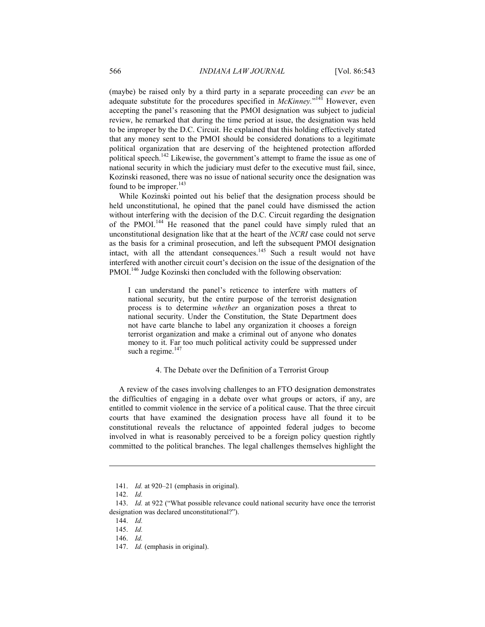(maybe) be raised only by a third party in a separate proceeding can *ever* be an adequate substitute for the procedures specified in *McKinney*."<sup>141</sup> However, even accepting the panel's reasoning that the PMOI designation was subject to judicial review, he remarked that during the time period at issue, the designation was held to be improper by the D.C. Circuit. He explained that this holding effectively stated that any money sent to the PMOI should be considered donations to a legitimate political organization that are deserving of the heightened protection afforded political speech.<sup>142</sup> Likewise, the government's attempt to frame the issue as one of national security in which the judiciary must defer to the executive must fail, since, Kozinski reasoned, there was no issue of national security once the designation was found to be improper.<sup>143</sup>

While Kozinski pointed out his belief that the designation process should be held unconstitutional, he opined that the panel could have dismissed the action without interfering with the decision of the D.C. Circuit regarding the designation of the PMOI.<sup>144</sup> He reasoned that the panel could have simply ruled that an unconstitutional designation like that at the heart of the *NCRI* case could not serve as the basis for a criminal prosecution, and left the subsequent PMOI designation intact, with all the attendant consequences.<sup>145</sup> Such a result would not have interfered with another circuit court's decision on the issue of the designation of the PMOI.<sup>146</sup> Judge Kozinski then concluded with the following observation:

I can understand the panel's reticence to interfere with matters of national security, but the entire purpose of the terrorist designation process is to determine *whether* an organization poses a threat to national security. Under the Constitution, the State Department does not have carte blanche to label any organization it chooses a foreign terrorist organization and make a criminal out of anyone who donates money to it. Far too much political activity could be suppressed under such a regime.<sup>147</sup>

## 4. The Debate over the Definition of a Terrorist Group

A review of the cases involving challenges to an FTO designation demonstrates the difficulties of engaging in a debate over what groups or actors, if any, are entitled to commit violence in the service of a political cause. That the three circuit courts that have examined the designation process have all found it to be constitutional reveals the reluctance of appointed federal judges to become involved in what is reasonably perceived to be a foreign policy question rightly committed to the political branches. The legal challenges themselves highlight the

 <sup>141.</sup> *Id.* at 920–21 (emphasis in original).

 <sup>142.</sup> *Id.*

 <sup>143.</sup> *Id.* at 922 ("What possible relevance could national security have once the terrorist designation was declared unconstitutional?").

 <sup>144.</sup> *Id.*

 <sup>145.</sup> *Id.*

 <sup>146.</sup> *Id.*

 <sup>147.</sup> *Id.* (emphasis in original).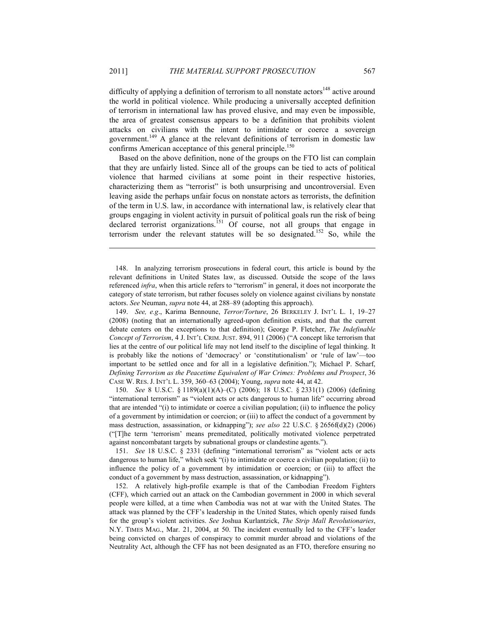difficulty of applying a definition of terrorism to all nonstate actors<sup>148</sup> active around the world in political violence. While producing a universally accepted definition of terrorism in international law has proved elusive, and may even be impossible, the area of greatest consensus appears to be a definition that prohibits violent attacks on civilians with the intent to intimidate or coerce a sovereign government.149 A glance at the relevant definitions of terrorism in domestic law confirms American acceptance of this general principle.<sup>150</sup>

Based on the above definition, none of the groups on the FTO list can complain that they are unfairly listed. Since all of the groups can be tied to acts of political violence that harmed civilians at some point in their respective histories, characterizing them as "terrorist" is both unsurprising and uncontroversial. Even leaving aside the perhaps unfair focus on nonstate actors as terrorists, the definition of the term in U.S. law, in accordance with international law, is relatively clear that groups engaging in violent activity in pursuit of political goals run the risk of being declared terrorist organizations.<sup>151</sup> Of course, not all groups that engage in terrorism under the relevant statutes will be so designated.<sup>152</sup> So, while the

 148. In analyzing terrorism prosecutions in federal court, this article is bound by the relevant definitions in United States law, as discussed. Outside the scope of the laws referenced *infra*, when this article refers to "terrorism" in general, it does not incorporate the category of state terrorism, but rather focuses solely on violence against civilians by nonstate actors. *See* Neuman, *supra* note 44, at 288–89 (adopting this approach).

1

 149. *See, e.g*., Karima Bennoune, *Terror/Torture*, 26 BERKELEY J. INT'L L. 1, 19–27 (2008) (noting that an internationally agreed-upon definition exists, and that the current debate centers on the exceptions to that definition); George P. Fletcher, *The Indefinable Concept of Terrorism*, 4 J. INT'L CRIM. JUST. 894, 911 (2006) ("A concept like terrorism that lies at the centre of our political life may not lend itself to the discipline of legal thinking. It is probably like the notions of 'democracy' or 'constitutionalism' or 'rule of law'—too important to be settled once and for all in a legislative definition."); Michael P. Scharf, *Defining Terrorism as the Peacetime Equivalent of War Crimes: Problems and Prospect*, 36 CASE W. RES. J. INT'L L. 359, 360–63 (2004); Young, *supra* note 44, at 42.

 150. *See* 8 U.S.C. § 1189(a)(1)(A)–(C) (2006); 18 U.S.C. § 2331(1) (2006) (defining "international terrorism" as "violent acts or acts dangerous to human life" occurring abroad that are intended "(i) to intimidate or coerce a civilian population; (ii) to influence the policy of a government by intimidation or coercion; or (iii) to affect the conduct of a government by mass destruction, assassination, or kidnapping"); *see also* 22 U.S.C. § 2656f(d)(2) (2006) ("[T]he term 'terrorism' means premeditated, politically motivated violence perpetrated against noncombatant targets by subnational groups or clandestine agents.").

 151. *See* 18 U.S.C. § 2331 (defining "international terrorism" as "violent acts or acts dangerous to human life," which seek "(i) to intimidate or coerce a civilian population; (ii) to influence the policy of a government by intimidation or coercion; or (iii) to affect the conduct of a government by mass destruction, assassination, or kidnapping").

 152. A relatively high-profile example is that of the Cambodian Freedom Fighters (CFF), which carried out an attack on the Cambodian government in 2000 in which several people were killed, at a time when Cambodia was not at war with the United States. The attack was planned by the CFF's leadership in the United States, which openly raised funds for the group's violent activities. *See* Joshua Kurlantzick, *The Strip Mall Revolutionaries*, N.Y. TIMES MAG., Mar. 21, 2004, at 50. The incident eventually led to the CFF's leader being convicted on charges of conspiracy to commit murder abroad and violations of the Neutrality Act, although the CFF has not been designated as an FTO, therefore ensuring no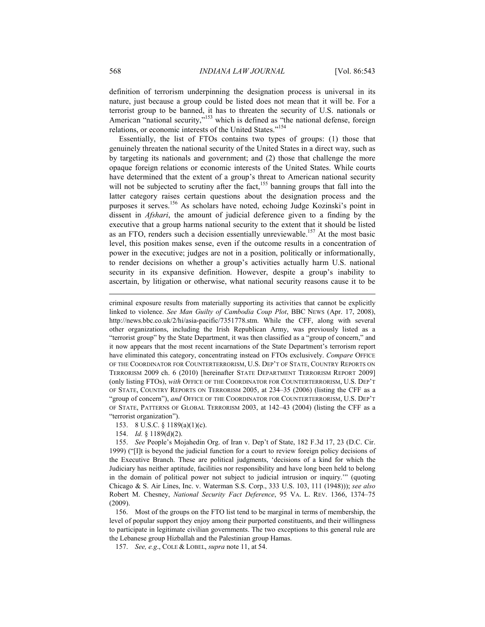definition of terrorism underpinning the designation process is universal in its nature, just because a group could be listed does not mean that it will be. For a terrorist group to be banned, it has to threaten the security of U.S. nationals or American "national security,"<sup>153</sup> which is defined as "the national defense, foreign relations, or economic interests of the United States."<sup>154</sup>

Essentially, the list of FTOs contains two types of groups: (1) those that genuinely threaten the national security of the United States in a direct way, such as by targeting its nationals and government; and (2) those that challenge the more opaque foreign relations or economic interests of the United States. While courts have determined that the extent of a group's threat to American national security will not be subjected to scrutiny after the fact,<sup>155</sup> banning groups that fall into the latter category raises certain questions about the designation process and the purposes it serves.156 As scholars have noted, echoing Judge Kozinski's point in dissent in *Afshari*, the amount of judicial deference given to a finding by the executive that a group harms national security to the extent that it should be listed as an FTO, renders such a decision essentially unreviewable.<sup>157</sup> At the most basic level, this position makes sense, even if the outcome results in a concentration of power in the executive; judges are not in a position, politically or informationally, to render decisions on whether a group's activities actually harm U.S. national security in its expansive definition. However, despite a group's inability to ascertain, by litigation or otherwise, what national security reasons cause it to be

criminal exposure results from materially supporting its activities that cannot be explicitly linked to violence. *See Man Guilty of Cambodia Coup Plot*, BBC NEWS (Apr. 17, 2008), http://news.bbc.co.uk/2/hi/asia-pacific/7351778.stm. While the CFF, along with several other organizations, including the Irish Republican Army, was previously listed as a "terrorist group" by the State Department, it was then classified as a "group of concern," and it now appears that the most recent incarnations of the State Department's terrorism report have eliminated this category, concentrating instead on FTOs exclusively. *Compare* OFFICE OF THE COORDINATOR FOR COUNTERTERRORISM, U.S. DEP'T OF STATE, COUNTRY REPORTS ON TERRORISM 2009 ch. 6 (2010) [hereinafter STATE DEPARTMENT TERRORISM REPORT 2009] (only listing FTOs), *with* OFFICE OF THE COORDINATOR FOR COUNTERTERRORISM, U.S. DEP'T OF STATE, COUNTRY REPORTS ON TERRORISM 2005, at 234–35 (2006) (listing the CFF as a "group of concern"), *and* OFFICE OF THE COORDINATOR FOR COUNTERTERRORISM, U.S. DEP'T OF STATE, PATTERNS OF GLOBAL TERRORISM 2003, at 142–43 (2004) (listing the CFF as a "terrorist organization").

153. 8 U.S.C. § 1189(a)(1)(c).

154. *Id.* § 1189(d)(2).

 155. *See* People's Mojahedin Org. of Iran v. Dep't of State, 182 F.3d 17, 23 (D.C. Cir. 1999) ("[I]t is beyond the judicial function for a court to review foreign policy decisions of the Executive Branch. These are political judgments, 'decisions of a kind for which the Judiciary has neither aptitude, facilities nor responsibility and have long been held to belong in the domain of political power not subject to judicial intrusion or inquiry.'" (quoting Chicago & S. Air Lines, Inc. v. Waterman S.S. Corp., 333 U.S. 103, 111 (1948))); *see also* Robert M. Chesney, *National Security Fact Deference*, 95 VA. L. REV. 1366, 1374–75 (2009).

 156. Most of the groups on the FTO list tend to be marginal in terms of membership, the level of popular support they enjoy among their purported constituents, and their willingness to participate in legitimate civilian governments. The two exceptions to this general rule are the Lebanese group Hizballah and the Palestinian group Hamas.

157. *See, e.g*., COLE & LOBEL, *supra* note 11, at 54.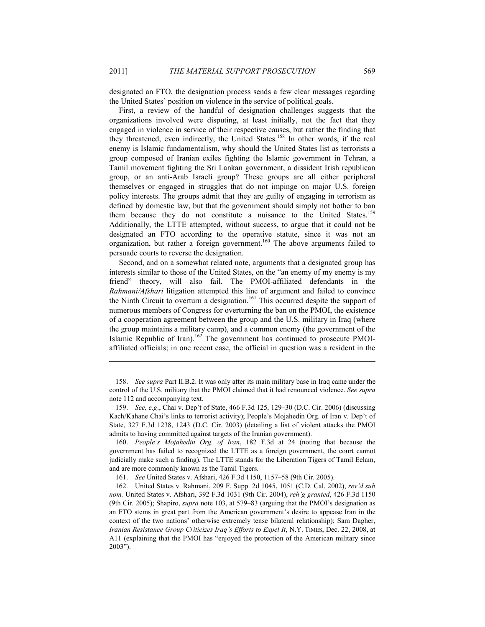designated an FTO, the designation process sends a few clear messages regarding the United States' position on violence in the service of political goals.

First, a review of the handful of designation challenges suggests that the organizations involved were disputing, at least initially, not the fact that they engaged in violence in service of their respective causes, but rather the finding that they threatened, even indirectly, the United States.<sup>158</sup> In other words, if the real enemy is Islamic fundamentalism, why should the United States list as terrorists a group composed of Iranian exiles fighting the Islamic government in Tehran, a Tamil movement fighting the Sri Lankan government, a dissident Irish republican group, or an anti-Arab Israeli group? These groups are all either peripheral themselves or engaged in struggles that do not impinge on major U.S. foreign policy interests. The groups admit that they are guilty of engaging in terrorism as defined by domestic law, but that the government should simply not bother to ban them because they do not constitute a nuisance to the United States.<sup>159</sup> Additionally, the LTTE attempted, without success, to argue that it could not be designated an FTO according to the operative statute, since it was not an organization, but rather a foreign government.<sup>160</sup> The above arguments failed to persuade courts to reverse the designation.

Second, and on a somewhat related note, arguments that a designated group has interests similar to those of the United States, on the "an enemy of my enemy is my friend" theory, will also fail. The PMOI-affiliated defendants in the *Rahmani/Afshari* litigation attempted this line of argument and failed to convince the Ninth Circuit to overturn a designation.<sup>161</sup> This occurred despite the support of numerous members of Congress for overturning the ban on the PMOI, the existence of a cooperation agreement between the group and the U.S. military in Iraq (where the group maintains a military camp), and a common enemy (the government of the Islamic Republic of Iran).<sup>162</sup> The government has continued to prosecute PMOIaffiliated officials; in one recent case, the official in question was a resident in the

 160. *People's Mojahedin Org. of Iran*, 182 F.3d at 24 (noting that because the government has failed to recognized the LTTE as a foreign government, the court cannot judicially make such a finding). The LTTE stands for the Liberation Tigers of Tamil Eelam, and are more commonly known as the Tamil Tigers.

161. *See* United States v. Afshari, 426 F.3d 1150, 1157–58 (9th Cir. 2005).

 <sup>158.</sup> *See supra* Part II.B.2. It was only after its main military base in Iraq came under the control of the U.S. military that the PMOI claimed that it had renounced violence. *See supra* note 112 and accompanying text.

 <sup>159.</sup> *See, e.g*., Chai v. Dep't of State, 466 F.3d 125, 129–30 (D.C. Cir. 2006) (discussing Kach/Kahane Chai's links to terrorist activity); People's Mojahedin Org. of Iran v. Dep't of State, 327 F.3d 1238, 1243 (D.C. Cir. 2003) (detailing a list of violent attacks the PMOI admits to having committed against targets of the Iranian government).

 <sup>162.</sup> United States v. Rahmani, 209 F. Supp. 2d 1045, 1051 (C.D. Cal. 2002), *rev'd sub nom.* United States v. Afshari, 392 F.3d 1031 (9th Cir. 2004), *reh'g granted*, 426 F.3d 1150 (9th Cir. 2005); Shapiro, *supra* note 103, at 579–83 (arguing that the PMOI's designation as an FTO stems in great part from the American government's desire to appease Iran in the context of the two nations' otherwise extremely tense bilateral relationship); Sam Dagher, *Iranian Resistance Group Criticizes Iraq's Efforts to Expel It*, N.Y. TIMES, Dec. 22, 2008, at A11 (explaining that the PMOI has "enjoyed the protection of the American military since 2003").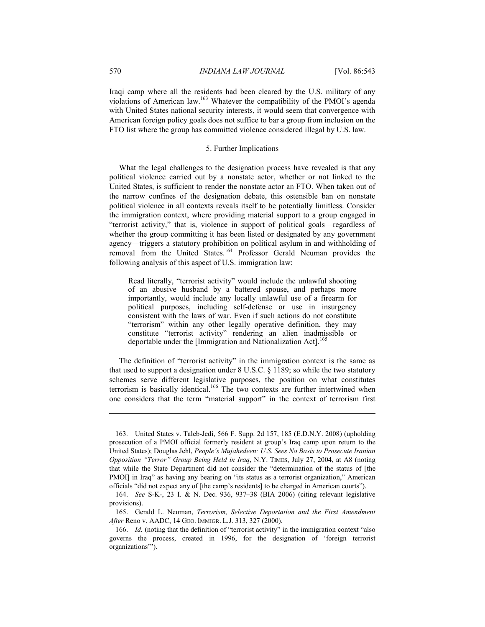Iraqi camp where all the residents had been cleared by the U.S. military of any violations of American law.163 Whatever the compatibility of the PMOI's agenda with United States national security interests, it would seem that convergence with American foreign policy goals does not suffice to bar a group from inclusion on the FTO list where the group has committed violence considered illegal by U.S. law.

# 5. Further Implications

What the legal challenges to the designation process have revealed is that any political violence carried out by a nonstate actor, whether or not linked to the United States, is sufficient to render the nonstate actor an FTO. When taken out of the narrow confines of the designation debate, this ostensible ban on nonstate political violence in all contexts reveals itself to be potentially limitless. Consider the immigration context, where providing material support to a group engaged in "terrorist activity," that is, violence in support of political goals—regardless of whether the group committing it has been listed or designated by any government agency—triggers a statutory prohibition on political asylum in and withholding of removal from the United States.164 Professor Gerald Neuman provides the following analysis of this aspect of U.S. immigration law:

 Read literally, "terrorist activity" would include the unlawful shooting of an abusive husband by a battered spouse, and perhaps more importantly, would include any locally unlawful use of a firearm for political purposes, including self-defense or use in insurgency consistent with the laws of war. Even if such actions do not constitute "terrorism" within any other legally operative definition, they may constitute "terrorist activity" rendering an alien inadmissible or deportable under the [Immigration and Nationalization Act].<sup>165</sup>

The definition of "terrorist activity" in the immigration context is the same as that used to support a designation under 8 U.S.C. § 1189; so while the two statutory schemes serve different legislative purposes, the position on what constitutes terrorism is basically identical.<sup>166</sup> The two contexts are further intertwined when one considers that the term "material support" in the context of terrorism first

 165. Gerald L. Neuman, *Terrorism, Selective Deportation and the First Amendment After* Reno v. AADC, 14 GEO. IMMIGR. L.J. 313, 327 (2000).

 <sup>163.</sup> United States v. Taleb-Jedi, 566 F. Supp. 2d 157, 185 (E.D.N.Y. 2008) (upholding prosecution of a PMOI official formerly resident at group's Iraq camp upon return to the United States); Douglas Jehl, *People's Mujahedeen: U.S. Sees No Basis to Prosecute Iranian Opposition "Terror" Group Being Held in Iraq*, N.Y. TIMES, July 27, 2004, at A8 (noting that while the State Department did not consider the "determination of the status of [the PMOI] in Iraq" as having any bearing on "its status as a terrorist organization," American officials "did not expect any of [the camp's residents] to be charged in American courts").

 <sup>164.</sup> *See* S-K-, 23 I. & N. Dec. 936, 937–38 (BIA 2006) (citing relevant legislative provisions).

 <sup>166.</sup> *Id.* (noting that the definition of "terrorist activity" in the immigration context "also governs the process, created in 1996, for the designation of 'foreign terrorist organizations'").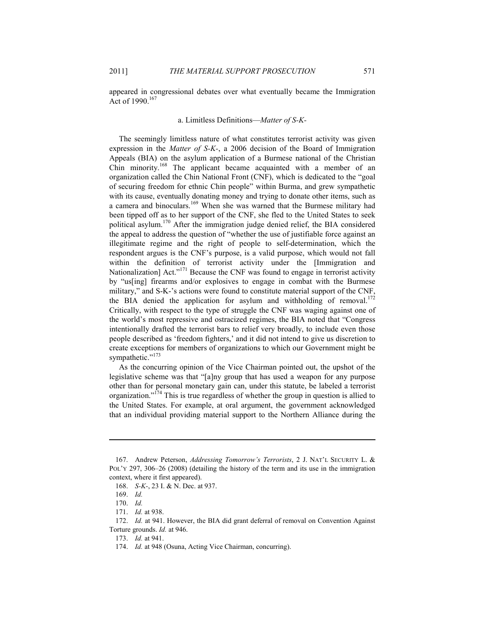appeared in congressional debates over what eventually became the Immigration Act of 1990.<sup>167</sup>

### a. Limitless Definitions—*Matter of S-K-*

The seemingly limitless nature of what constitutes terrorist activity was given expression in the *Matter of S-K-*, a 2006 decision of the Board of Immigration Appeals (BIA) on the asylum application of a Burmese national of the Christian Chin minority.<sup>168</sup> The applicant became acquainted with a member of an organization called the Chin National Front (CNF), which is dedicated to the "goal of securing freedom for ethnic Chin people" within Burma, and grew sympathetic with its cause, eventually donating money and trying to donate other items, such as a camera and binoculars.<sup>169</sup> When she was warned that the Burmese military had been tipped off as to her support of the CNF, she fled to the United States to seek political asylum.170 After the immigration judge denied relief, the BIA considered the appeal to address the question of "whether the use of justifiable force against an illegitimate regime and the right of people to self-determination, which the respondent argues is the CNF's purpose, is a valid purpose, which would not fall within the definition of terrorist activity under the [Immigration and Nationalization] Act."<sup>171</sup> Because the CNF was found to engage in terrorist activity by "us[ing] firearms and/or explosives to engage in combat with the Burmese military," and S-K-'s actions were found to constitute material support of the CNF, the BIA denied the application for asylum and withholding of removal.<sup>172</sup> Critically, with respect to the type of struggle the CNF was waging against one of the world's most repressive and ostracized regimes, the BIA noted that "Congress intentionally drafted the terrorist bars to relief very broadly, to include even those people described as 'freedom fighters,' and it did not intend to give us discretion to create exceptions for members of organizations to which our Government might be sympathetic."<sup>173</sup>

As the concurring opinion of the Vice Chairman pointed out, the upshot of the legislative scheme was that "[a]ny group that has used a weapon for any purpose other than for personal monetary gain can, under this statute, be labeled a terrorist organization."<sup>174</sup> This is true regardless of whether the group in question is allied to the United States. For example, at oral argument, the government acknowledged that an individual providing material support to the Northern Alliance during the

 <sup>167.</sup> Andrew Peterson, *Addressing Tomorrow's Terrorists*, 2 J. NAT'L SECURITY L. & POL'Y 297, 306–26 (2008) (detailing the history of the term and its use in the immigration context, where it first appeared).

 <sup>168.</sup> *S-K-*, 23 I. & N. Dec. at 937.

 <sup>169.</sup> *Id.*

 <sup>170.</sup> *Id.*

 <sup>171.</sup> *Id.* at 938.

 <sup>172.</sup> *Id.* at 941. However, the BIA did grant deferral of removal on Convention Against Torture grounds. *Id.* at 946.

 <sup>173.</sup> *Id.* at 941.

 <sup>174.</sup> *Id.* at 948 (Osuna, Acting Vice Chairman, concurring).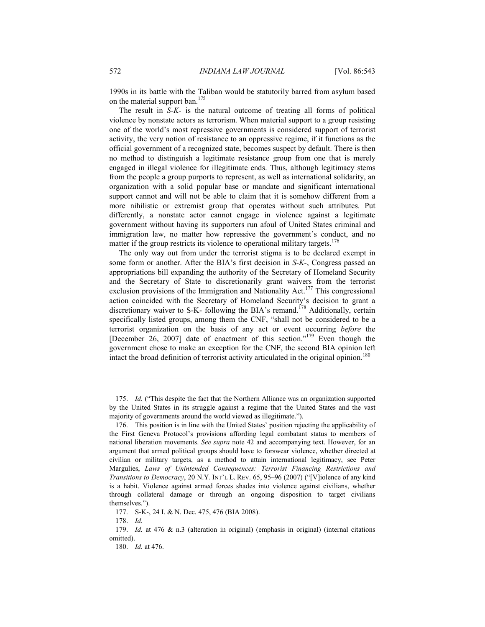1990s in its battle with the Taliban would be statutorily barred from asylum based on the material support ban.<sup>175</sup>

The result in *S-K-* is the natural outcome of treating all forms of political violence by nonstate actors as terrorism. When material support to a group resisting one of the world's most repressive governments is considered support of terrorist activity, the very notion of resistance to an oppressive regime, if it functions as the official government of a recognized state, becomes suspect by default. There is then no method to distinguish a legitimate resistance group from one that is merely engaged in illegal violence for illegitimate ends. Thus, although legitimacy stems from the people a group purports to represent, as well as international solidarity, an organization with a solid popular base or mandate and significant international support cannot and will not be able to claim that it is somehow different from a more nihilistic or extremist group that operates without such attributes. Put differently, a nonstate actor cannot engage in violence against a legitimate government without having its supporters run afoul of United States criminal and immigration law, no matter how repressive the government's conduct, and no matter if the group restricts its violence to operational military targets.<sup>176</sup>

The only way out from under the terrorist stigma is to be declared exempt in some form or another. After the BIA's first decision in *S-K-*, Congress passed an appropriations bill expanding the authority of the Secretary of Homeland Security and the Secretary of State to discretionarily grant waivers from the terrorist exclusion provisions of the Immigration and Nationality Act.<sup>177</sup> This congressional action coincided with the Secretary of Homeland Security's decision to grant a discretionary waiver to S-K- following the BIA's remand.<sup>178</sup> Additionally, certain specifically listed groups, among them the CNF, "shall not be considered to be a terrorist organization on the basis of any act or event occurring *before* the [December 26, 2007] date of enactment of this section."<sup>179</sup> Even though the government chose to make an exception for the CNF, the second BIA opinion left intact the broad definition of terrorist activity articulated in the original opinion.<sup>180</sup>

 <sup>175.</sup> *Id.* ("This despite the fact that the Northern Alliance was an organization supported by the United States in its struggle against a regime that the United States and the vast majority of governments around the world viewed as illegitimate.").

 <sup>176.</sup> This position is in line with the United States' position rejecting the applicability of the First Geneva Protocol's provisions affording legal combatant status to members of national liberation movements. *See supra* note 42 and accompanying text. However, for an argument that armed political groups should have to forswear violence, whether directed at civilian or military targets, as a method to attain international legitimacy, see Peter Margulies, *Laws of Unintended Consequences: Terrorist Financing Restrictions and Transitions to Democracy*, 20 N.Y. INT'L L. REV. 65, 95–96 (2007) ("[V]iolence of any kind is a habit. Violence against armed forces shades into violence against civilians, whether through collateral damage or through an ongoing disposition to target civilians themselves.").

 <sup>177.</sup> S-K-, 24 I. & N. Dec. 475, 476 (BIA 2008).

 <sup>178.</sup> *Id.*

 <sup>179.</sup> *Id.* at 476 & n.3 (alteration in original) (emphasis in original) (internal citations omitted).

 <sup>180.</sup> *Id.* at 476.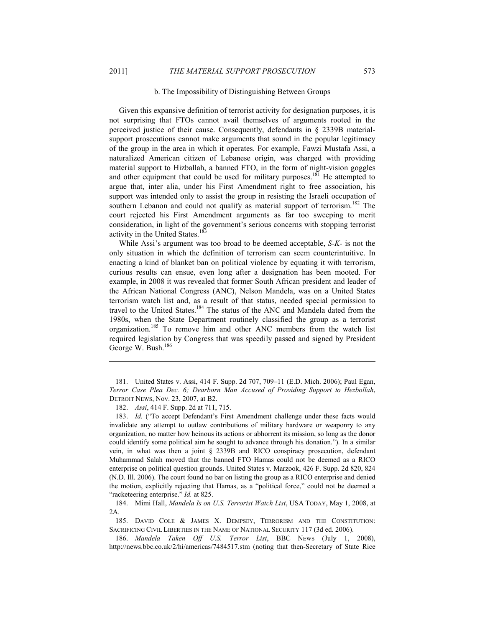1

### b. The Impossibility of Distinguishing Between Groups

Given this expansive definition of terrorist activity for designation purposes, it is not surprising that FTOs cannot avail themselves of arguments rooted in the perceived justice of their cause. Consequently, defendants in § 2339B materialsupport prosecutions cannot make arguments that sound in the popular legitimacy of the group in the area in which it operates. For example, Fawzi Mustafa Assi, a naturalized American citizen of Lebanese origin, was charged with providing material support to Hizballah, a banned FTO, in the form of night-vision goggles and other equipment that could be used for military purposes.<sup>181</sup> He attempted to argue that, inter alia, under his First Amendment right to free association, his support was intended only to assist the group in resisting the Israeli occupation of southern Lebanon and could not qualify as material support of terrorism.<sup>182</sup> The court rejected his First Amendment arguments as far too sweeping to merit consideration, in light of the government's serious concerns with stopping terrorist activity in the United States.<sup>183</sup>

While Assi's argument was too broad to be deemed acceptable, *S-K-* is not the only situation in which the definition of terrorism can seem counterintuitive. In enacting a kind of blanket ban on political violence by equating it with terrorism, curious results can ensue, even long after a designation has been mooted. For example, in 2008 it was revealed that former South African president and leader of the African National Congress (ANC), Nelson Mandela, was on a United States terrorism watch list and, as a result of that status, needed special permission to travel to the United States.<sup>184</sup> The status of the ANC and Mandela dated from the 1980s, when the State Department routinely classified the group as a terrorist organization.185 To remove him and other ANC members from the watch list required legislation by Congress that was speedily passed and signed by President George W. Bush.<sup>186</sup>

 184. Mimi Hall, *Mandela Is on U.S. Terrorist Watch List*, USA TODAY, May 1, 2008, at 2A.

 185. DAVID COLE & JAMES X. DEMPSEY, TERRORISM AND THE CONSTITUTION: SACRIFICING CIVIL LIBERTIES IN THE NAME OF NATIONAL SECURITY 117 (3d ed. 2006).

 186. *Mandela Taken Off U.S. Terror List*, BBC NEWS (July 1, 2008), http://news.bbc.co.uk/2/hi/americas/7484517.stm (noting that then-Secretary of State Rice

 <sup>181.</sup> United States v. Assi, 414 F. Supp. 2d 707, 709–11 (E.D. Mich. 2006); Paul Egan, *Terror Case Plea Dec. 6; Dearborn Man Accused of Providing Support to Hezbollah*, DETROIT NEWS, Nov. 23, 2007, at B2.

 <sup>182.</sup> *Assi*, 414 F. Supp. 2d at 711, 715.

 <sup>183.</sup> *Id.* ("To accept Defendant's First Amendment challenge under these facts would invalidate any attempt to outlaw contributions of military hardware or weaponry to any organization, no matter how heinous its actions or abhorrent its mission, so long as the donor could identify some political aim he sought to advance through his donation."). In a similar vein, in what was then a joint § 2339B and RICO conspiracy prosecution, defendant Muhammad Salah moved that the banned FTO Hamas could not be deemed as a RICO enterprise on political question grounds. United States v. Marzook, 426 F. Supp. 2d 820, 824 (N.D. Ill. 2006). The court found no bar on listing the group as a RICO enterprise and denied the motion, explicitly rejecting that Hamas, as a "political force," could not be deemed a "racketeering enterprise." *Id.* at 825.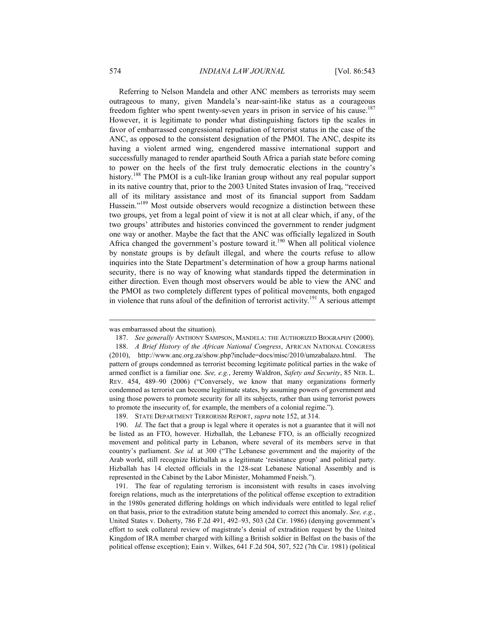Referring to Nelson Mandela and other ANC members as terrorists may seem outrageous to many, given Mandela's near-saint-like status as a courageous freedom fighter who spent twenty-seven years in prison in service of his cause.<sup>187</sup> However, it is legitimate to ponder what distinguishing factors tip the scales in favor of embarrassed congressional repudiation of terrorist status in the case of the ANC, as opposed to the consistent designation of the PMOI. The ANC, despite its having a violent armed wing, engendered massive international support and successfully managed to render apartheid South Africa a pariah state before coming to power on the heels of the first truly democratic elections in the country's history.<sup>188</sup> The PMOI is a cult-like Iranian group without any real popular support in its native country that, prior to the 2003 United States invasion of Iraq, "received all of its military assistance and most of its financial support from Saddam Hussein."<sup>189</sup> Most outside observers would recognize a distinction between these two groups, yet from a legal point of view it is not at all clear which, if any, of the two groups' attributes and histories convinced the government to render judgment one way or another. Maybe the fact that the ANC was officially legalized in South Africa changed the government's posture toward it.<sup>190</sup> When all political violence by nonstate groups is by default illegal, and where the courts refuse to allow inquiries into the State Department's determination of how a group harms national security, there is no way of knowing what standards tipped the determination in either direction. Even though most observers would be able to view the ANC and the PMOI as two completely different types of political movements, both engaged in violence that runs afoul of the definition of terrorist activity.<sup>191</sup> A serious attempt

189. STATE DEPARTMENT TERRORISM REPORT, *supra* note 152, at 314.

 190. *Id*. The fact that a group is legal where it operates is not a guarantee that it will not be listed as an FTO, however. Hizballah, the Lebanese FTO, is an officially recognized movement and political party in Lebanon, where several of its members serve in that country's parliament. *See id.* at 300 ("The Lebanese government and the majority of the Arab world, still recognize Hizballah as a legitimate 'resistance group' and political party. Hizballah has 14 elected officials in the 128-seat Lebanese National Assembly and is represented in the Cabinet by the Labor Minister, Mohammed Fneish.").

 191. The fear of regulating terrorism is inconsistent with results in cases involving foreign relations, much as the interpretations of the political offense exception to extradition in the 1980s generated differing holdings on which individuals were entitled to legal relief on that basis, prior to the extradition statute being amended to correct this anomaly. *See, e.g.*, United States v. Doherty, 786 F.2d 491, 492–93, 503 (2d Cir. 1986) (denying government's effort to seek collateral review of magistrate's denial of extradition request by the United Kingdom of IRA member charged with killing a British soldier in Belfast on the basis of the political offense exception); Eain v. Wilkes, 641 F.2d 504, 507, 522 (7th Cir. 1981) (political

was embarrassed about the situation).

 <sup>187.</sup> *See generally* ANTHONY SAMPSON, MANDELA: THE AUTHORIZED BIOGRAPHY (2000).

 <sup>188.</sup> *A Brief History of the African National Congress*, AFRICAN NATIONAL CONGRESS (2010), http://www.anc.org.za/show.php?include=docs/misc/2010/umzabalazo.html. The pattern of groups condemned as terrorist becoming legitimate political parties in the wake of armed conflict is a familiar one. *See, e.g.*, Jeremy Waldron, *Safety and Security*, 85 NEB. L. REV. 454, 489–90 (2006) ("Conversely, we know that many organizations formerly condemned as terrorist can become legitimate states, by assuming powers of government and using those powers to promote security for all its subjects, rather than using terrorist powers to promote the insecurity of, for example, the members of a colonial regime.").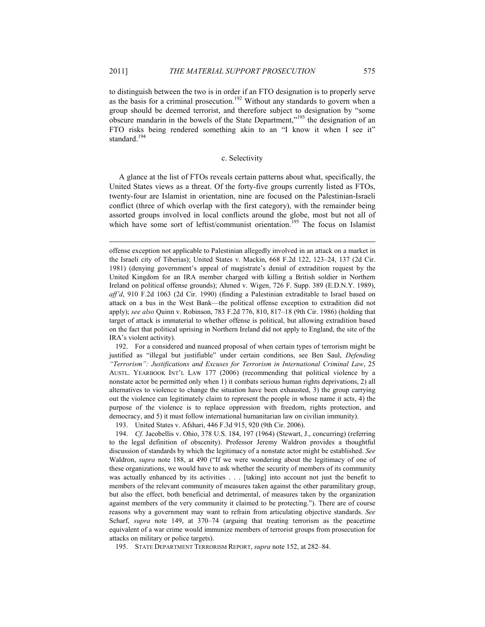1

to distinguish between the two is in order if an FTO designation is to properly serve as the basis for a criminal prosecution.<sup>192</sup> Without any standards to govern when a group should be deemed terrorist, and therefore subject to designation by "some obscure mandarin in the bowels of the State Department,"<sup>193</sup> the designation of an FTO risks being rendered something akin to an "I know it when I see it" standard.<sup>194</sup>

### c. Selectivity

A glance at the list of FTOs reveals certain patterns about what, specifically, the United States views as a threat. Of the forty-five groups currently listed as FTOs, twenty-four are Islamist in orientation, nine are focused on the Palestinian-Israeli conflict (three of which overlap with the first category), with the remainder being assorted groups involved in local conflicts around the globe, most but not all of which have some sort of leftist/communist orientation.<sup>195</sup> The focus on Islamist

 192. For a considered and nuanced proposal of when certain types of terrorism might be justified as "illegal but justifiable" under certain conditions, see Ben Saul, *Defending "Terrorism": Justifications and Excuses for Terrorism in International Criminal Law*, 25 AUSTL. YEARBOOK INT'L LAW 177 (2006) (recommending that political violence by a nonstate actor be permitted only when 1) it combats serious human rights deprivations, 2) all alternatives to violence to change the situation have been exhausted, 3) the group carrying out the violence can legitimately claim to represent the people in whose name it acts, 4) the purpose of the violence is to replace oppression with freedom, rights protection, and democracy, and 5) it must follow international humanitarian law on civilian immunity).

193. United States v. Afshari, 446 F.3d 915, 920 (9th Cir. 2006).

195. STATE DEPARTMENT TERRORISM REPORT, *supra* note 152, at 282–84.

offense exception not applicable to Palestinian allegedly involved in an attack on a market in the Israeli city of Tiberias); United States v. Mackin, 668 F.2d 122, 123–24, 137 (2d Cir. 1981) (denying government's appeal of magistrate's denial of extradition request by the United Kingdom for an IRA member charged with killing a British soldier in Northern Ireland on political offense grounds); Ahmed v. Wigen, 726 F. Supp. 389 (E.D.N.Y. 1989), *aff'd*, 910 F.2d 1063 (2d Cir. 1990) (finding a Palestinian extraditable to Israel based on attack on a bus in the West Bank—the political offense exception to extradition did not apply); *see also* Quinn v. Robinson, 783 F.2d 776, 810, 817–18 (9th Cir. 1986) (holding that target of attack is immaterial to whether offense is political, but allowing extradition based on the fact that political uprising in Northern Ireland did not apply to England, the site of the IRA's violent activity).

 <sup>194.</sup> *Cf.* Jacobellis v. Ohio, 378 U.S. 184, 197 (1964) (Stewart, J., concurring) (referring to the legal definition of obscenity). Professor Jeremy Waldron provides a thoughtful discussion of standards by which the legitimacy of a nonstate actor might be established. *See* Waldron, *supra* note 188, at 490 ("If we were wondering about the legitimacy of one of these organizations, we would have to ask whether the security of members of its community was actually enhanced by its activities . . . [taking] into account not just the benefit to members of the relevant community of measures taken against the other paramilitary group, but also the effect, both beneficial and detrimental, of measures taken by the organization against members of the very community it claimed to be protecting."). There are of course reasons why a government may want to refrain from articulating objective standards. *See* Scharf, *supra* note 149, at 370–74 (arguing that treating terrorism as the peacetime equivalent of a war crime would immunize members of terrorist groups from prosecution for attacks on military or police targets).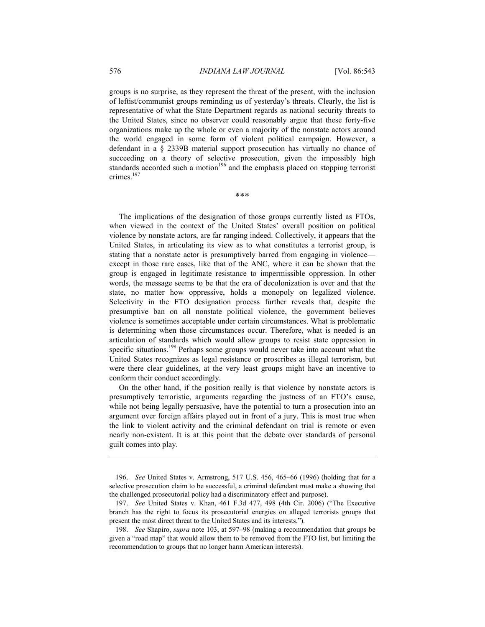groups is no surprise, as they represent the threat of the present, with the inclusion of leftist/communist groups reminding us of yesterday's threats. Clearly, the list is representative of what the State Department regards as national security threats to the United States, since no observer could reasonably argue that these forty-five organizations make up the whole or even a majority of the nonstate actors around the world engaged in some form of violent political campaign. However, a defendant in a § 2339B material support prosecution has virtually no chance of succeeding on a theory of selective prosecution, given the impossibly high standards accorded such a motion<sup>196</sup> and the emphasis placed on stopping terrorist crimes.<sup>197</sup>

\*\*\*

The implications of the designation of those groups currently listed as FTOs, when viewed in the context of the United States' overall position on political violence by nonstate actors, are far ranging indeed. Collectively, it appears that the United States, in articulating its view as to what constitutes a terrorist group, is stating that a nonstate actor is presumptively barred from engaging in violence except in those rare cases, like that of the ANC, where it can be shown that the group is engaged in legitimate resistance to impermissible oppression. In other words, the message seems to be that the era of decolonization is over and that the state, no matter how oppressive, holds a monopoly on legalized violence. Selectivity in the FTO designation process further reveals that, despite the presumptive ban on all nonstate political violence, the government believes violence is sometimes acceptable under certain circumstances. What is problematic is determining when those circumstances occur. Therefore, what is needed is an articulation of standards which would allow groups to resist state oppression in specific situations.<sup>198</sup> Perhaps some groups would never take into account what the United States recognizes as legal resistance or proscribes as illegal terrorism, but were there clear guidelines, at the very least groups might have an incentive to conform their conduct accordingly.

On the other hand, if the position really is that violence by nonstate actors is presumptively terroristic, arguments regarding the justness of an FTO's cause, while not being legally persuasive, have the potential to turn a prosecution into an argument over foreign affairs played out in front of a jury. This is most true when the link to violent activity and the criminal defendant on trial is remote or even nearly non-existent. It is at this point that the debate over standards of personal guilt comes into play.

 <sup>196.</sup> *See* United States v. Armstrong, 517 U.S. 456, 465–66 (1996) (holding that for a selective prosecution claim to be successful, a criminal defendant must make a showing that the challenged prosecutorial policy had a discriminatory effect and purpose).

 <sup>197.</sup> *See* United States v. Khan, 461 F.3d 477, 498 (4th Cir. 2006) ("The Executive branch has the right to focus its prosecutorial energies on alleged terrorists groups that present the most direct threat to the United States and its interests.").

 <sup>198.</sup> *See* Shapiro, *supra* note 103, at 597–98 (making a recommendation that groups be given a "road map" that would allow them to be removed from the FTO list, but limiting the recommendation to groups that no longer harm American interests).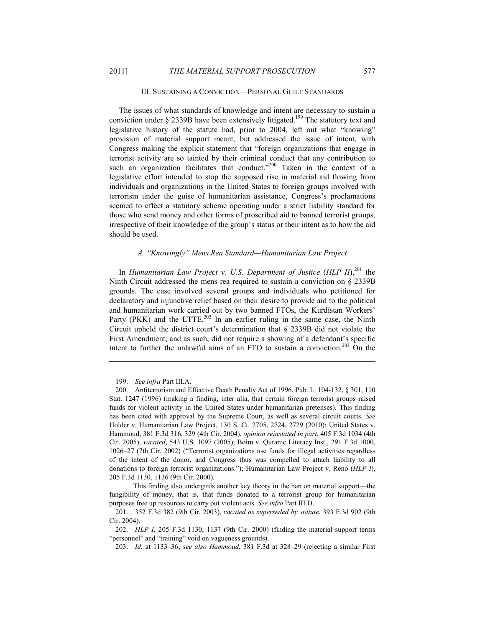# III. SUSTAINING A CONVICTION—PERSONAL GUILT STANDARDS

The issues of what standards of knowledge and intent are necessary to sustain a conviction under  $\S$  2339B have been extensively litigated.<sup>199</sup> The statutory text and legislative history of the statute had, prior to 2004, left out what "knowing" provision of material support meant, but addressed the issue of intent, with Congress making the explicit statement that "foreign organizations that engage in terrorist activity are so tainted by their criminal conduct that any contribution to such an organization facilitates that conduct."<sup>200</sup> Taken in the context of a legislative effort intended to stop the supposed rise in material aid flowing from individuals and organizations in the United States to foreign groups involved with terrorism under the guise of humanitarian assistance, Congress's proclamations seemed to effect a statutory scheme operating under a strict liability standard for those who send money and other forms of proscribed aid to banned terrorist groups, irrespective of their knowledge of the group's status or their intent as to how the aid should be used.

# *A. "Knowingly" Mens Rea Standard—Humanitarian Law Project*

In *Humanitarian Law Project v. U.S. Department of Justice* (*HLP II*),<sup>201</sup> the Ninth Circuit addressed the mens rea required to sustain a conviction on § 2339B grounds. The case involved several groups and individuals who petitioned for declaratory and injunctive relief based on their desire to provide aid to the political and humanitarian work carried out by two banned FTOs, the Kurdistan Workers' Party (PKK) and the LTTE.<sup>202</sup> In an earlier ruling in the same case, the Ninth Circuit upheld the district court's determination that § 2339B did not violate the First Amendment, and as such, did not require a showing of a defendant's specific intent to further the unlawful aims of an FTO to sustain a conviction.<sup>203</sup> On the

 <sup>199.</sup> *See infra* Part III.A.

 <sup>200.</sup> Antiterrorism and Effective Death Penalty Act of 1996, Pub. L. 104-132, § 301, 110 Stat. 1247 (1996) (making a finding, inter alia, that certain foreign terrorist groups raised funds for violent activity in the United States under humanitarian pretenses). This finding has been cited with approval by the Supreme Court, as well as several circuit courts. *See*  Holder v. Humanitarian Law Project, 130 S. Ct. 2705, 2724, 2729 (2010); United States v. Hammoud, 381 F.3d 316, 329 (4th Cir. 2004), *opinion reinstated in part*, 405 F.3d 1034 (4th Cir. 2005), *vacated*, 543 U.S. 1097 (2005); Boim v. Quranic Literacy Inst., 291 F.3d 1000, 1026–27 (7th Cir. 2002) ("Terrorist organizations use funds for illegal activities regardless of the intent of the donor, and Congress thus was compelled to attach liability to all donations to foreign terrorist organizations."); Humanitarian Law Project v. Reno (*HLP I*), 205 F.3d 1130, 1136 (9th Cir. 2000).

This finding also undergirds another key theory in the ban on material support—the fungibility of money, that is, that funds donated to a terrorist group for humanitarian purposes free up resources to carry out violent acts. *See infra* Part III.D.

 <sup>201. 352</sup> F.3d 382 (9th Cir. 2003), *vacated as superseded by statute*, 393 F.3d 902 (9th Cir. 2004).

 <sup>202.</sup> *HLP I*, 205 F.3d 1130, 1137 (9th Cir. 2000) (finding the material support terms "personnel" and "training" void on vagueness grounds).

 <sup>203.</sup> *Id.* at 1133–36; *see also Hammoud*, 381 F.3d at 328–29 (rejecting a similar First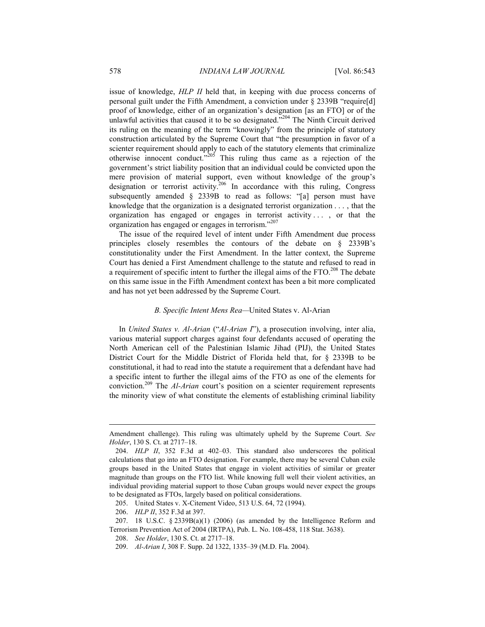issue of knowledge, *HLP II* held that, in keeping with due process concerns of personal guilt under the Fifth Amendment, a conviction under § 2339B "require[d] proof of knowledge, either of an organization's designation [as an FTO] or of the unlawful activities that caused it to be so designated."<sup>204</sup> The Ninth Circuit derived its ruling on the meaning of the term "knowingly" from the principle of statutory construction articulated by the Supreme Court that "the presumption in favor of a scienter requirement should apply to each of the statutory elements that criminalize otherwise innocent conduct."<sup>205</sup> This ruling thus came as a rejection of the government's strict liability position that an individual could be convicted upon the mere provision of material support, even without knowledge of the group's designation or terrorist activity.<sup>206</sup> In accordance with this ruling, Congress subsequently amended § 2339B to read as follows: "[a] person must have knowledge that the organization is a designated terrorist organization . . . , that the organization has engaged or engages in terrorist activity . . . , or that the organization has engaged or engages in terrorism."<sup>207</sup>

The issue of the required level of intent under Fifth Amendment due process principles closely resembles the contours of the debate on § 2339B's constitutionality under the First Amendment. In the latter context, the Supreme Court has denied a First Amendment challenge to the statute and refused to read in a requirement of specific intent to further the illegal aims of the FTO.<sup>208</sup> The debate on this same issue in the Fifth Amendment context has been a bit more complicated and has not yet been addressed by the Supreme Court.

## *B. Specific Intent Mens Rea—*United States v. Al-Arian

In *United States v. Al-Arian* ("*Al-Arian I*"), a prosecution involving, inter alia, various material support charges against four defendants accused of operating the North American cell of the Palestinian Islamic Jihad (PIJ), the United States District Court for the Middle District of Florida held that, for § 2339B to be constitutional, it had to read into the statute a requirement that a defendant have had a specific intent to further the illegal aims of the FTO as one of the elements for conviction.209 The *Al-Arian* court's position on a scienter requirement represents the minority view of what constitute the elements of establishing criminal liability

Amendment challenge). This ruling was ultimately upheld by the Supreme Court. *See Holder*, 130 S. Ct. at 2717–18.

 <sup>204.</sup> *HLP II*, 352 F.3d at 402–03. This standard also underscores the political calculations that go into an FTO designation. For example, there may be several Cuban exile groups based in the United States that engage in violent activities of similar or greater magnitude than groups on the FTO list. While knowing full well their violent activities, an individual providing material support to those Cuban groups would never expect the groups to be designated as FTOs, largely based on political considerations.

 <sup>205.</sup> United States v. X-Citement Video, 513 U.S. 64, 72 (1994).

 <sup>206.</sup> *HLP II*, 352 F.3d at 397.

<sup>207. 18</sup> U.S.C.  $\S 2339B(a)(1)$  (2006) (as amended by the Intelligence Reform and Terrorism Prevention Act of 2004 (IRTPA), Pub. L. No. 108-458, 118 Stat. 3638).

 <sup>208.</sup> *See Holder*, 130 S. Ct. at 2717–18.

 <sup>209.</sup> *Al-Arian I*, 308 F. Supp. 2d 1322, 1335–39 (M.D. Fla. 2004).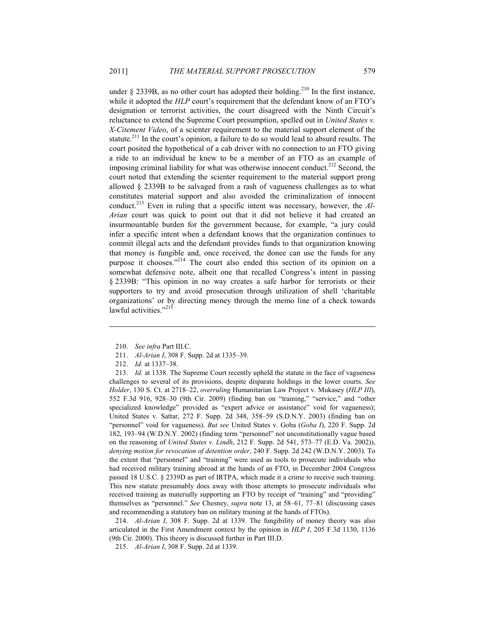under  $\S$  2339B, as no other court has adopted their holding.<sup>210</sup> In the first instance, while it adopted the *HLP* court's requirement that the defendant know of an FTO's designation or terrorist activities, the court disagreed with the Ninth Circuit's reluctance to extend the Supreme Court presumption, spelled out in *United States v. X-Citement Video*, of a scienter requirement to the material support element of the statute.<sup>211</sup> In the court's opinion, a failure to do so would lead to absurd results. The court posited the hypothetical of a cab driver with no connection to an FTO giving a ride to an individual he knew to be a member of an FTO as an example of imposing criminal liability for what was otherwise innocent conduct.<sup>212</sup> Second, the court noted that extending the scienter requirement to the material support prong allowed § 2339B to be salvaged from a rash of vagueness challenges as to what constitutes material support and also avoided the criminalization of innocent conduct.213 Even in ruling that a specific intent was necessary, however, the *Al-Arian* court was quick to point out that it did not believe it had created an insurmountable burden for the government because, for example, "a jury could infer a specific intent when a defendant knows that the organization continues to commit illegal acts and the defendant provides funds to that organization knowing that money is fungible and, once received, the donee can use the funds for any purpose it chooses."<sup>214</sup> The court also ended this section of its opinion on a somewhat defensive note, albeit one that recalled Congress's intent in passing § 2339B: "This opinion in no way creates a safe harbor for terrorists or their supporters to try and avoid prosecution through utilization of shell 'charitable organizations' or by directing money through the memo line of a check towards lawful activities."<sup>215</sup>

1

 213. *Id.* at 1338. The Supreme Court recently upheld the statute in the face of vagueness challenges to several of its provisions, despite disparate holdings in the lower courts. *See Holder*, 130 S. Ct. at 2718–22, *overruling* Humanitarian Law Project v. Mukasey (*HLP III*), 552 F.3d 916, 928–30 (9th Cir. 2009) (finding ban on "training," "service," and "other specialized knowledge" provided as "expert advice or assistance" void for vagueness); United States v. Sattar, 272 F. Supp. 2d 348, 358–59 (S.D.N.Y. 2003) (finding ban on "personnel" void for vagueness). *But see* United States v. Goba (*Goba I*), 220 F. Supp. 2d 182, 193–94 (W.D.N.Y. 2002) (finding term "personnel" not unconstitutionally vague based on the reasoning of *United States v. Lindh*, 212 F. Supp. 2d 541, 573–77 (E.D. Va. 2002)), *denying motion for revocation of detention order*, 240 F. Supp. 2d 242 (W.D.N.Y. 2003). To the extent that "personnel" and "training" were used as tools to prosecute individuals who had received military training abroad at the hands of an FTO, in December 2004 Congress passed 18 U.S.C. § 2339D as part of IRTPA, which made it a crime to receive such training. This new statute presumably does away with those attempts to prosecute individuals who received training as materially supporting an FTO by receipt of "training" and "providing" themselves as "personnel." *See* Chesney, *supra* note 13, at 58–61, 77–81 (discussing cases and recommending a statutory ban on military training at the hands of FTOs).

 214. *Al-Arian I*, 308 F. Supp. 2d at 1339. The fungibility of money theory was also articulated in the First Amendment context by the opinion in *HLP I*, 205 F.3d 1130, 1136 (9th Cir. 2000). This theory is discussed further in Part III.D.

215. *Al-Arian I*, 308 F. Supp. 2d at 1339.

 <sup>210.</sup> *See infra* Part III.C.

 <sup>211.</sup> *Al-Arian I*, 308 F. Supp. 2d at 1335–39.

 <sup>212.</sup> *Id.* at 1337–38.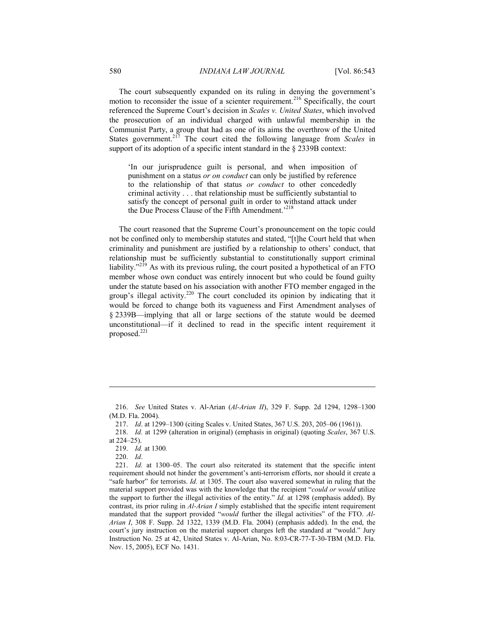The court subsequently expanded on its ruling in denying the government's motion to reconsider the issue of a scienter requirement.<sup>216</sup> Specifically, the court referenced the Supreme Court's decision in *Scales v. United States*, which involved the prosecution of an individual charged with unlawful membership in the Communist Party, a group that had as one of its aims the overthrow of the United States government.<sup>217</sup> The court cited the following language from *Scales* in support of its adoption of a specific intent standard in the § 2339B context:

'In our jurisprudence guilt is personal, and when imposition of punishment on a status *or on conduct* can only be justified by reference to the relationship of that status *or conduct* to other concededly criminal activity . . . that relationship must be sufficiently substantial to satisfy the concept of personal guilt in order to withstand attack under the Due Process Clause of the Fifth Amendment.<sup>218</sup>

The court reasoned that the Supreme Court's pronouncement on the topic could not be confined only to membership statutes and stated, "[t]he Court held that when criminality and punishment are justified by a relationship to others' conduct, that relationship must be sufficiently substantial to constitutionally support criminal liability."<sup>219</sup> As with its previous ruling, the court posited a hypothetical of an FTO member whose own conduct was entirely innocent but who could be found guilty under the statute based on his association with another FTO member engaged in the group's illegal activity.<sup>220</sup> The court concluded its opinion by indicating that it would be forced to change both its vagueness and First Amendment analyses of § 2339B—implying that all or large sections of the statute would be deemed unconstitutional—if it declined to read in the specific intent requirement it proposed.221

220. *Id*.

 <sup>216.</sup> *See* United States v. Al-Arian (*Al-Arian II*), 329 F. Supp. 2d 1294, 1298–1300 (M.D. Fla. 2004).

 <sup>217.</sup> *Id*. at 1299–1300 (citing Scales v. United States, 367 U.S. 203, 205–06 (1961)).

 <sup>218.</sup> *Id.* at 1299 (alteration in original) (emphasis in original) (quoting *Scales*, 367 U.S. at 224–25).

 <sup>219.</sup> *Id.* at 1300*.*

 <sup>221.</sup> *Id.* at 1300–05. The court also reiterated its statement that the specific intent requirement should not hinder the government's anti-terrorism efforts, nor should it create a "safe harbor" for terrorists. *Id.* at 1305. The court also wavered somewhat in ruling that the material support provided was with the knowledge that the recipient "*could or would* utilize the support to further the illegal activities of the entity." *Id.* at 1298 (emphasis added). By contrast, its prior ruling in *Al-Arian I* simply established that the specific intent requirement mandated that the support provided "*would* further the illegal activities" of the FTO. *Al-Arian I*, 308 F. Supp. 2d 1322, 1339 (M.D. Fla. 2004) (emphasis added). In the end, the court's jury instruction on the material support charges left the standard at "would." Jury Instruction No. 25 at 42, United States v. Al-Arian, No. 8:03-CR-77-T-30-TBM (M.D. Fla. Nov. 15, 2005), ECF No. 1431.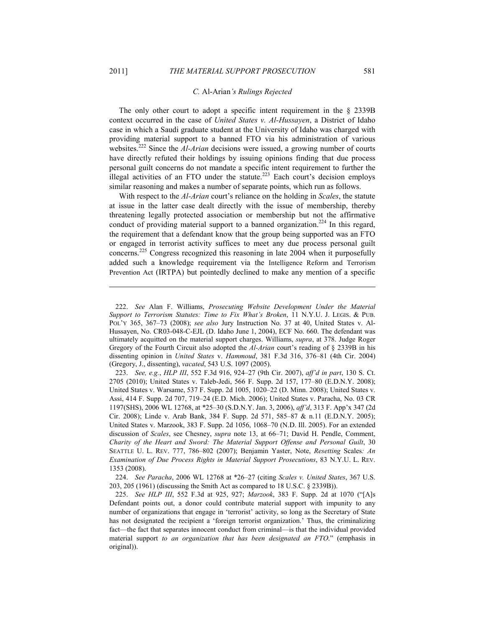1

### *C.* Al-Arian*'s Rulings Rejected*

The only other court to adopt a specific intent requirement in the § 2339B context occurred in the case of *United States v. Al-Hussayen*, a District of Idaho case in which a Saudi graduate student at the University of Idaho was charged with providing material support to a banned FTO via his administration of various websites.222 Since the *Al-Arian* decisions were issued, a growing number of courts have directly refuted their holdings by issuing opinions finding that due process personal guilt concerns do not mandate a specific intent requirement to further the illegal activities of an FTO under the statute.<sup>223</sup> Each court's decision employs similar reasoning and makes a number of separate points, which run as follows.

With respect to the *Al-Arian* court's reliance on the holding in *Scales*, the statute at issue in the latter case dealt directly with the issue of membership, thereby threatening legally protected association or membership but not the affirmative conduct of providing material support to a banned organization.<sup>224</sup> In this regard, the requirement that a defendant know that the group being supported was an FTO or engaged in terrorist activity suffices to meet any due process personal guilt concerns.<sup>225</sup> Congress recognized this reasoning in late 2004 when it purposefully added such a knowledge requirement via the Intelligence Reform and Terrorism Prevention Act (IRTPA) but pointedly declined to make any mention of a specific

 224. *See Paracha*, 2006 WL 12768 at \*26–27 (citing *Scales v. United States*, 367 U.S. 203, 205 (1961) (discussing the Smith Act as compared to 18 U.S.C. § 2339B)).

 <sup>222.</sup> *See* Alan F. Williams, *Prosecuting Website Development Under the Material Support to Terrorism Statutes: Time to Fix What's Broken*, 11 N.Y.U. J. LEGIS. & PUB. POL'Y 365, 367–73 (2008); *see also* Jury Instruction No. 37 at 40, United States v. Al-Hussayen, No. CR03-048-C-EJL (D. Idaho June 1, 2004), ECF No. 660. The defendant was ultimately acquitted on the material support charges. Williams, *supra*, at 378. Judge Roger Gregory of the Fourth Circuit also adopted the *Al-Arian* court's reading of § 2339B in his dissenting opinion in *United States* v. *Hammoud*, 381 F.3d 316, 376–81 (4th Cir. 2004) (Gregory, J., dissenting), *vacated*, 543 U.S. 1097 (2005).

 <sup>223.</sup> *See, e.g.*, *HLP III*, 552 F.3d 916, 924–27 (9th Cir. 2007), *aff'd in part*, 130 S. Ct. 2705 (2010); United States v. Taleb-Jedi, 566 F. Supp. 2d 157, 177–80 (E.D.N.Y. 2008); United States v. Warsame, 537 F. Supp. 2d 1005, 1020–22 (D. Minn. 2008); United States v. Assi, 414 F. Supp. 2d 707, 719–24 (E.D. Mich. 2006); United States v. Paracha, No. 03 CR 1197(SHS), 2006 WL 12768, at \*25–30 (S.D.N.Y. Jan. 3, 2006), *aff'd*, 313 F. App'x 347 (2d Cir. 2008); Linde v. Arab Bank, 384 F. Supp. 2d 571, 585–87 & n.11 (E.D.N.Y. 2005); United States v. Marzook, 383 F. Supp. 2d 1056, 1068–70 (N.D. Ill. 2005). For an extended discussion of *Scales*, see Chesney, *supra* note 13, at 66–71; David H. Pendle, Comment, *Charity of the Heart and Sword: The Material Support Offense and Personal Guilt*, 30 SEATTLE U. L. REV. 777, 786–802 (2007); Benjamin Yaster, Note, *Resetting* Scales*: An Examination of Due Process Rights in Material Support Prosecutions*, 83 N.Y.U. L. REV. 1353 (2008).

 <sup>225.</sup> *See HLP III*, 552 F.3d at 925, 927; *Marzook*, 383 F. Supp. 2d at 1070 ("[A]s Defendant points out, a donor could contribute material support with impunity to any number of organizations that engage in 'terrorist' activity, so long as the Secretary of State has not designated the recipient a 'foreign terrorist organization.' Thus, the criminalizing fact—the fact that separates innocent conduct from criminal—is that the individual provided material support *to an organization that has been designated an FTO*." (emphasis in original)).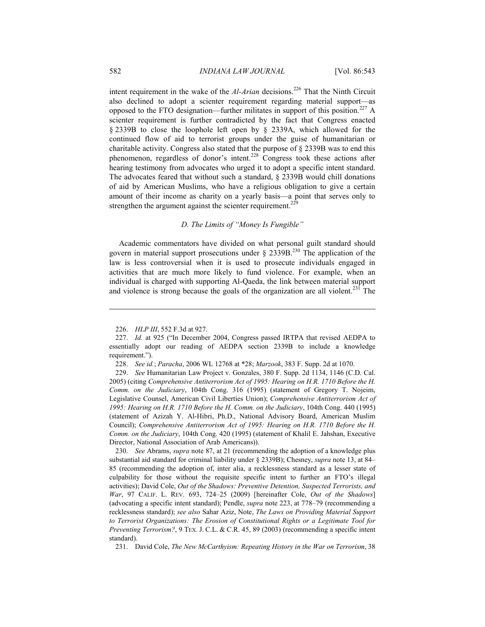intent requirement in the wake of the *Al-Arian* decisions.<sup>226</sup> That the Ninth Circuit also declined to adopt a scienter requirement regarding material support—as opposed to the FTO designation—further militates in support of this position.<sup>227</sup> A scienter requirement is further contradicted by the fact that Congress enacted § 2339B to close the loophole left open by § 2339A, which allowed for the continued flow of aid to terrorist groups under the guise of humanitarian or charitable activity. Congress also stated that the purpose of § 2339B was to end this phenomenon, regardless of donor's intent.228 Congress took these actions after hearing testimony from advocates who urged it to adopt a specific intent standard. The advocates feared that without such a standard, § 2339B would chill donations of aid by American Muslims, who have a religious obligation to give a certain amount of their income as charity on a yearly basis—a point that serves only to strengthen the argument against the scienter requirement.<sup>229</sup>

### *D. The Limits of "Money Is Fungible"*

Academic commentators have divided on what personal guilt standard should govern in material support prosecutions under  $\S$  2339B.<sup>230</sup> The application of the law is less controversial when it is used to prosecute individuals engaged in activities that are much more likely to fund violence. For example, when an individual is charged with supporting Al-Qaeda, the link between material support and violence is strong because the goals of the organization are all violent.<sup>231</sup> The

 230. *See* Abrams, *supra* note 87, at 21 (recommending the adoption of a knowledge plus substantial aid standard for criminal liability under § 2339B); Chesney, *supra* note 13, at 84– 85 (recommending the adoption of, inter alia, a recklessness standard as a lesser state of culpability for those without the requisite specific intent to further an FTO's illegal activities); David Cole, *Out of the Shadows: Preventive Detention, Suspected Terrorists, and War*, 97 CALIF. L. REV. 693, 724–25 (2009) [hereinafter Cole, *Out of the Shadows*] (advocating a specific intent standard); Pendle, *supra* note 223, at 778–79 (recommending a recklessness standard); *see also* Sahar Aziz, Note, *The Laws on Providing Material Support to Terrorist Organizations: The Erosion of Constitutional Rights or a Legitimate Tool for Preventing Terrorism?*, 9 TEX. J. C.L. & C.R. 45, 89 (2003) (recommending a specific intent standard).

231. David Cole, *The New McCarthyism: Repeating History in the War on Terrorism*, 38

 <sup>226.</sup> *HLP III*, 552 F.3d at 927.

 <sup>227.</sup> *Id.* at 925 ("In December 2004, Congress passed IRTPA that revised AEDPA to essentially adopt our reading of AEDPA section 2339B to include a knowledge requirement.").

 <sup>228.</sup> *See id.*; *Paracha*, 2006 WL 12768 at \*28; *Marzook*, 383 F. Supp. 2d at 1070.

 <sup>229.</sup> *See* Humanitarian Law Project v. Gonzales, 380 F. Supp. 2d 1134, 1146 (C.D. Cal. 2005) (citing *Comprehensive Antiterrorism Act of 1995: Hearing on H.R. 1710 Before the H. Comm. on the Judiciary*, 104th Cong. 316 (1995) (statement of Gregory T. Nojeim, Legislative Counsel, American Civil Liberties Union); *Comprehensive Antiterrorism Act of 1995: Hearing on H.R. 1710 Before the H. Comm. on the Judiciary*, 104th Cong. 440 (1995) (statement of Azizah Y. Al-Hibri, Ph.D., National Advisory Board, American Muslim Council); *Comprehensive Antiterrorism Act of 1995: Hearing on H.R. 1710 Before the H. Comm. on the Judiciary*, 104th Cong. 420 (1995) (statement of Khalil E. Jahshan, Executive Director, National Association of Arab Americans)).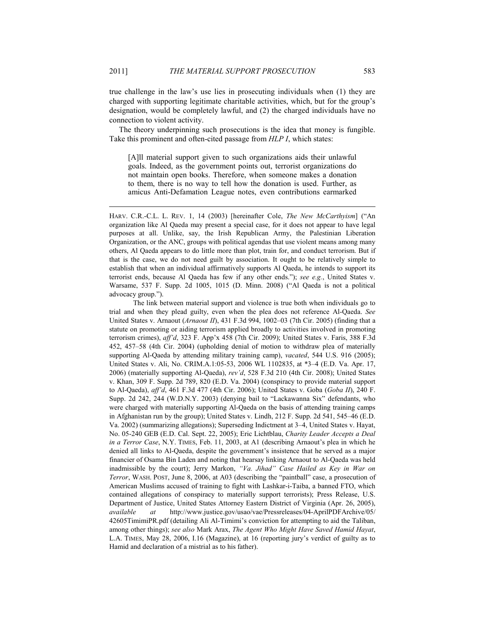true challenge in the law's use lies in prosecuting individuals when (1) they are charged with supporting legitimate charitable activities, which, but for the group's designation, would be completely lawful, and (2) the charged individuals have no connection to violent activity.

The theory underpinning such prosecutions is the idea that money is fungible. Take this prominent and often-cited passage from *HLP I*, which states:

[A]ll material support given to such organizations aids their unlawful goals. Indeed, as the government points out, terrorist organizations do not maintain open books. Therefore, when someone makes a donation to them, there is no way to tell how the donation is used. Further, as amicus Anti-Defamation League notes, even contributions earmarked

HARV. C.R.-C.L. L. REV. 1, 14 (2003) [hereinafter Cole, *The New McCarthyism*] ("An organization like Al Qaeda may present a special case, for it does not appear to have legal purposes at all. Unlike, say, the Irish Republican Army, the Palestinian Liberation Organization, or the ANC, groups with political agendas that use violent means among many others, Al Qaeda appears to do little more than plot, train for, and conduct terrorism. But if that is the case, we do not need guilt by association. It ought to be relatively simple to establish that when an individual affirmatively supports Al Qaeda, he intends to support its terrorist ends, because Al Qaeda has few if any other ends."); *see e.g.*, United States v. Warsame, 537 F. Supp. 2d 1005, 1015 (D. Minn. 2008) ("Al Qaeda is not a political advocacy group.").

 The link between material support and violence is true both when individuals go to trial and when they plead guilty, even when the plea does not reference Al-Qaeda. *See* United States v. Arnaout (*Arnaout II*), 431 F.3d 994, 1002–03 (7th Cir. 2005) (finding that a statute on promoting or aiding terrorism applied broadly to activities involved in promoting terrorism crimes), *aff'd*, 323 F. App'x 458 (7th Cir. 2009); United States v. Faris, 388 F.3d 452, 457–58 (4th Cir. 2004) (upholding denial of motion to withdraw plea of materially supporting Al-Qaeda by attending military training camp), *vacated*, 544 U.S. 916 (2005); United States v. Ali, No. CRIM.A.1:05-53, 2006 WL 1102835, at \*3–4 (E.D. Va. Apr. 17, 2006) (materially supporting Al-Qaeda), *rev'd*, 528 F.3d 210 (4th Cir. 2008); United States v. Khan, 309 F. Supp. 2d 789, 820 (E.D. Va. 2004) (conspiracy to provide material support to Al-Qaeda), *aff'd*, 461 F.3d 477 (4th Cir. 2006); United States v. Goba (*Goba II*), 240 F. Supp. 2d 242, 244 (W.D.N.Y. 2003) (denying bail to "Lackawanna Six" defendants, who were charged with materially supporting Al-Qaeda on the basis of attending training camps in Afghanistan run by the group); United States v. Lindh, 212 F. Supp. 2d 541, 545–46 (E.D. Va. 2002) (summarizing allegations); Superseding Indictment at 3–4, United States v. Hayat, No. 05-240 GEB (E.D. Cal. Sept. 22, 2005); Eric Lichtblau, *Charity Leader Accepts a Deal in a Terror Case*, N.Y. TIMES, Feb. 11, 2003, at A1 (describing Arnaout's plea in which he denied all links to Al-Qaeda, despite the government's insistence that he served as a major financier of Osama Bin Laden and noting that hearsay linking Arnaout to Al-Qaeda was held inadmissible by the court); Jerry Markon, *"Va. Jihad" Case Hailed as Key in War on Terror*, WASH. POST, June 8, 2006, at A03 (describing the "paintball" case, a prosecution of American Muslims accused of training to fight with Lashkar-i-Taiba, a banned FTO, which contained allegations of conspiracy to materially support terrorists); Press Release, U.S. Department of Justice, United States Attorney Eastern District of Virginia (Apr. 26, 2005), *available at* http://www.justice.gov/usao/vae/Pressreleases/04-AprilPDFArchive/05/ 42605TimimiPR.pdf (detailing Ali Al-Timimi's conviction for attempting to aid the Taliban, among other things); *see also* Mark Arax, *The Agent Who Might Have Saved Hamid Hayat*, L.A. TIMES, May 28, 2006, I.16 (Magazine), at 16 (reporting jury's verdict of guilty as to Hamid and declaration of a mistrial as to his father).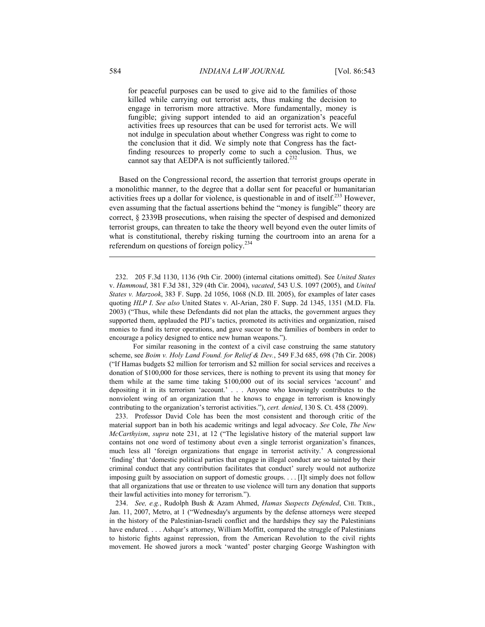for peaceful purposes can be used to give aid to the families of those killed while carrying out terrorist acts, thus making the decision to engage in terrorism more attractive. More fundamentally, money is fungible; giving support intended to aid an organization's peaceful activities frees up resources that can be used for terrorist acts. We will not indulge in speculation about whether Congress was right to come to the conclusion that it did. We simply note that Congress has the factfinding resources to properly come to such a conclusion. Thus, we cannot say that AEDPA is not sufficiently tailored.<sup>232</sup>

Based on the Congressional record, the assertion that terrorist groups operate in a monolithic manner, to the degree that a dollar sent for peaceful or humanitarian activities frees up a dollar for violence, is questionable in and of itself.<sup>233</sup> However, even assuming that the factual assertions behind the "money is fungible" theory are correct, § 2339B prosecutions, when raising the specter of despised and demonized terrorist groups, can threaten to take the theory well beyond even the outer limits of what is constitutional, thereby risking turning the courtroom into an arena for a referendum on questions of foreign policy.<sup>234</sup>

 232. 205 F.3d 1130, 1136 (9th Cir. 2000) (internal citations omitted). See *United States*  v. *Hammoud*, 381 F.3d 381, 329 (4th Cir. 2004), *vacated*, 543 U.S. 1097 (2005), and *United States v. Marzook*, 383 F. Supp. 2d 1056, 1068 (N.D. Ill. 2005), for examples of later cases quoting *HLP I*. *See also* United States v. Al-Arian, 280 F. Supp. 2d 1345, 1351 (M.D. Fla. 2003) ("Thus, while these Defendants did not plan the attacks, the government argues they supported them, applauded the PIJ's tactics, promoted its activities and organization, raised monies to fund its terror operations, and gave succor to the families of bombers in order to encourage a policy designed to entice new human weapons.").

 For similar reasoning in the context of a civil case construing the same statutory scheme, see *Boim v. Holy Land Found. for Relief & Dev.*, 549 F.3d 685, 698 (7th Cir. 2008) ("If Hamas budgets \$2 million for terrorism and \$2 million for social services and receives a donation of \$100,000 for those services, there is nothing to prevent its using that money for them while at the same time taking \$100,000 out of its social services 'account' and depositing it in its terrorism 'account.' . . . Anyone who knowingly contributes to the nonviolent wing of an organization that he knows to engage in terrorism is knowingly contributing to the organization's terrorist activities."), *cert. denied*, 130 S. Ct. 458 (2009).

 233. Professor David Cole has been the most consistent and thorough critic of the material support ban in both his academic writings and legal advocacy. *See* Cole, *The New McCarthyism*, *supra* note 231, at 12 ("The legislative history of the material support law contains not one word of testimony about even a single terrorist organization's finances, much less all 'foreign organizations that engage in terrorist activity.' A congressional 'finding' that 'domestic political parties that engage in illegal conduct are so tainted by their criminal conduct that any contribution facilitates that conduct' surely would not authorize imposing guilt by association on support of domestic groups. . . . [I]t simply does not follow that all organizations that use or threaten to use violence will turn any donation that supports their lawful activities into money for terrorism.").

 234. *See, e.g.*, Rudolph Bush & Azam Ahmed, *Hamas Suspects Defended*, CHI. TRIB., Jan. 11, 2007, Metro, at 1 ("Wednesday's arguments by the defense attorneys were steeped in the history of the Palestinian-Israeli conflict and the hardships they say the Palestinians have endured. . . . Ashqar's attorney, William Moffitt, compared the struggle of Palestinians to historic fights against repression, from the American Revolution to the civil rights movement. He showed jurors a mock 'wanted' poster charging George Washington with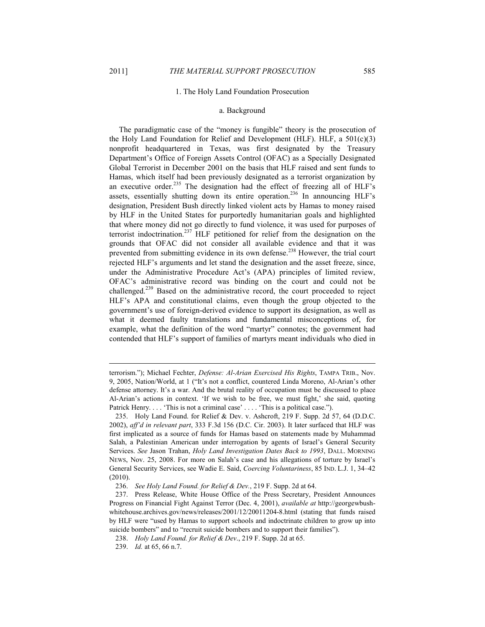1

### 1. The Holy Land Foundation Prosecution

### a. Background

The paradigmatic case of the "money is fungible" theory is the prosecution of the Holy Land Foundation for Relief and Development (HLF). HLF, a 501(c)(3) nonprofit headquartered in Texas, was first designated by the Treasury Department's Office of Foreign Assets Control (OFAC) as a Specially Designated Global Terrorist in December 2001 on the basis that HLF raised and sent funds to Hamas, which itself had been previously designated as a terrorist organization by an executive order.<sup>235</sup> The designation had the effect of freezing all of HLF's assets, essentially shutting down its entire operation.<sup>236</sup> In announcing HLF's designation, President Bush directly linked violent acts by Hamas to money raised by HLF in the United States for purportedly humanitarian goals and highlighted that where money did not go directly to fund violence, it was used for purposes of terrorist indoctrination.<sup>237</sup> HLF petitioned for relief from the designation on the grounds that OFAC did not consider all available evidence and that it was prevented from submitting evidence in its own defense.<sup>238</sup> However, the trial court rejected HLF's arguments and let stand the designation and the asset freeze, since, under the Administrative Procedure Act's (APA) principles of limited review, OFAC's administrative record was binding on the court and could not be challenged.<sup>239</sup> Based on the administrative record, the court proceeded to reject HLF's APA and constitutional claims, even though the group objected to the government's use of foreign-derived evidence to support its designation, as well as what it deemed faulty translations and fundamental misconceptions of, for example, what the definition of the word "martyr" connotes; the government had contended that HLF's support of families of martyrs meant individuals who died in

terrorism."); Michael Fechter, *Defense: Al-Arian Exercised His Rights*, TAMPA TRIB., Nov. 9, 2005, Nation/World, at 1 ("It's not a conflict, countered Linda Moreno, Al-Arian's other defense attorney. It's a war. And the brutal reality of occupation must be discussed to place Al-Arian's actions in context. 'If we wish to be free, we must fight,' she said, quoting Patrick Henry.... This is not a criminal case'.... This is a political case.").

 <sup>235.</sup> Holy Land Found. for Relief & Dev. v. Ashcroft, 219 F. Supp. 2d 57, 64 (D.D.C. 2002), *aff'd in relevant part*, 333 F.3d 156 (D.C. Cir. 2003). It later surfaced that HLF was first implicated as a source of funds for Hamas based on statements made by Muhammad Salah, a Palestinian American under interrogation by agents of Israel's General Security Services. *See* Jason Trahan, *Holy Land Investigation Dates Back to 1993*, DALL. MORNING NEWS, Nov. 25, 2008. For more on Salah's case and his allegations of torture by Israel's General Security Services, see Wadie E. Said, *Coercing Voluntariness*, 85 IND. L.J. 1, 34–42 (2010).

 <sup>236.</sup> *See Holy Land Found. for Relief & Dev.*, 219 F. Supp. 2d at 64.

 <sup>237.</sup> Press Release, White House Office of the Press Secretary, President Announces Progress on Financial Fight Against Terror (Dec. 4, 2001), *available at* http://georgewbushwhitehouse.archives.gov/news/releases/2001/12/20011204-8.html (stating that funds raised by HLF were "used by Hamas to support schools and indoctrinate children to grow up into suicide bombers" and to "recruit suicide bombers and to support their families").

 <sup>238.</sup> *Holy Land Found. for Relief & Dev*., 219 F. Supp. 2d at 65.

 <sup>239.</sup> *Id.* at 65, 66 n.7.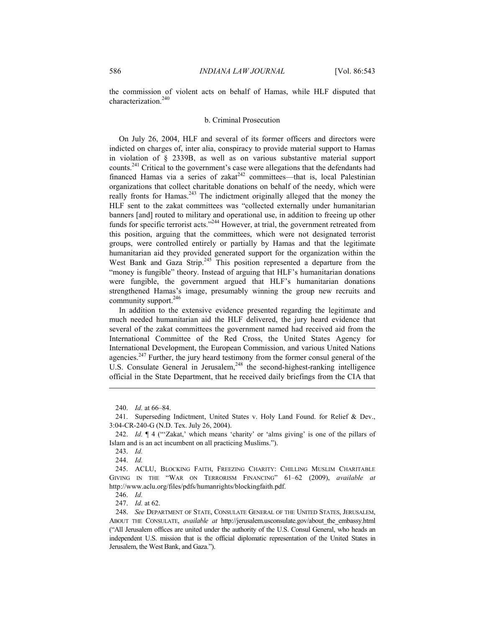the commission of violent acts on behalf of Hamas, while HLF disputed that characterization.<sup>240</sup>

### b. Criminal Prosecution

On July 26, 2004, HLF and several of its former officers and directors were indicted on charges of, inter alia, conspiracy to provide material support to Hamas in violation of § 2339B, as well as on various substantive material support counts.<sup>241</sup> Critical to the government's case were allegations that the defendants had financed Hamas via a series of zakat<sup>242</sup> committees—that is, local Palestinian organizations that collect charitable donations on behalf of the needy, which were really fronts for Hamas.<sup>243</sup> The indictment originally alleged that the money the HLF sent to the zakat committees was "collected externally under humanitarian banners [and] routed to military and operational use, in addition to freeing up other funds for specific terrorist acts."<sup>244</sup> However, at trial, the government retreated from this position, arguing that the committees, which were not designated terrorist groups, were controlled entirely or partially by Hamas and that the legitimate humanitarian aid they provided generated support for the organization within the West Bank and Gaza Strip.<sup>245</sup> This position represented a departure from the "money is fungible" theory. Instead of arguing that HLF's humanitarian donations were fungible, the government argued that HLF's humanitarian donations strengthened Hamas's image, presumably winning the group new recruits and community support.<sup>246</sup>

In addition to the extensive evidence presented regarding the legitimate and much needed humanitarian aid the HLF delivered, the jury heard evidence that several of the zakat committees the government named had received aid from the International Committee of the Red Cross, the United States Agency for International Development, the European Commission, and various United Nations agencies.<sup>247</sup> Further, the jury heard testimony from the former consul general of the U.S. Consulate General in Jerusalem,<sup>248</sup> the second-highest-ranking intelligence official in the State Department, that he received daily briefings from the CIA that

243. *Id.*

1

244. *Id.*

246. *Id.*

247. *Id.* at 62.

 <sup>240.</sup> *Id.* at 66–84.

 <sup>241.</sup> Superseding Indictment, United States v. Holy Land Found. for Relief & Dev., 3:04-CR-240-G (N.D. Tex. July 26, 2004).

 <sup>242.</sup> *Id.* ¶ 4 ("'Zakat,' which means 'charity' or 'alms giving' is one of the pillars of Islam and is an act incumbent on all practicing Muslims.").

 <sup>245.</sup> ACLU, BLOCKING FAITH, FREEZING CHARITY: CHILLING MUSLIM CHARITABLE GIVING IN THE "WAR ON TERRORISM FINANCING" 61–62 (2009), *available at* http://www.aclu.org/files/pdfs/humanrights/blockingfaith.pdf.

 <sup>248.</sup> *See* DEPARTMENT OF STATE, CONSULATE GENERAL OF THE UNITED STATES, JERUSALEM, ABOUT THE CONSULATE, *available at* http://jerusalem.usconsulate.gov/about\_the\_embassy.html ("All Jerusalem offices are united under the authority of the U.S. Consul General, who heads an independent U.S. mission that is the official diplomatic representation of the United States in Jerusalem, the West Bank, and Gaza.").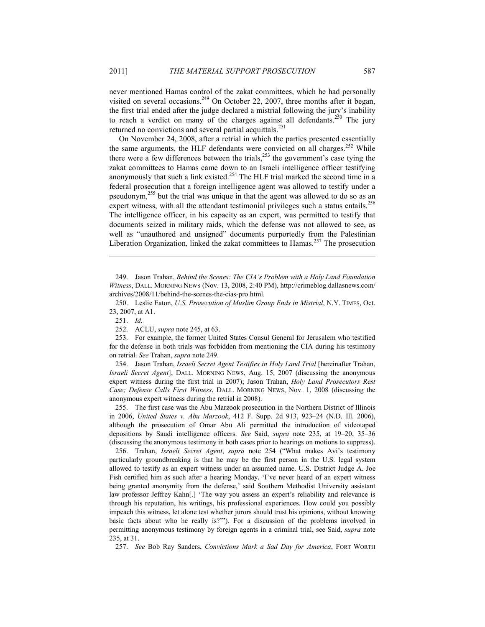never mentioned Hamas control of the zakat committees, which he had personally visited on several occasions.<sup>249</sup> On October 22, 2007, three months after it began, the first trial ended after the judge declared a mistrial following the jury's inability to reach a verdict on many of the charges against all defendants.<sup>250</sup> The jury returned no convictions and several partial acquittals.<sup>251</sup>

On November 24, 2008, after a retrial in which the parties presented essentially the same arguments, the HLF defendants were convicted on all charges.<sup>252</sup> While there were a few differences between the trials,<sup>253</sup> the government's case tying the zakat committees to Hamas came down to an Israeli intelligence officer testifying anonymously that such a link existed.<sup>254</sup> The HLF trial marked the second time in a federal prosecution that a foreign intelligence agent was allowed to testify under a pseudonym,255 but the trial was unique in that the agent was allowed to do so as an expert witness, with all the attendant testimonial privileges such a status entails.<sup>256</sup> The intelligence officer, in his capacity as an expert, was permitted to testify that documents seized in military raids, which the defense was not allowed to see, as well as "unauthored and unsigned" documents purportedly from the Palestinian Liberation Organization, linked the zakat committees to Hamas.<sup>257</sup> The prosecution

 250. Leslie Eaton, *U.S. Prosecution of Muslim Group Ends in Mistrial*, N.Y. TIMES, Oct. 23, 2007, at A1.

1

 253. For example, the former United States Consul General for Jerusalem who testified for the defense in both trials was forbidden from mentioning the CIA during his testimony on retrial. *See* Trahan, *supra* note 249.

 254. Jason Trahan, *Israeli Secret Agent Testifies in Holy Land Trial* [hereinafter Trahan, *Israeli Secret Agent*], DALL. MORNING NEWS, Aug. 15, 2007 (discussing the anonymous expert witness during the first trial in 2007); Jason Trahan, *Holy Land Prosecutors Rest Case; Defense Calls First Witness*, DALL. MORNING NEWS, Nov. 1, 2008 (discussing the anonymous expert witness during the retrial in 2008).

 255. The first case was the Abu Marzook prosecution in the Northern District of Illinois in 2006, *United States v. Abu Marzook*, 412 F. Supp. 2d 913, 923–24 (N.D. Ill. 2006), although the prosecution of Omar Abu Ali permitted the introduction of videotaped depositions by Saudi intelligence officers. *See* Said, *supra* note 235, at 19–20, 35–36 (discussing the anonymous testimony in both cases prior to hearings on motions to suppress).

 256. Trahan, *Israeli Secret Agent*, *supra* note 254 ("What makes Avi's testimony particularly groundbreaking is that he may be the first person in the U.S. legal system allowed to testify as an expert witness under an assumed name. U.S. District Judge A. Joe Fish certified him as such after a hearing Monday. 'I've never heard of an expert witness being granted anonymity from the defense,' said Southern Methodist University assistant law professor Jeffrey Kahn[.] 'The way you assess an expert's reliability and relevance is through his reputation, his writings, his professional experiences. How could you possibly impeach this witness, let alone test whether jurors should trust his opinions, without knowing basic facts about who he really is?'"). For a discussion of the problems involved in permitting anonymous testimony by foreign agents in a criminal trial, see Said, *supra* note 235, at 31.

257. *See* Bob Ray Sanders, *Convictions Mark a Sad Day for America*, FORT WORTH

 <sup>249.</sup> Jason Trahan, *Behind the Scenes: The CIA's Problem with a Holy Land Foundation Witness*, DALL. MORNING NEWS (Nov. 13, 2008, 2:40 PM), http://crimeblog.dallasnews.com/ archives/2008/11/behind-the-scenes-the-cias-pro.html.

 <sup>251.</sup> *Id.*

 <sup>252.</sup> ACLU, *supra* note 245, at 63.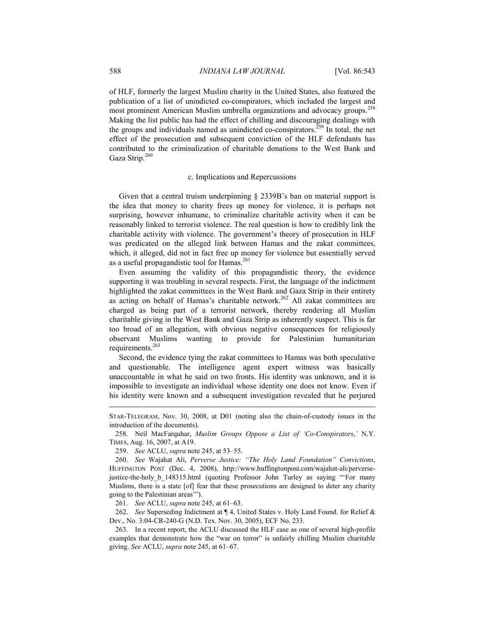of HLF, formerly the largest Muslim charity in the United States, also featured the publication of a list of unindicted co-conspirators, which included the largest and most prominent American Muslim umbrella organizations and advocacy groups.<sup>258</sup> Making the list public has had the effect of chilling and discouraging dealings with the groups and individuals named as unindicted co-conspirators.259 In total, the net effect of the prosecution and subsequent conviction of the HLF defendants has contributed to the criminalization of charitable donations to the West Bank and Gaza Strip.<sup>260</sup>

### c. Implications and Repercussions

Given that a central truism underpinning § 2339B's ban on material support is the idea that money to charity frees up money for violence, it is perhaps not surprising, however inhumane, to criminalize charitable activity when it can be reasonably linked to terrorist violence. The real question is how to credibly link the charitable activity with violence. The government's theory of prosecution in HLF was predicated on the alleged link between Hamas and the zakat committees, which, it alleged, did not in fact free up money for violence but essentially served as a useful propagandistic tool for Hamas.<sup>261</sup>

Even assuming the validity of this propagandistic theory, the evidence supporting it was troubling in several respects. First, the language of the indictment highlighted the zakat committees in the West Bank and Gaza Strip in their entirety as acting on behalf of Hamas's charitable network.<sup>262</sup> All zakat committees are charged as being part of a terrorist network, thereby rendering all Muslim charitable giving in the West Bank and Gaza Strip as inherently suspect. This is far too broad of an allegation, with obvious negative consequences for religiously observant Muslims wanting to provide for Palestinian humanitarian requirements.<sup>263</sup>

Second, the evidence tying the zakat committees to Hamas was both speculative and questionable. The intelligence agent expert witness was basically unaccountable in what he said on two fronts. His identity was unknown, and it is impossible to investigate an individual whose identity one does not know. Even if his identity were known and a subsequent investigation revealed that he perjured

259. *See* ACLU, *supra* note 245, at 53–55.

 260. *See* Wajahat Ali, *Perverse Justice: "The Holy Land Foundation" Convictions*, HUFFINGTON POST (Dec. 4, 2008), http://www.huffingtonpost.com/wajahat-ali/perversejustice-the-holy\_b\_148315.html (quoting Professor John Turley as saying "'For many Muslims, there is a state [of] fear that these prosecutions are designed to deter any charity going to the Palestinian areas'").

261. *See* ACLU, *supra* note 245, at 61–63.

 262. *See* Superseding Indictment at ¶ 4, United States v. Holy Land Found. for Relief & Dev., No. 3:04-CR-240-G (N.D. Tex. Nov. 30, 2005), ECF No. 233.

 263. In a recent report, the ACLU discussed the HLF case as one of several high-profile examples that demonstrate how the "war on terror" is unfairly chilling Muslim charitable giving. *See* ACLU, *supra* note 245, at 61–67.

STAR-TELEGRAM, Nov. 30, 2008, at D01 (noting also the chain-of-custody issues in the introduction of the documents).

 <sup>258.</sup> Neil MacFarquhar, *Muslim Groups Oppose a List of 'Co-Conspirators*,*'* N.Y. TIMES, Aug. 16, 2007, at A19.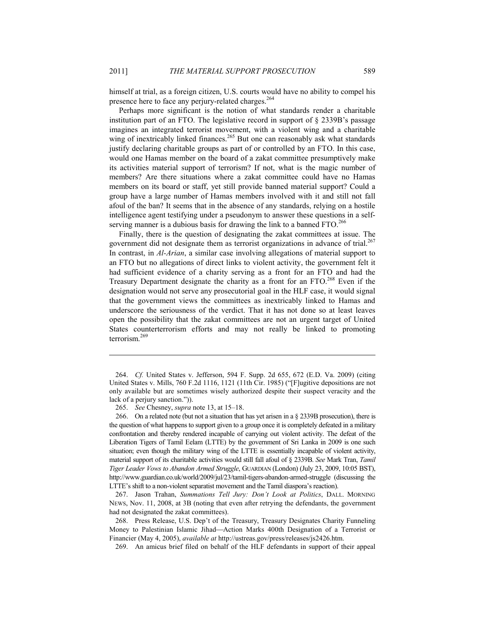himself at trial, as a foreign citizen, U.S. courts would have no ability to compel his presence here to face any perjury-related charges.<sup>264</sup>

Perhaps more significant is the notion of what standards render a charitable institution part of an FTO. The legislative record in support of § 2339B's passage imagines an integrated terrorist movement, with a violent wing and a charitable wing of inextricably linked finances.<sup>265</sup> But one can reasonably ask what standards justify declaring charitable groups as part of or controlled by an FTO. In this case, would one Hamas member on the board of a zakat committee presumptively make its activities material support of terrorism? If not, what is the magic number of members? Are there situations where a zakat committee could have no Hamas members on its board or staff, yet still provide banned material support? Could a group have a large number of Hamas members involved with it and still not fall afoul of the ban? It seems that in the absence of any standards, relying on a hostile intelligence agent testifying under a pseudonym to answer these questions in a selfserving manner is a dubious basis for drawing the link to a banned  $FTO.<sup>266</sup>$ 

Finally, there is the question of designating the zakat committees at issue. The government did not designate them as terrorist organizations in advance of trial.<sup>267</sup> In contrast, in *Al-Arian*, a similar case involving allegations of material support to an FTO but no allegations of direct links to violent activity, the government felt it had sufficient evidence of a charity serving as a front for an FTO and had the Treasury Department designate the charity as a front for an FTO.268 Even if the designation would not serve any prosecutorial goal in the HLF case, it would signal that the government views the committees as inextricably linked to Hamas and underscore the seriousness of the verdict. That it has not done so at least leaves open the possibility that the zakat committees are not an urgent target of United States counterterrorism efforts and may not really be linked to promoting terrorism.<sup>269</sup>

 267. Jason Trahan, *Summations Tell Jury: Don't Look at Politics*, DALL. MORNING NEWS, Nov. 11, 2008, at 3B (noting that even after retrying the defendants, the government had not designated the zakat committees).

269. An amicus brief filed on behalf of the HLF defendants in support of their appeal

<u>.</u>

 <sup>264.</sup> *Cf.* United States v. Jefferson, 594 F. Supp. 2d 655, 672 (E.D. Va. 2009) (citing United States v. Mills, 760 F.2d 1116, 1121 (11th Cir. 1985) ("[F]ugitive depositions are not only available but are sometimes wisely authorized despite their suspect veracity and the lack of a perjury sanction.")).

 <sup>265.</sup> *See* Chesney, *supra* note 13, at 15–18.

 <sup>266.</sup> On a related note (but not a situation that has yet arisen in a § 2339B prosecution), there is the question of what happens to support given to a group once it is completely defeated in a military confrontation and thereby rendered incapable of carrying out violent activity. The defeat of the Liberation Tigers of Tamil Eelam (LTTE) by the government of Sri Lanka in 2009 is one such situation; even though the military wing of the LTTE is essentially incapable of violent activity, material support of its charitable activities would still fall afoul of § 2339B. *See* Mark Tran, *Tamil Tiger Leader Vows to Abandon Armed Struggle*, GUARDIAN (London) (July 23, 2009, 10:05 BST), http://www.guardian.co.uk/world/2009/jul/23/tamil-tigers-abandon-armed-struggle (discussing the LTTE's shift to a non-violent separatist movement and the Tamil diaspora's reaction).

 <sup>268.</sup> Press Release, U.S. Dep't of the Treasury, Treasury Designates Charity Funneling Money to Palestinian Islamic Jihad—Action Marks 400th Designation of a Terrorist or Financier (May 4, 2005), *available at* http://ustreas.gov/press/releases/js2426.htm.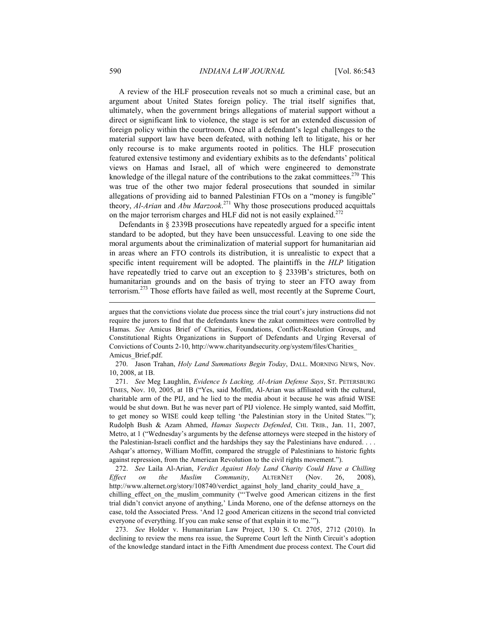A review of the HLF prosecution reveals not so much a criminal case, but an argument about United States foreign policy. The trial itself signifies that, ultimately, when the government brings allegations of material support without a direct or significant link to violence, the stage is set for an extended discussion of foreign policy within the courtroom. Once all a defendant's legal challenges to the material support law have been defeated, with nothing left to litigate, his or her only recourse is to make arguments rooted in politics. The HLF prosecution featured extensive testimony and evidentiary exhibits as to the defendants' political views on Hamas and Israel, all of which were engineered to demonstrate knowledge of the illegal nature of the contributions to the zakat committees.<sup>270</sup> This was true of the other two major federal prosecutions that sounded in similar allegations of providing aid to banned Palestinian FTOs on a "money is fungible" theory, *Al-Arian* and *Abu Marzook*. 271 Why those prosecutions produced acquittals on the major terrorism charges and HLF did not is not easily explained.<sup>272</sup>

Defendants in § 2339B prosecutions have repeatedly argued for a specific intent standard to be adopted, but they have been unsuccessful. Leaving to one side the moral arguments about the criminalization of material support for humanitarian aid in areas where an FTO controls its distribution, it is unrealistic to expect that a specific intent requirement will be adopted. The plaintiffs in the *HLP* litigation have repeatedly tried to carve out an exception to § 2339B's strictures, both on humanitarian grounds and on the basis of trying to steer an FTO away from terrorism.273 Those efforts have failed as well, most recently at the Supreme Court,

 270. Jason Trahan, *Holy Land Summations Begin Today*, DALL. MORNING NEWS, Nov. 10, 2008, at 1B.

 271. *See* Meg Laughlin, *Evidence Is Lacking, Al-Arian Defense Says*, ST. PETERSBURG TIMES, Nov. 10, 2005, at 1B ("Yes, said Moffitt, Al-Arian was affiliated with the cultural, charitable arm of the PIJ, and he lied to the media about it because he was afraid WISE would be shut down. But he was never part of PIJ violence. He simply wanted, said Moffitt, to get money so WISE could keep telling 'the Palestinian story in the United States.'"); Rudolph Bush & Azam Ahmed, *Hamas Suspects Defended*, CHI. TRIB., Jan. 11, 2007, Metro, at 1 ("Wednesday's arguments by the defense attorneys were steeped in the history of the Palestinian-Israeli conflict and the hardships they say the Palestinians have endured. . . . Ashqar's attorney, William Moffitt, compared the struggle of Palestinians to historic fights against repression, from the American Revolution to the civil rights movement.").

 272. *See* Laila Al-Arian, *Verdict Against Holy Land Charity Could Have a Chilling Effect on the Muslim Community*, ALTERNET (Nov. 26, 2008), http://www.alternet.org/story/108740/verdict\_against\_holy\_land\_charity\_could\_have\_a chilling effect on the muslim community ("Twelve good American citizens in the first trial didn't convict anyone of anything,' Linda Moreno, one of the defense attorneys on the case, told the Associated Press. 'And 12 good American citizens in the second trial convicted everyone of everything. If you can make sense of that explain it to me.'").

 273. *See* Holder v. Humanitarian Law Project, 130 S. Ct. 2705, 2712 (2010). In declining to review the mens rea issue, the Supreme Court left the Ninth Circuit's adoption of the knowledge standard intact in the Fifth Amendment due process context. The Court did

argues that the convictions violate due process since the trial court's jury instructions did not require the jurors to find that the defendants knew the zakat committees were controlled by Hamas. *See* Amicus Brief of Charities, Foundations, Conflict-Resolution Groups, and Constitutional Rights Organizations in Support of Defendants and Urging Reversal of Convictions of Counts 2-10, http://www.charityandsecurity.org/system/files/Charities\_ Amicus\_Brief.pdf.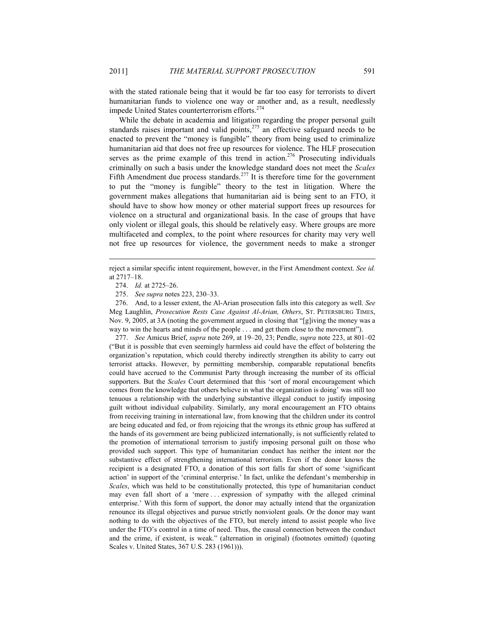with the stated rationale being that it would be far too easy for terrorists to divert humanitarian funds to violence one way or another and, as a result, needlessly impede United States counterterrorism efforts.<sup>274</sup>

While the debate in academia and litigation regarding the proper personal guilt standards raises important and valid points,<sup>275</sup> an effective safeguard needs to be enacted to prevent the "money is fungible" theory from being used to criminalize humanitarian aid that does not free up resources for violence. The HLF prosecution serves as the prime example of this trend in action.<sup>276</sup> Prosecuting individuals criminally on such a basis under the knowledge standard does not meet the *Scales* Fifth Amendment due process standards.<sup>277</sup> It is therefore time for the government to put the "money is fungible" theory to the test in litigation. Where the government makes allegations that humanitarian aid is being sent to an FTO, it should have to show how money or other material support frees up resources for violence on a structural and organizational basis. In the case of groups that have only violent or illegal goals, this should be relatively easy. Where groups are more multifaceted and complex, to the point where resources for charity may very well not free up resources for violence, the government needs to make a stronger

1

 276. And, to a lesser extent, the Al-Arian prosecution falls into this category as well. *See* Meg Laughlin, *Prosecution Rests Case Against Al-Arian, Others*, ST. PETERSBURG TIMES, Nov. 9, 2005, at 3A (noting the government argued in closing that "[g]iving the money was a way to win the hearts and minds of the people . . . and get them close to the movement").

 277. *See* Amicus Brief, *supra* note 269, at 19–20, 23; Pendle, *supra* note 223, at 801–02 ("But it is possible that even seemingly harmless aid could have the effect of bolstering the organization's reputation, which could thereby indirectly strengthen its ability to carry out terrorist attacks. However, by permitting membership, comparable reputational benefits could have accrued to the Communist Party through increasing the number of its official supporters. But the *Scales* Court determined that this 'sort of moral encouragement which comes from the knowledge that others believe in what the organization is doing' was still too tenuous a relationship with the underlying substantive illegal conduct to justify imposing guilt without individual culpability. Similarly, any moral encouragement an FTO obtains from receiving training in international law, from knowing that the children under its control are being educated and fed, or from rejoicing that the wrongs its ethnic group has suffered at the hands of its government are being publicized internationally, is not sufficiently related to the promotion of international terrorism to justify imposing personal guilt on those who provided such support. This type of humanitarian conduct has neither the intent nor the substantive effect of strengthening international terrorism. Even if the donor knows the recipient is a designated FTO, a donation of this sort falls far short of some 'significant action' in support of the 'criminal enterprise.' In fact, unlike the defendant's membership in *Scales*, which was held to be constitutionally protected, this type of humanitarian conduct may even fall short of a 'mere . . . expression of sympathy with the alleged criminal enterprise.' With this form of support, the donor may actually intend that the organization renounce its illegal objectives and pursue strictly nonviolent goals. Or the donor may want nothing to do with the objectives of the FTO, but merely intend to assist people who live under the FTO's control in a time of need. Thus, the causal connection between the conduct and the crime, if existent, is weak." (alternation in original) (footnotes omitted) (quoting Scales v. United States, 367 U.S. 283 (1961))).

reject a similar specific intent requirement, however, in the First Amendment context. *See id.* at 2717–18.

 <sup>274.</sup> *Id.* at 2725–26.

 <sup>275.</sup> *See supra* notes 223, 230–33.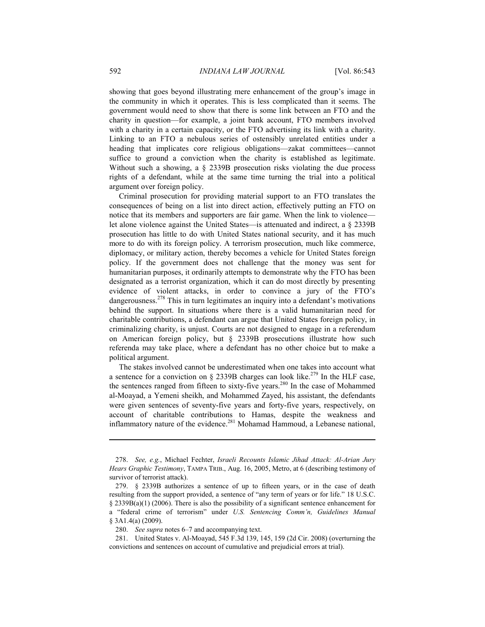showing that goes beyond illustrating mere enhancement of the group's image in the community in which it operates. This is less complicated than it seems. The government would need to show that there is some link between an FTO and the charity in question—for example, a joint bank account, FTO members involved with a charity in a certain capacity, or the FTO advertising its link with a charity. Linking to an FTO a nebulous series of ostensibly unrelated entities under a heading that implicates core religious obligations—zakat committees—cannot suffice to ground a conviction when the charity is established as legitimate. Without such a showing, a § 2339B prosecution risks violating the due process rights of a defendant, while at the same time turning the trial into a political argument over foreign policy.

Criminal prosecution for providing material support to an FTO translates the consequences of being on a list into direct action, effectively putting an FTO on notice that its members and supporters are fair game. When the link to violence let alone violence against the United States—is attenuated and indirect, a § 2339B prosecution has little to do with United States national security, and it has much more to do with its foreign policy. A terrorism prosecution, much like commerce, diplomacy, or military action, thereby becomes a vehicle for United States foreign policy. If the government does not challenge that the money was sent for humanitarian purposes, it ordinarily attempts to demonstrate why the FTO has been designated as a terrorist organization, which it can do most directly by presenting evidence of violent attacks, in order to convince a jury of the FTO's dangerousness.<sup>278</sup> This in turn legitimates an inquiry into a defendant's motivations behind the support. In situations where there is a valid humanitarian need for charitable contributions, a defendant can argue that United States foreign policy, in criminalizing charity, is unjust. Courts are not designed to engage in a referendum on American foreign policy, but § 2339B prosecutions illustrate how such referenda may take place, where a defendant has no other choice but to make a political argument.

The stakes involved cannot be underestimated when one takes into account what a sentence for a conviction on  $\S$  2339B charges can look like.<sup>279</sup> In the HLF case, the sentences ranged from fifteen to sixty-five years.<sup>280</sup> In the case of Mohammed al-Moayad, a Yemeni sheikh, and Mohammed Zayed, his assistant, the defendants were given sentences of seventy-five years and forty-five years, respectively, on account of charitable contributions to Hamas, despite the weakness and inflammatory nature of the evidence.<sup>281</sup> Mohamad Hammoud, a Lebanese national,

 <sup>278.</sup> *See, e.g.*, Michael Fechter, *Israeli Recounts Islamic Jihad Attack: Al-Arian Jury Hears Graphic Testimony*, TAMPA TRIB., Aug. 16, 2005, Metro, at 6 (describing testimony of survivor of terrorist attack).

 <sup>279. § 2339</sup>B authorizes a sentence of up to fifteen years, or in the case of death resulting from the support provided, a sentence of "any term of years or for life." 18 U.S.C. § 2339B(a)(1) (2006). There is also the possibility of a significant sentence enhancement for a "federal crime of terrorism" under *U.S. Sentencing Comm'n, Guidelines Manual* § 3A1.4(a) (2009).

 <sup>280.</sup> *See supra* notes 6–7 and accompanying text.

 <sup>281.</sup> United States v. Al-Moayad, 545 F.3d 139, 145, 159 (2d Cir. 2008) (overturning the convictions and sentences on account of cumulative and prejudicial errors at trial).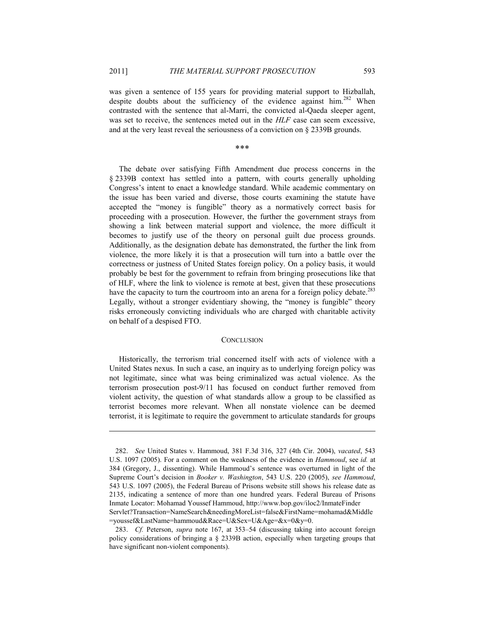1

was given a sentence of 155 years for providing material support to Hizballah, despite doubts about the sufficiency of the evidence against  $\lim_{n \to \infty} 282$  When contrasted with the sentence that al-Marri, the convicted al-Qaeda sleeper agent, was set to receive, the sentences meted out in the *HLF* case can seem excessive, and at the very least reveal the seriousness of a conviction on § 2339B grounds.

\*\*\*

The debate over satisfying Fifth Amendment due process concerns in the § 2339B context has settled into a pattern, with courts generally upholding Congress's intent to enact a knowledge standard. While academic commentary on the issue has been varied and diverse, those courts examining the statute have accepted the "money is fungible" theory as a normatively correct basis for proceeding with a prosecution. However, the further the government strays from showing a link between material support and violence, the more difficult it becomes to justify use of the theory on personal guilt due process grounds. Additionally, as the designation debate has demonstrated, the further the link from violence, the more likely it is that a prosecution will turn into a battle over the correctness or justness of United States foreign policy. On a policy basis, it would probably be best for the government to refrain from bringing prosecutions like that of HLF, where the link to violence is remote at best, given that these prosecutions have the capacity to turn the courtroom into an arena for a foreign policy debate.<sup>283</sup> Legally, without a stronger evidentiary showing, the "money is fungible" theory risks erroneously convicting individuals who are charged with charitable activity on behalf of a despised FTO.

#### **CONCLUSION**

Historically, the terrorism trial concerned itself with acts of violence with a United States nexus. In such a case, an inquiry as to underlying foreign policy was not legitimate, since what was being criminalized was actual violence. As the terrorism prosecution post-9/11 has focused on conduct further removed from violent activity, the question of what standards allow a group to be classified as terrorist becomes more relevant. When all nonstate violence can be deemed terrorist, it is legitimate to require the government to articulate standards for groups

 <sup>282.</sup> *See* United States v. Hammoud, 381 F.3d 316, 327 (4th Cir. 2004), *vacated*, 543 U.S. 1097 (2005). For a comment on the weakness of the evidence in *Hammoud*, see *id.* at 384 (Gregory, J., dissenting). While Hammoud's sentence was overturned in light of the Supreme Court's decision in *Booker v. Washington*, 543 U.S. 220 (2005), *see Hammoud*, 543 U.S. 1097 (2005), the Federal Bureau of Prisons website still shows his release date as 2135, indicating a sentence of more than one hundred years. Federal Bureau of Prisons Inmate Locator: Mohamad Youssef Hammoud, http://www.bop.gov/iloc2/InmateFinder Servlet?Transaction=NameSearch&needingMoreList=false&FirstName=mohamad&Middle =youssef&LastName=hammoud&Race=U&Sex=U&Age=&x=0&y=0.

 <sup>283.</sup> *Cf.* Peterson, *supra* note 167, at 353–54 (discussing taking into account foreign policy considerations of bringing a § 2339B action, especially when targeting groups that have significant non-violent components).